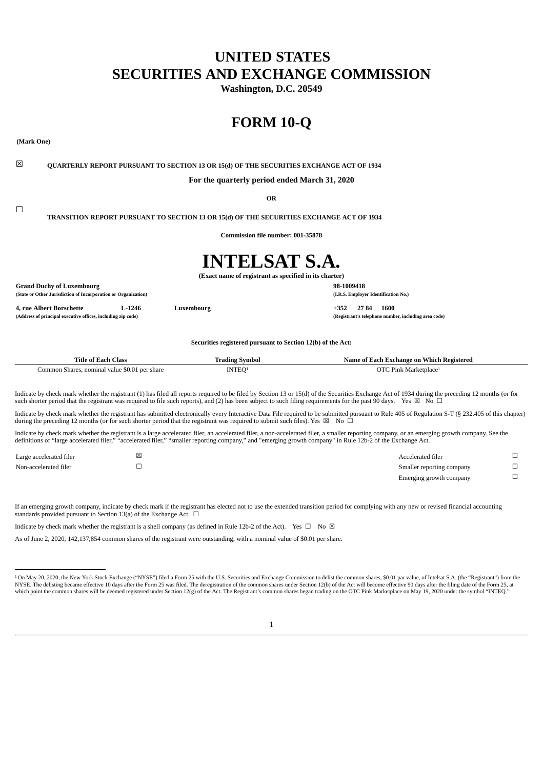# **UNITED STATES SECURITIES AND EXCHANGE COMMISSION**

**Washington, D.C. 20549**

# **FORM 10-Q**

**(Mark One)**

 $\Box$ 

☒ **QUARTERLY REPORT PURSUANT TO SECTION 13 OR 15(d) OF THE SECURITIES EXCHANGE ACT OF 1934**

**For the quarterly period ended March 31, 2020**

**OR**

**TRANSITION REPORT PURSUANT TO SECTION 13 OR 15(d) OF THE SECURITIES EXCHANGE ACT OF 1934**

**Commission file number: 001-35878**

# **INTELSAT S.A.**

**(Exact name of registrant as specified in its charter)**

**Grand Duchy of Luxembourg 98-1009418 (State or Other Jurisdiction of Incorporation or Organization) (I.R.S. Employer Identification No.)**

**4, rue Albert Borschette L-1246 Luxembourg +352 27 84 1600**

**(Address of principal executive offices, including zip code) (Registrant's telephone number, including area code)**

**Securities registered pursuant to Section 12(b) of the Act:**

| Title of 1<br>Class<br>sach f                                 | Symbor<br>'rading . | ∹xchange on Which-<br>ı Registered<br>Name of Each . |
|---------------------------------------------------------------|---------------------|------------------------------------------------------|
| ommon<br>nominal<br>. per share<br>value<br>Shares<br>' ' ' ' | $\mathbf{v}$        | Pink<br>arketplace <del>!</del>                      |

Indicate by check mark whether the registrant (1) has filed all reports required to be filed by Section 13 or 15(d) of the Securities Exchange Act of 1934 during the preceding 12 months (or for such shorter period that the registrant was required to file such reports), and (2) has been subject to such filing requirements for the past 90 days. Yes  $\boxtimes$  No  $\Box$ 

Indicate by check mark whether the registrant has submitted electronically every Interactive Data File required to be submitted pursuant to Rule 405 of Regulation S-T (§ 232.405 of this chapter) during the preceding 12 months (or for such shorter period that the registrant was required to submit such files). Yes  $\boxtimes$  No  $\Box$ 

Indicate by check mark whether the registrant is a large accelerated filer, an accelerated filer, a non-accelerated filer, a smaller reporting company, or an emerging growth company. See the definitions of "large accelerated filer," "accelerated filer," "smaller reporting company," and "emerging growth company" in Rule 12b-2 of the Exchange Act.

| Large accelerated filer | Accelerated filer         |  |
|-------------------------|---------------------------|--|
| Non-accelerated filer   | Smaller reporting company |  |
|                         | Emerging growth company   |  |

If an emerging growth company, indicate by check mark if the registrant has elected not to use the extended transition period for complying with any new or revised financial accounting standards provided pursuant to Section 13(a) of the Exchange Act.  $\Box$ 

Indicate by check mark whether the registrant is a shell company (as defined in Rule 12b-2 of the Act). Yes  $\Box$  No  $\boxtimes$ 

As of June 2, 2020, 142,137,854 common shares of the registrant were outstanding, with a nominal value of \$0.01 per share.

<sup>&</sup>lt;sup>1</sup> On May 20, 2020, the New York Stock Exchange ("NYSE") filed a Form 25 with the U.S. Securities and Exchange Commission to delist the common shares, \$0.01 par value, of Intelsat S.A. (the "Registrant") from the NYSE. The delisting became effective 10 days after the Form 25 was filed. The deregistration of the common shares under Section 12(b) of the Act will become effective 90 days after the filing date of the Form 25, at which point the common shares will be deemed registered under Section 12(g) of the Act. The Registrant's common shares began trading on the OTC Pink Marketplace on May 19, 2020 under the symbol "INTEQ."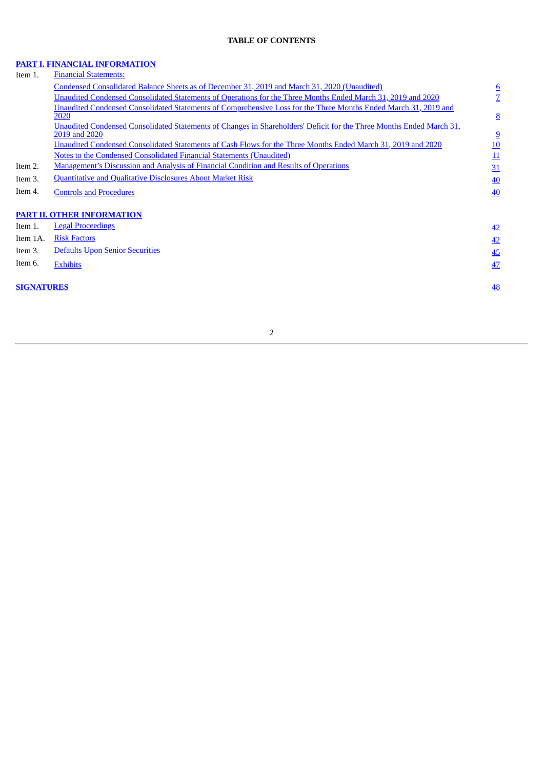# **TABLE OF CONTENTS**

#### **PART I. FINANCIAL [INFORMATION](#page-4-0)**

| Item 1.           | <b>Financial Statements:</b>                                                                                                          |                 |
|-------------------|---------------------------------------------------------------------------------------------------------------------------------------|-----------------|
|                   | Condensed Consolidated Balance Sheets as of December 31, 2019 and March 31, 2020 (Unaudited)                                          | $6\overline{6}$ |
|                   | Unaudited Condensed Consolidated Statements of Operations for the Three Months Ended March 31, 2019 and 2020                          | $\overline{Z}$  |
|                   | Unaudited Condensed Consolidated Statements of Comprehensive Loss for the Three Months Ended March 31, 2019 and                       |                 |
|                   | 2020                                                                                                                                  | 8               |
|                   | Unaudited Condensed Consolidated Statements of Changes in Shareholders' Deficit for the Three Months Ended March 31,<br>2019 and 2020 | 9               |
|                   | Unaudited Condensed Consolidated Statements of Cash Flows for the Three Months Ended March 31, 2019 and 2020                          | 10              |
|                   | <b>Notes to the Condensed Consolidated Financial Statements (Unaudited)</b>                                                           | 11              |
| Item 2.           | <b>Management's Discussion and Analysis of Financial Condition and Results of Operations</b>                                          | 31              |
| Item 3.           | <b>Quantitative and Qualitative Disclosures About Market Risk</b>                                                                     | 40              |
| Item 4.           | <b>Controls and Procedures</b>                                                                                                        | 40              |
|                   | <b>PART II. OTHER INFORMATION</b>                                                                                                     |                 |
| Item 1.           | <b>Legal Proceedings</b>                                                                                                              | 42              |
| Item 1A.          | <b>Risk Factors</b>                                                                                                                   | 42              |
| Item 3.           | <b>Defaults Upon Senior Securities</b>                                                                                                | 45              |
| Item 6.           | <b>Exhibits</b>                                                                                                                       | 47              |
| <b>SIGNATURES</b> |                                                                                                                                       | 48              |
|                   |                                                                                                                                       |                 |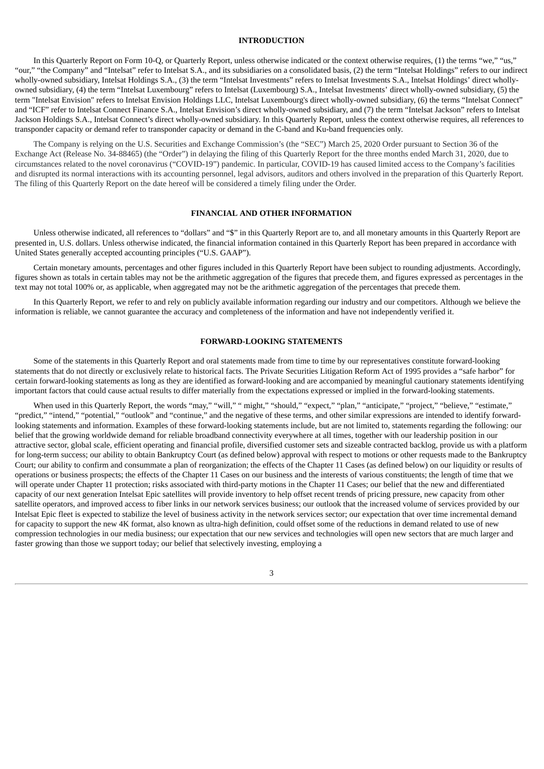#### **INTRODUCTION**

In this Quarterly Report on Form 10-Q, or Quarterly Report, unless otherwise indicated or the context otherwise requires, (1) the terms "we," "us," "our," "the Company" and "Intelsat" refer to Intelsat S.A., and its subsidiaries on a consolidated basis, (2) the term "Intelsat Holdings" refers to our indirect wholly-owned subsidiary, Intelsat Holdings S.A., (3) the term "Intelsat Investments" refers to Intelsat Investments S.A., Intelsat Holdings' direct whollyowned subsidiary, (4) the term "Intelsat Luxembourg" refers to Intelsat (Luxembourg) S.A., Intelsat Investments' direct wholly-owned subsidiary, (5) the term "Intelsat Envision" refers to Intelsat Envision Holdings LLC, Intelsat Luxembourg's direct wholly-owned subsidiary, (6) the terms "Intelsat Connect" and "ICF" refer to Intelsat Connect Finance S.A., Intelsat Envision's direct wholly-owned subsidiary, and (7) the term "Intelsat Jackson" refers to Intelsat Jackson Holdings S.A., Intelsat Connect's direct wholly-owned subsidiary. In this Quarterly Report, unless the context otherwise requires, all references to transponder capacity or demand refer to transponder capacity or demand in the C-band and Ku-band frequencies only.

The Company is relying on the U.S. Securities and Exchange Commission's (the "SEC") March 25, 2020 Order pursuant to Section 36 of the Exchange Act (Release No. 34-88465) (the "Order") in delaying the filing of this Quarterly Report for the three months ended March 31, 2020, due to circumstances related to the novel coronavirus ("COVID-19") pandemic. In particular, COVID-19 has caused limited access to the Company's facilities and disrupted its normal interactions with its accounting personnel, legal advisors, auditors and others involved in the preparation of this Quarterly Report. The filing of this Quarterly Report on the date hereof will be considered a timely filing under the Order.

#### **FINANCIAL AND OTHER INFORMATION**

Unless otherwise indicated, all references to "dollars" and "\$" in this Quarterly Report are to, and all monetary amounts in this Quarterly Report are presented in, U.S. dollars. Unless otherwise indicated, the financial information contained in this Quarterly Report has been prepared in accordance with United States generally accepted accounting principles ("U.S. GAAP").

Certain monetary amounts, percentages and other figures included in this Quarterly Report have been subject to rounding adjustments. Accordingly, figures shown as totals in certain tables may not be the arithmetic aggregation of the figures that precede them, and figures expressed as percentages in the text may not total 100% or, as applicable, when aggregated may not be the arithmetic aggregation of the percentages that precede them.

In this Quarterly Report, we refer to and rely on publicly available information regarding our industry and our competitors. Although we believe the information is reliable, we cannot guarantee the accuracy and completeness of the information and have not independently verified it.

#### **FORWARD-LOOKING STATEMENTS**

Some of the statements in this Quarterly Report and oral statements made from time to time by our representatives constitute forward-looking statements that do not directly or exclusively relate to historical facts. The Private Securities Litigation Reform Act of 1995 provides a "safe harbor" for certain forward-looking statements as long as they are identified as forward-looking and are accompanied by meaningful cautionary statements identifying important factors that could cause actual results to differ materially from the expectations expressed or implied in the forward-looking statements.

When used in this Quarterly Report, the words "may," "will," " might," "should," "expect," "plan," "anticipate," "project," "believe," "estimate," "predict," "intend," "potential," "outlook" and "continue," and the negative of these terms, and other similar expressions are intended to identify forwardlooking statements and information. Examples of these forward-looking statements include, but are not limited to, statements regarding the following: our belief that the growing worldwide demand for reliable broadband connectivity everywhere at all times, together with our leadership position in our attractive sector, global scale, efficient operating and financial profile, diversified customer sets and sizeable contracted backlog, provide us with a platform for long-term success; our ability to obtain Bankruptcy Court (as defined below) approval with respect to motions or other requests made to the Bankruptcy Court; our ability to confirm and consummate a plan of reorganization; the effects of the Chapter 11 Cases (as defined below) on our liquidity or results of operations or business prospects; the effects of the Chapter 11 Cases on our business and the interests of various constituents; the length of time that we will operate under Chapter 11 protection; risks associated with third-party motions in the Chapter 11 Cases; our belief that the new and differentiated capacity of our next generation Intelsat Epic satellites will provide inventory to help offset recent trends of pricing pressure, new capacity from other satellite operators, and improved access to fiber links in our network services business; our outlook that the increased volume of services provided by our Intelsat Epic fleet is expected to stabilize the level of business activity in the network services sector; our expectation that over time incremental demand for capacity to support the new 4K format, also known as ultra-high definition, could offset some of the reductions in demand related to use of new compression technologies in our media business; our expectation that our new services and technologies will open new sectors that are much larger and faster growing than those we support today; our belief that selectively investing, employing a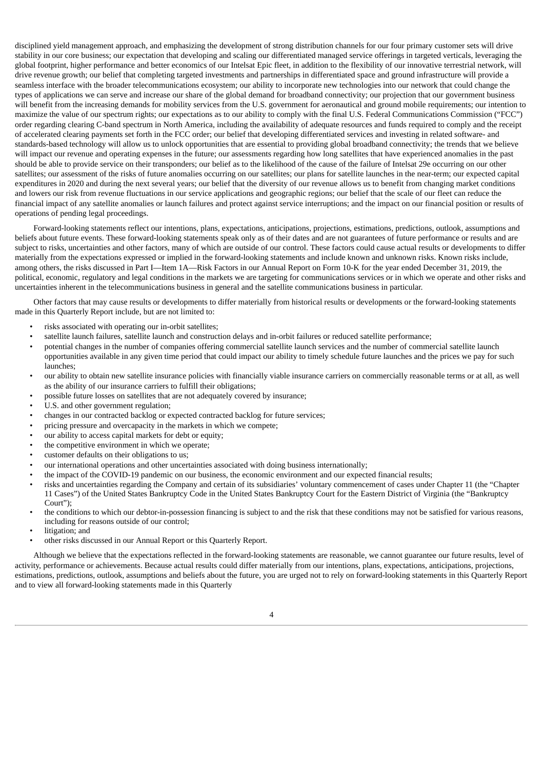disciplined yield management approach, and emphasizing the development of strong distribution channels for our four primary customer sets will drive stability in our core business; our expectation that developing and scaling our differentiated managed service offerings in targeted verticals, leveraging the global footprint, higher performance and better economics of our Intelsat Epic fleet, in addition to the flexibility of our innovative terrestrial network, will drive revenue growth; our belief that completing targeted investments and partnerships in differentiated space and ground infrastructure will provide a seamless interface with the broader telecommunications ecosystem; our ability to incorporate new technologies into our network that could change the types of applications we can serve and increase our share of the global demand for broadband connectivity; our projection that our government business will benefit from the increasing demands for mobility services from the U.S. government for aeronautical and ground mobile requirements; our intention to maximize the value of our spectrum rights; our expectations as to our ability to comply with the final U.S. Federal Communications Commission ("FCC") order regarding clearing C-band spectrum in North America, including the availability of adequate resources and funds required to comply and the receipt of accelerated clearing payments set forth in the FCC order; our belief that developing differentiated services and investing in related software- and standards-based technology will allow us to unlock opportunities that are essential to providing global broadband connectivity; the trends that we believe will impact our revenue and operating expenses in the future; our assessments regarding how long satellites that have experienced anomalies in the past should be able to provide service on their transponders; our belief as to the likelihood of the cause of the failure of Intelsat 29e occurring on our other satellites; our assessment of the risks of future anomalies occurring on our satellites; our plans for satellite launches in the near-term; our expected capital expenditures in 2020 and during the next several years; our belief that the diversity of our revenue allows us to benefit from changing market conditions and lowers our risk from revenue fluctuations in our service applications and geographic regions; our belief that the scale of our fleet can reduce the financial impact of any satellite anomalies or launch failures and protect against service interruptions; and the impact on our financial position or results of operations of pending legal proceedings.

Forward-looking statements reflect our intentions, plans, expectations, anticipations, projections, estimations, predictions, outlook, assumptions and beliefs about future events. These forward-looking statements speak only as of their dates and are not guarantees of future performance or results and are subject to risks, uncertainties and other factors, many of which are outside of our control. These factors could cause actual results or developments to differ materially from the expectations expressed or implied in the forward-looking statements and include known and unknown risks. Known risks include, among others, the risks discussed in Part I—Item 1A—Risk Factors in our Annual Report on Form 10-K for the year ended December 31, 2019, the political, economic, regulatory and legal conditions in the markets we are targeting for communications services or in which we operate and other risks and uncertainties inherent in the telecommunications business in general and the satellite communications business in particular.

Other factors that may cause results or developments to differ materially from historical results or developments or the forward-looking statements made in this Quarterly Report include, but are not limited to:

- risks associated with operating our in-orbit satellites;
- satellite launch failures, satellite launch and construction delays and in-orbit failures or reduced satellite performance;
- potential changes in the number of companies offering commercial satellite launch services and the number of commercial satellite launch opportunities available in any given time period that could impact our ability to timely schedule future launches and the prices we pay for such launches;
- our ability to obtain new satellite insurance policies with financially viable insurance carriers on commercially reasonable terms or at all, as well as the ability of our insurance carriers to fulfill their obligations;
- possible future losses on satellites that are not adequately covered by insurance;
- U.S. and other government regulation;
- changes in our contracted backlog or expected contracted backlog for future services;
- pricing pressure and overcapacity in the markets in which we compete;
- our ability to access capital markets for debt or equity;
- the competitive environment in which we operate;
- customer defaults on their obligations to us;
- our international operations and other uncertainties associated with doing business internationally;
- the impact of the COVID-19 pandemic on our business, the economic environment and our expected financial results;
- risks and uncertainties regarding the Company and certain of its subsidiaries' voluntary commencement of cases under Chapter 11 (the "Chapter 11 Cases") of the United States Bankruptcy Code in the United States Bankruptcy Court for the Eastern District of Virginia (the "Bankruptcy Court");
- the conditions to which our debtor-in-possession financing is subject to and the risk that these conditions may not be satisfied for various reasons, including for reasons outside of our control;
- litigation; and
- other risks discussed in our Annual Report or this Quarterly Report.

Although we believe that the expectations reflected in the forward-looking statements are reasonable, we cannot guarantee our future results, level of activity, performance or achievements. Because actual results could differ materially from our intentions, plans, expectations, anticipations, projections, estimations, predictions, outlook, assumptions and beliefs about the future, you are urged not to rely on forward-looking statements in this Quarterly Report and to view all forward-looking statements made in this Quarterly

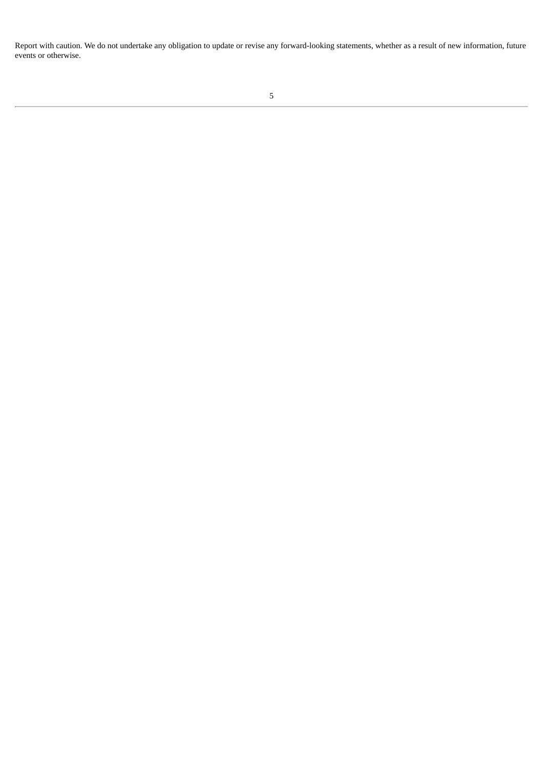<span id="page-4-0"></span>Report with caution. We do not undertake any obligation to update or revise any forward-looking statements, whether as a result of new information, future events or otherwise.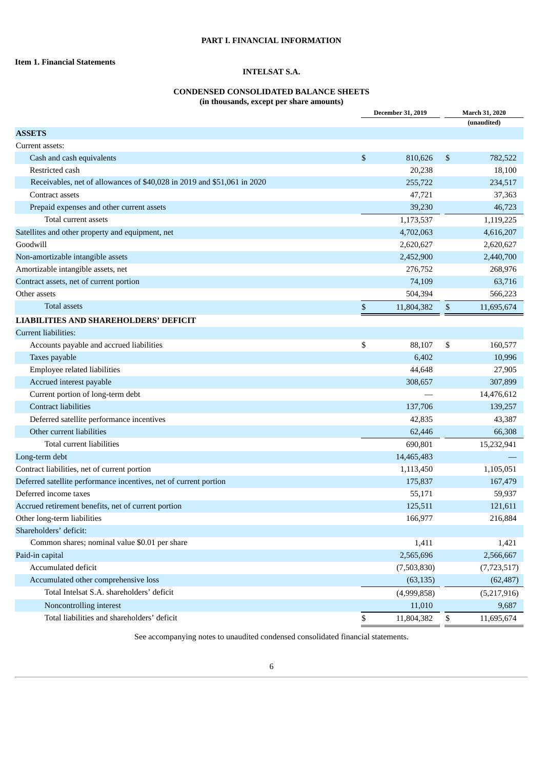# **PART I. FINANCIAL INFORMATION**

# <span id="page-5-1"></span><span id="page-5-0"></span>**Item 1. Financial Statements**

# **INTELSAT S.A.**

# **CONDENSED CONSOLIDATED BALANCE SHEETS**

**(in thousands, except per share amounts)**

|                                                                         | <b>December 31, 2019</b> | March 31, 2020   |
|-------------------------------------------------------------------------|--------------------------|------------------|
|                                                                         |                          | (unaudited)      |
| <b>ASSETS</b>                                                           |                          |                  |
| Current assets:                                                         |                          |                  |
| Cash and cash equivalents                                               | \$<br>810,626            | \$<br>782,522    |
| Restricted cash                                                         | 20,238                   | 18,100           |
| Receivables, net of allowances of \$40,028 in 2019 and \$51,061 in 2020 | 255,722                  | 234,517          |
| Contract assets                                                         | 47,721                   | 37,363           |
| Prepaid expenses and other current assets                               | 39,230                   | 46,723           |
| Total current assets                                                    | 1,173,537                | 1,119,225        |
| Satellites and other property and equipment, net                        | 4,702,063                | 4,616,207        |
| Goodwill                                                                | 2,620,627                | 2,620,627        |
| Non-amortizable intangible assets                                       | 2,452,900                | 2,440,700        |
| Amortizable intangible assets, net                                      | 276,752                  | 268,976          |
| Contract assets, net of current portion                                 | 74,109                   | 63,716           |
| Other assets                                                            | 504,394                  | 566,223          |
| <b>Total assets</b>                                                     | \$<br>11,804,382         | \$<br>11,695,674 |
| <b>LIABILITIES AND SHAREHOLDERS' DEFICIT</b>                            |                          |                  |
| <b>Current liabilities:</b>                                             |                          |                  |
| Accounts payable and accrued liabilities                                | \$<br>88,107             | \$<br>160,577    |
| Taxes payable                                                           | 6,402                    | 10,996           |
| Employee related liabilities                                            | 44,648                   | 27,905           |
| Accrued interest payable                                                | 308,657                  | 307,899          |
| Current portion of long-term debt                                       |                          | 14,476,612       |
| <b>Contract liabilities</b>                                             | 137,706                  | 139,257          |
| Deferred satellite performance incentives                               | 42,835                   | 43,387           |
| Other current liabilities                                               | 62,446                   | 66,308           |
| Total current liabilities                                               | 690,801                  | 15,232,941       |
| Long-term debt                                                          | 14,465,483               |                  |
| Contract liabilities, net of current portion                            | 1,113,450                | 1,105,051        |
| Deferred satellite performance incentives, net of current portion       | 175,837                  | 167,479          |
| Deferred income taxes                                                   | 55,171                   | 59,937           |
| Accrued retirement benefits, net of current portion                     | 125,511                  | 121,611          |
| Other long-term liabilities                                             | 166,977                  | 216,884          |
| Shareholders' deficit:                                                  |                          |                  |
| Common shares; nominal value \$0.01 per share                           | 1,411                    | 1,421            |
| Paid-in capital                                                         | 2,565,696                | 2,566,667        |
| Accumulated deficit                                                     | (7,503,830)              | (7, 723, 517)    |
| Accumulated other comprehensive loss                                    | (63, 135)                | (62, 487)        |
| Total Intelsat S.A. shareholders' deficit                               | (4,999,858)              | (5,217,916)      |
| Noncontrolling interest                                                 | 11,010                   | 9,687            |
| Total liabilities and shareholders' deficit                             | \$<br>11,804,382         | \$<br>11,695,674 |

<span id="page-5-2"></span>See accompanying notes to unaudited condensed consolidated financial statements.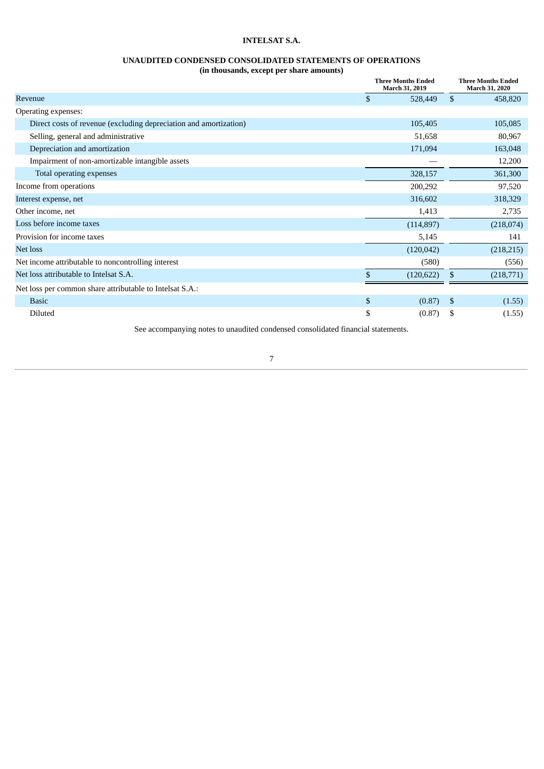# **UNAUDITED CONDENSED CONSOLIDATED STATEMENTS OF OPERATIONS**

**(in thousands, except per share amounts)**

|                                                                   | <b>Three Months Ended</b><br>March 31, 2019 |            |                    | <b>Three Months Ended</b><br>March 31, 2020 |  |  |
|-------------------------------------------------------------------|---------------------------------------------|------------|--------------------|---------------------------------------------|--|--|
| Revenue                                                           | \$                                          | 528,449    | $\mathbf{\hat{S}}$ | 458,820                                     |  |  |
| Operating expenses:                                               |                                             |            |                    |                                             |  |  |
| Direct costs of revenue (excluding depreciation and amortization) |                                             | 105,405    |                    | 105,085                                     |  |  |
| Selling, general and administrative                               |                                             | 51,658     |                    | 80,967                                      |  |  |
| Depreciation and amortization                                     |                                             | 171,094    |                    | 163,048                                     |  |  |
| Impairment of non-amortizable intangible assets                   |                                             |            |                    | 12,200                                      |  |  |
| Total operating expenses                                          |                                             | 328,157    |                    | 361,300                                     |  |  |
| Income from operations                                            |                                             | 200,292    |                    | 97,520                                      |  |  |
| Interest expense, net                                             |                                             | 316,602    |                    | 318,329                                     |  |  |
| Other income, net                                                 |                                             | 1,413      |                    | 2,735                                       |  |  |
| Loss before income taxes                                          |                                             | (114, 897) |                    | (218,074)                                   |  |  |
| Provision for income taxes                                        |                                             | 5,145      |                    | 141                                         |  |  |
| Net loss                                                          |                                             | (120, 042) |                    | (218, 215)                                  |  |  |
| Net income attributable to noncontrolling interest                |                                             | (580)      |                    | (556)                                       |  |  |
| Net loss attributable to Intelsat S.A.                            | \$                                          | (120, 622) | \$                 | (218,771)                                   |  |  |
| Net loss per common share attributable to Intelsat S.A.:          |                                             |            |                    |                                             |  |  |
| <b>Basic</b>                                                      | \$                                          | (0.87)     | - \$               | (1.55)                                      |  |  |
| Diluted                                                           | \$                                          | (0.87)     | S                  | (1.55)                                      |  |  |

<span id="page-6-0"></span>See accompanying notes to unaudited condensed consolidated financial statements.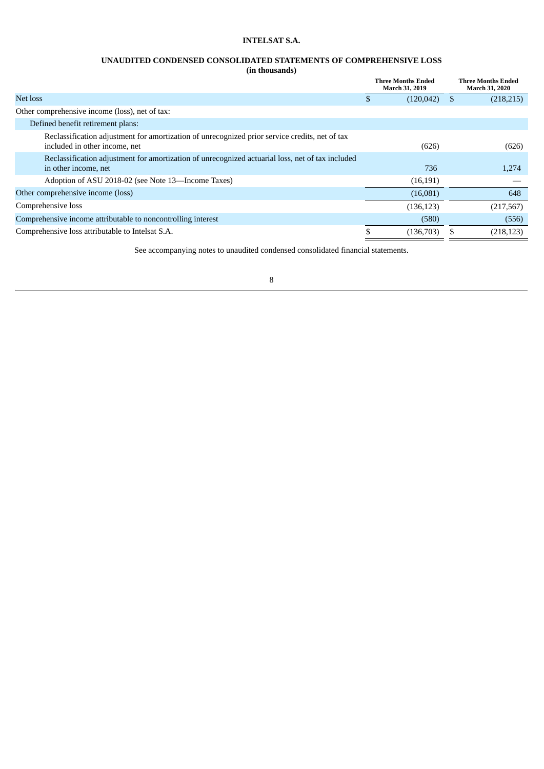# **UNAUDITED CONDENSED CONSOLIDATED STATEMENTS OF COMPREHENSIVE LOSS**

# **(in thousands)**

|                                                                                                                                 | <b>Three Months Ended</b><br>March 31, 2019 | <b>Three Months Ended</b><br><b>March 31, 2020</b> |
|---------------------------------------------------------------------------------------------------------------------------------|---------------------------------------------|----------------------------------------------------|
| Net loss                                                                                                                        | \$<br>(120, 042)                            | (218, 215)                                         |
| Other comprehensive income (loss), net of tax:                                                                                  |                                             |                                                    |
| Defined benefit retirement plans:                                                                                               |                                             |                                                    |
| Reclassification adjustment for amortization of unrecognized prior service credits, net of tax<br>included in other income, net | (626)                                       | (626)                                              |
| Reclassification adjustment for amortization of unrecognized actuarial loss, net of tax included<br>in other income, net        | 736                                         | 1,274                                              |
| Adoption of ASU 2018-02 (see Note 13—Income Taxes)                                                                              | (16, 191)                                   |                                                    |
| Other comprehensive income (loss)                                                                                               | (16,081)                                    | 648                                                |
| Comprehensive loss                                                                                                              | (136, 123)                                  | (217, 567)                                         |
| Comprehensive income attributable to noncontrolling interest                                                                    | (580)                                       | (556)                                              |
| Comprehensive loss attributable to Intelsat S.A.                                                                                | (136, 703)                                  | (218, 123)                                         |

<span id="page-7-0"></span>See accompanying notes to unaudited condensed consolidated financial statements.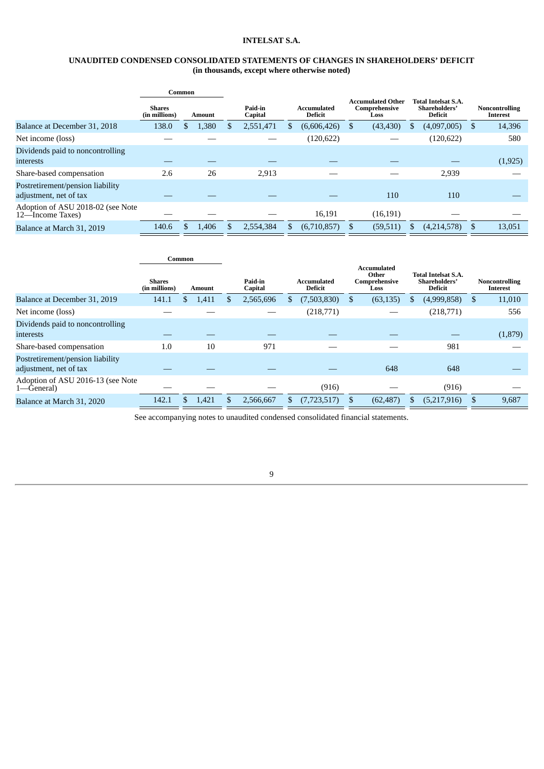# **UNAUDITED CONDENSED CONSOLIDATED STATEMENTS OF CHANGES IN SHAREHOLDERS' DEFICIT (in thousands, except where otherwise noted)**

|                                                            |                                | Common |        |                    |                                      |                                                   |  |                                                               |   |                                   |
|------------------------------------------------------------|--------------------------------|--------|--------|--------------------|--------------------------------------|---------------------------------------------------|--|---------------------------------------------------------------|---|-----------------------------------|
|                                                            | <b>Shares</b><br>(in millions) |        | Amount | Paid-in<br>Capital | <b>Accumulated</b><br><b>Deficit</b> | <b>Accumulated Other</b><br>Comprehensive<br>Loss |  | <b>Total Intelsat S.A.</b><br>Shareholders'<br><b>Deficit</b> |   | <b>Noncontrolling</b><br>Interest |
| Balance at December 31, 2018                               | 138.0                          |        | 1,380  | 2,551,471          | (6,606,426)                          | (43, 430)                                         |  | (4,097,005)                                                   | S | 14,396                            |
| Net income (loss)                                          |                                |        |        |                    | (120, 622)                           |                                                   |  | (120, 622)                                                    |   | 580                               |
| Dividends paid to noncontrolling<br><b>interests</b>       |                                |        |        |                    |                                      |                                                   |  |                                                               |   | (1,925)                           |
| Share-based compensation                                   | 2.6                            |        | 26     | 2,913              |                                      |                                                   |  | 2,939                                                         |   |                                   |
| Postretirement/pension liability<br>adjustment, net of tax |                                |        |        |                    |                                      | 110                                               |  | 110                                                           |   |                                   |
| Adoption of ASU 2018-02 (see Note<br>12-Income Taxes)      |                                |        |        |                    | 16,191                               | (16, 191)                                         |  |                                                               |   |                                   |
| Balance at March 31, 2019                                  | 140.6                          |        | 1,406  | 2.554.384          | (6,710,857)                          | (59, 511)                                         |  | (4,214,578)                                                   |   | 13,051                            |

|                                                            |                                | Common |        |     |                    |    |                               |     |                                               |                                                        |             |   |         |  |  |  |  |  |                                          |
|------------------------------------------------------------|--------------------------------|--------|--------|-----|--------------------|----|-------------------------------|-----|-----------------------------------------------|--------------------------------------------------------|-------------|---|---------|--|--|--|--|--|------------------------------------------|
|                                                            | <b>Shares</b><br>(in millions) |        | Amount |     | Paid-in<br>Capital |    | Accumulated<br><b>Deficit</b> |     | Accumulated<br>Other<br>Comprehensive<br>Loss | <b>Total Intelsat S.A.</b><br>Shareholders'<br>Deficit |             |   |         |  |  |  |  |  | <b>Noncontrolling</b><br><b>Interest</b> |
| Balance at December 31, 2019                               | 141.1                          |        | 1,411  |     | 2,565,696          | S  | (7,503,830)                   | \$. | (63, 135)                                     |                                                        | (4,999,858) | S | 11,010  |  |  |  |  |  |                                          |
| Net income (loss)                                          |                                |        |        |     |                    |    | (218, 771)                    |     |                                               |                                                        | (218,771)   |   | 556     |  |  |  |  |  |                                          |
| Dividends paid to noncontrolling<br>interests              |                                |        |        |     |                    |    |                               |     |                                               |                                                        |             |   | (1,879) |  |  |  |  |  |                                          |
| Share-based compensation                                   | 1.0                            |        | 10     |     | 971                |    |                               |     |                                               |                                                        | 981         |   |         |  |  |  |  |  |                                          |
| Postretirement/pension liability<br>adjustment, net of tax |                                |        |        |     |                    |    |                               |     | 648                                           |                                                        | 648         |   |         |  |  |  |  |  |                                          |
| Adoption of ASU 2016-13 (see Note<br>1—General)            |                                |        |        |     |                    |    | (916)                         |     |                                               |                                                        | (916)       |   |         |  |  |  |  |  |                                          |
| Balance at March 31, 2020                                  | 142.1                          |        | 1,421  | \$. | 2,566,667          | S. | (7, 723, 517)                 |     | (62, 487)                                     | S.                                                     | (5,217,916) |   | 9,687   |  |  |  |  |  |                                          |
|                                                            |                                |        |        |     |                    |    |                               |     |                                               |                                                        |             |   |         |  |  |  |  |  |                                          |

<span id="page-8-0"></span>See accompanying notes to unaudited condensed consolidated financial statements.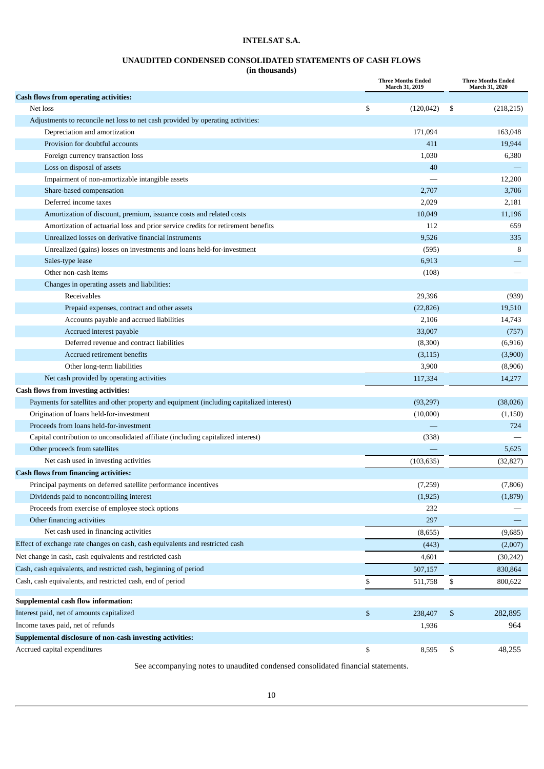# **UNAUDITED CONDENSED CONSOLIDATED STATEMENTS OF CASH FLOWS**

**(in thousands)**

|                                                                                           | <b>Three Months Ended</b><br>March 31, 2019 |    | <b>Three Months Ended</b><br>March 31, 2020 |
|-------------------------------------------------------------------------------------------|---------------------------------------------|----|---------------------------------------------|
| <b>Cash flows from operating activities:</b>                                              |                                             |    |                                             |
| Net loss                                                                                  | \$<br>(120, 042)                            | -S | (218, 215)                                  |
| Adjustments to reconcile net loss to net cash provided by operating activities:           |                                             |    |                                             |
| Depreciation and amortization                                                             | 171,094                                     |    | 163,048                                     |
| Provision for doubtful accounts                                                           | 411                                         |    | 19,944                                      |
| Foreign currency transaction loss                                                         | 1,030                                       |    | 6,380                                       |
| Loss on disposal of assets                                                                | 40                                          |    |                                             |
| Impairment of non-amortizable intangible assets                                           |                                             |    | 12,200                                      |
| Share-based compensation                                                                  | 2,707                                       |    | 3,706                                       |
| Deferred income taxes                                                                     | 2,029                                       |    | 2,181                                       |
| Amortization of discount, premium, issuance costs and related costs                       | 10,049                                      |    | 11,196                                      |
| Amortization of actuarial loss and prior service credits for retirement benefits          | 112                                         |    | 659                                         |
| Unrealized losses on derivative financial instruments                                     | 9,526                                       |    | 335                                         |
| Unrealized (gains) losses on investments and loans held-for-investment                    | (595)                                       |    | 8                                           |
| Sales-type lease                                                                          | 6,913                                       |    |                                             |
| Other non-cash items                                                                      | (108)                                       |    |                                             |
| Changes in operating assets and liabilities:                                              |                                             |    |                                             |
| <b>Receivables</b>                                                                        | 29,396                                      |    | (939)                                       |
| Prepaid expenses, contract and other assets                                               | (22, 826)                                   |    | 19,510                                      |
| Accounts payable and accrued liabilities                                                  | 2,106                                       |    | 14,743                                      |
| Accrued interest payable                                                                  | 33,007                                      |    | (757)                                       |
| Deferred revenue and contract liabilities                                                 | (8,300)                                     |    | (6, 916)                                    |
| Accrued retirement benefits                                                               | (3, 115)                                    |    | (3,900)                                     |
| Other long-term liabilities                                                               | 3,900                                       |    | (8,906)                                     |
| Net cash provided by operating activities                                                 | 117,334                                     |    | 14,277                                      |
| <b>Cash flows from investing activities:</b>                                              |                                             |    |                                             |
| Payments for satellites and other property and equipment (including capitalized interest) | (93, 297)                                   |    | (38,026)                                    |
| Origination of loans held-for-investment                                                  | (10,000)                                    |    | (1, 150)                                    |
| Proceeds from loans held-for-investment                                                   |                                             |    | 724                                         |
| Capital contribution to unconsolidated affiliate (including capitalized interest)         | (338)                                       |    |                                             |
| Other proceeds from satellites                                                            |                                             |    | 5,625                                       |
| Net cash used in investing activities                                                     | (103, 635)                                  |    | (32, 827)                                   |
| <b>Cash flows from financing activities:</b>                                              |                                             |    |                                             |
| Principal payments on deferred satellite performance incentives                           | (7,259)                                     |    | (7,806)                                     |
| Dividends paid to noncontrolling interest                                                 | (1,925)                                     |    | (1,879)                                     |
| Proceeds from exercise of employee stock options                                          | 232                                         |    |                                             |
| Other financing activities                                                                | 297                                         |    |                                             |
| Net cash used in financing activities                                                     | (8,655)                                     |    | (9,685)                                     |
| Effect of exchange rate changes on cash, cash equivalents and restricted cash             | (443)                                       |    | (2,007)                                     |
| Net change in cash, cash equivalents and restricted cash                                  | 4,601                                       |    | (30, 242)                                   |
| Cash, cash equivalents, and restricted cash, beginning of period                          | 507,157                                     |    | 830,864                                     |
| Cash, cash equivalents, and restricted cash, end of period                                | \$<br>511,758                               | \$ | 800,622                                     |
| Supplemental cash flow information:                                                       |                                             |    |                                             |
| Interest paid, net of amounts capitalized                                                 | \$<br>238,407                               | \$ | 282,895                                     |
| Income taxes paid, net of refunds                                                         | 1,936                                       |    | 964                                         |
| Supplemental disclosure of non-cash investing activities:                                 |                                             |    |                                             |
| Accrued capital expenditures                                                              | \$<br>8,595                                 | \$ | 48,255                                      |

<span id="page-9-0"></span>See accompanying notes to unaudited condensed consolidated financial statements.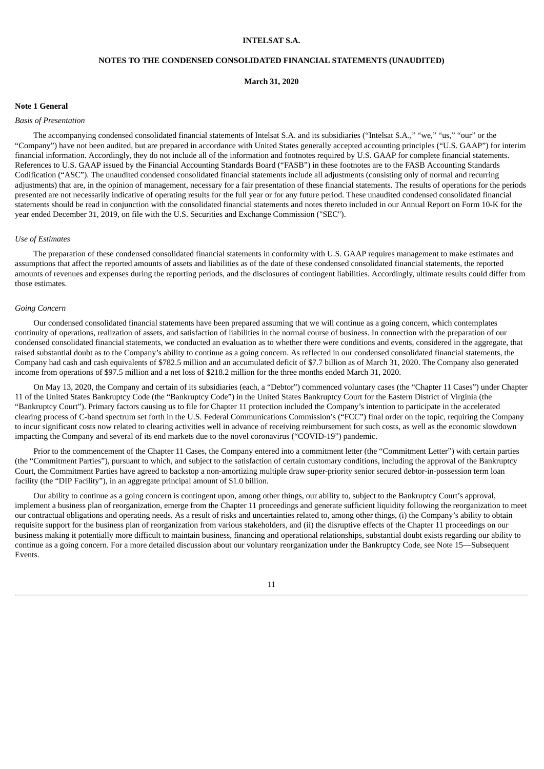#### **NOTES TO THE CONDENSED CONSOLIDATED FINANCIAL STATEMENTS (UNAUDITED)**

**March 31, 2020**

## **Note 1 General**

#### *Basis of Presentation*

The accompanying condensed consolidated financial statements of Intelsat S.A. and its subsidiaries ("Intelsat S.A.," "we," "us," "our" or the "Company") have not been audited, but are prepared in accordance with United States generally accepted accounting principles ("U.S. GAAP") for interim financial information. Accordingly, they do not include all of the information and footnotes required by U.S. GAAP for complete financial statements. References to U.S. GAAP issued by the Financial Accounting Standards Board ("FASB") in these footnotes are to the FASB Accounting Standards Codification ("ASC"). The unaudited condensed consolidated financial statements include all adjustments (consisting only of normal and recurring adjustments) that are, in the opinion of management, necessary for a fair presentation of these financial statements. The results of operations for the periods presented are not necessarily indicative of operating results for the full year or for any future period. These unaudited condensed consolidated financial statements should be read in conjunction with the consolidated financial statements and notes thereto included in our Annual Report on Form 10-K for the year ended December 31, 2019, on file with the U.S. Securities and Exchange Commission ("SEC").

#### *Use of Estimates*

The preparation of these condensed consolidated financial statements in conformity with U.S. GAAP requires management to make estimates and assumptions that affect the reported amounts of assets and liabilities as of the date of these condensed consolidated financial statements, the reported amounts of revenues and expenses during the reporting periods, and the disclosures of contingent liabilities. Accordingly, ultimate results could differ from those estimates.

#### *Going Concern*

Our condensed consolidated financial statements have been prepared assuming that we will continue as a going concern, which contemplates continuity of operations, realization of assets, and satisfaction of liabilities in the normal course of business. In connection with the preparation of our condensed consolidated financial statements, we conducted an evaluation as to whether there were conditions and events, considered in the aggregate, that raised substantial doubt as to the Company's ability to continue as a going concern. As reflected in our condensed consolidated financial statements, the Company had cash and cash equivalents of \$782.5 million and an accumulated deficit of \$7.7 billion as of March 31, 2020. The Company also generated income from operations of \$97.5 million and a net loss of \$218.2 million for the three months ended March 31, 2020.

On May 13, 2020, the Company and certain of its subsidiaries (each, a "Debtor") commenced voluntary cases (the "Chapter 11 Cases") under Chapter 11 of the United States Bankruptcy Code (the "Bankruptcy Code") in the United States Bankruptcy Court for the Eastern District of Virginia (the "Bankruptcy Court"). Primary factors causing us to file for Chapter 11 protection included the Company's intention to participate in the accelerated clearing process of C-band spectrum set forth in the U.S. Federal Communications Commission's ("FCC") final order on the topic, requiring the Company to incur significant costs now related to clearing activities well in advance of receiving reimbursement for such costs, as well as the economic slowdown impacting the Company and several of its end markets due to the novel coronavirus ("COVID-19") pandemic.

Prior to the commencement of the Chapter 11 Cases, the Company entered into a commitment letter (the "Commitment Letter") with certain parties (the "Commitment Parties"), pursuant to which, and subject to the satisfaction of certain customary conditions, including the approval of the Bankruptcy Court, the Commitment Parties have agreed to backstop a non-amortizing multiple draw super-priority senior secured debtor-in-possession term loan facility (the "DIP Facility"), in an aggregate principal amount of \$1.0 billion.

Our ability to continue as a going concern is contingent upon, among other things, our ability to, subject to the Bankruptcy Court's approval, implement a business plan of reorganization, emerge from the Chapter 11 proceedings and generate sufficient liquidity following the reorganization to meet our contractual obligations and operating needs. As a result of risks and uncertainties related to, among other things, (i) the Company's ability to obtain requisite support for the business plan of reorganization from various stakeholders, and (ii) the disruptive effects of the Chapter 11 proceedings on our business making it potentially more difficult to maintain business, financing and operational relationships, substantial doubt exists regarding our ability to continue as a going concern. For a more detailed discussion about our voluntary reorganization under the Bankruptcy Code, see Note 15—Subsequent Events.

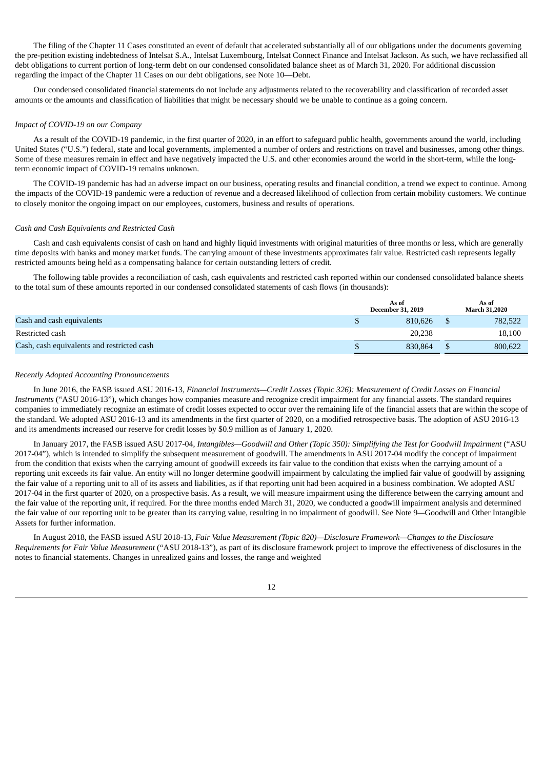The filing of the Chapter 11 Cases constituted an event of default that accelerated substantially all of our obligations under the documents governing the pre-petition existing indebtedness of Intelsat S.A., Intelsat Luxembourg, Intelsat Connect Finance and Intelsat Jackson. As such, we have reclassified all debt obligations to current portion of long-term debt on our condensed consolidated balance sheet as of March 31, 2020. For additional discussion regarding the impact of the Chapter 11 Cases on our debt obligations, see Note 10—Debt.

Our condensed consolidated financial statements do not include any adjustments related to the recoverability and classification of recorded asset amounts or the amounts and classification of liabilities that might be necessary should we be unable to continue as a going concern.

#### *Impact of COVID-19 on our Company*

As a result of the COVID-19 pandemic, in the first quarter of 2020, in an effort to safeguard public health, governments around the world, including United States ("U.S.") federal, state and local governments, implemented a number of orders and restrictions on travel and businesses, among other things. Some of these measures remain in effect and have negatively impacted the U.S. and other economies around the world in the short-term, while the longterm economic impact of COVID-19 remains unknown.

The COVID-19 pandemic has had an adverse impact on our business, operating results and financial condition, a trend we expect to continue. Among the impacts of the COVID-19 pandemic were a reduction of revenue and a decreased likelihood of collection from certain mobility customers. We continue to closely monitor the ongoing impact on our employees, customers, business and results of operations.

#### *Cash and Cash Equivalents and Restricted Cash*

Cash and cash equivalents consist of cash on hand and highly liquid investments with original maturities of three months or less, which are generally time deposits with banks and money market funds. The carrying amount of these investments approximates fair value. Restricted cash represents legally restricted amounts being held as a compensating balance for certain outstanding letters of credit.

The following table provides a reconciliation of cash, cash equivalents and restricted cash reported within our condensed consolidated balance sheets to the total sum of these amounts reported in our condensed consolidated statements of cash flows (in thousands):

|                                            | As of<br><b>December 31, 2019</b> | As of<br><b>March 31.2020</b> |
|--------------------------------------------|-----------------------------------|-------------------------------|
| Cash and cash equivalents                  | 810.626                           | 782.522                       |
| Restricted cash                            | 20,238                            | 18,100                        |
| Cash, cash equivalents and restricted cash | 830.864                           | 800,622                       |

#### *Recently Adopted Accounting Pronouncements*

In June 2016, the FASB issued ASU 2016-13, *Financial Instruments—Credit Losses (Topic 326): Measurement of Credit Losses on Financial Instruments* ("ASU 2016-13"), which changes how companies measure and recognize credit impairment for any financial assets. The standard requires companies to immediately recognize an estimate of credit losses expected to occur over the remaining life of the financial assets that are within the scope of the standard. We adopted ASU 2016-13 and its amendments in the first quarter of 2020, on a modified retrospective basis. The adoption of ASU 2016-13 and its amendments increased our reserve for credit losses by \$0.9 million as of January 1, 2020.

In January 2017, the FASB issued ASU 2017-04, *Intangibles—Goodwill and Other (Topic 350): Simplifying the Test for Goodwill Impairment* ("ASU 2017-04"), which is intended to simplify the subsequent measurement of goodwill. The amendments in ASU 2017-04 modify the concept of impairment from the condition that exists when the carrying amount of goodwill exceeds its fair value to the condition that exists when the carrying amount of a reporting unit exceeds its fair value. An entity will no longer determine goodwill impairment by calculating the implied fair value of goodwill by assigning the fair value of a reporting unit to all of its assets and liabilities, as if that reporting unit had been acquired in a business combination. We adopted ASU 2017-04 in the first quarter of 2020, on a prospective basis. As a result, we will measure impairment using the difference between the carrying amount and the fair value of the reporting unit, if required. For the three months ended March 31, 2020, we conducted a goodwill impairment analysis and determined the fair value of our reporting unit to be greater than its carrying value, resulting in no impairment of goodwill. See Note 9*—*Goodwill and Other Intangible Assets for further information.

In August 2018, the FASB issued ASU 2018-13, *Fair Value Measurement (Topic 820)—Disclosure Framework—Changes to the Disclosure Requirements for Fair Value Measurement* ("ASU 2018-13"), as part of its disclosure framework project to improve the effectiveness of disclosures in the notes to financial statements. Changes in unrealized gains and losses, the range and weighted

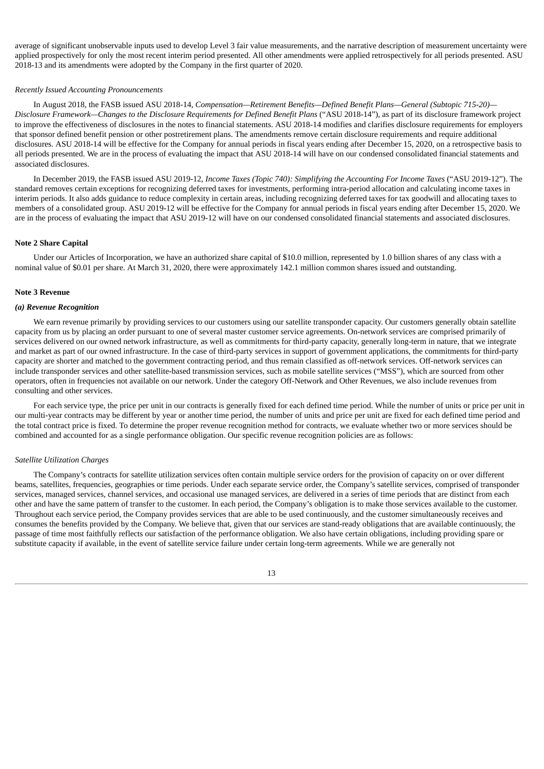average of significant unobservable inputs used to develop Level 3 fair value measurements, and the narrative description of measurement uncertainty were applied prospectively for only the most recent interim period presented. All other amendments were applied retrospectively for all periods presented. ASU 2018-13 and its amendments were adopted by the Company in the first quarter of 2020.

#### *Recently Issued Accounting Pronouncements*

In August 2018, the FASB issued ASU 2018-14, *Compensation—Retirement Benefits—Defined Benefit Plans—General (Subtopic 715-20)— Disclosure Framework—Changes to the Disclosure Requirements for Defined Benefit Plans* ("ASU 2018-14"), as part of its disclosure framework project to improve the effectiveness of disclosures in the notes to financial statements. ASU 2018-14 modifies and clarifies disclosure requirements for employers that sponsor defined benefit pension or other postretirement plans. The amendments remove certain disclosure requirements and require additional disclosures. ASU 2018-14 will be effective for the Company for annual periods in fiscal years ending after December 15, 2020, on a retrospective basis to all periods presented. We are in the process of evaluating the impact that ASU 2018-14 will have on our condensed consolidated financial statements and associated disclosures.

In December 2019, the FASB issued ASU 2019-12, *Income Taxes (Topic 740): Simplifying the Accounting For Income Taxes* ("ASU 2019-12"). The standard removes certain exceptions for recognizing deferred taxes for investments, performing intra-period allocation and calculating income taxes in interim periods. It also adds guidance to reduce complexity in certain areas, including recognizing deferred taxes for tax goodwill and allocating taxes to members of a consolidated group. ASU 2019-12 will be effective for the Company for annual periods in fiscal years ending after December 15, 2020. We are in the process of evaluating the impact that ASU 2019-12 will have on our condensed consolidated financial statements and associated disclosures.

#### **Note 2 Share Capital**

Under our Articles of Incorporation, we have an authorized share capital of \$10.0 million, represented by 1.0 billion shares of any class with a nominal value of \$0.01 per share. At March 31, 2020, there were approximately 142.1 million common shares issued and outstanding.

#### **Note 3 Revenue**

#### *(a) Revenue Recognition*

We earn revenue primarily by providing services to our customers using our satellite transponder capacity. Our customers generally obtain satellite capacity from us by placing an order pursuant to one of several master customer service agreements. On-network services are comprised primarily of services delivered on our owned network infrastructure, as well as commitments for third-party capacity, generally long-term in nature, that we integrate and market as part of our owned infrastructure. In the case of third-party services in support of government applications, the commitments for third-party capacity are shorter and matched to the government contracting period, and thus remain classified as off-network services. Off-network services can include transponder services and other satellite-based transmission services, such as mobile satellite services ("MSS"), which are sourced from other operators, often in frequencies not available on our network. Under the category Off-Network and Other Revenues, we also include revenues from consulting and other services.

For each service type, the price per unit in our contracts is generally fixed for each defined time period. While the number of units or price per unit in our multi-year contracts may be different by year or another time period, the number of units and price per unit are fixed for each defined time period and the total contract price is fixed. To determine the proper revenue recognition method for contracts, we evaluate whether two or more services should be combined and accounted for as a single performance obligation. Our specific revenue recognition policies are as follows:

#### *Satellite Utilization Charges*

The Company's contracts for satellite utilization services often contain multiple service orders for the provision of capacity on or over different beams, satellites, frequencies, geographies or time periods. Under each separate service order, the Company's satellite services, comprised of transponder services, managed services, channel services, and occasional use managed services, are delivered in a series of time periods that are distinct from each other and have the same pattern of transfer to the customer. In each period, the Company's obligation is to make those services available to the customer. Throughout each service period, the Company provides services that are able to be used continuously, and the customer simultaneously receives and consumes the benefits provided by the Company. We believe that, given that our services are stand-ready obligations that are available continuously, the passage of time most faithfully reflects our satisfaction of the performance obligation. We also have certain obligations, including providing spare or substitute capacity if available, in the event of satellite service failure under certain long-term agreements. While we are generally not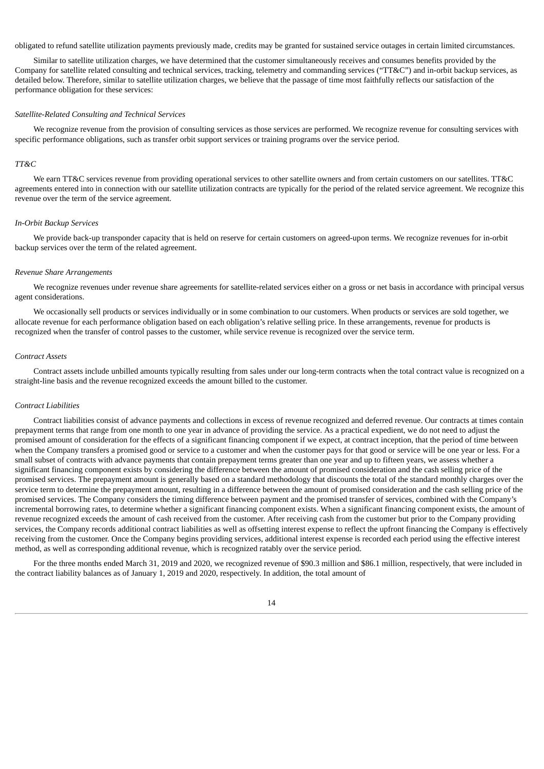obligated to refund satellite utilization payments previously made, credits may be granted for sustained service outages in certain limited circumstances.

Similar to satellite utilization charges, we have determined that the customer simultaneously receives and consumes benefits provided by the Company for satellite related consulting and technical services, tracking, telemetry and commanding services ("TT&C") and in-orbit backup services, as detailed below. Therefore, similar to satellite utilization charges, we believe that the passage of time most faithfully reflects our satisfaction of the performance obligation for these services:

#### *Satellite-Related Consulting and Technical Services*

We recognize revenue from the provision of consulting services as those services are performed. We recognize revenue for consulting services with specific performance obligations, such as transfer orbit support services or training programs over the service period.

#### *TT&C*

We earn TT&C services revenue from providing operational services to other satellite owners and from certain customers on our satellites. TT&C agreements entered into in connection with our satellite utilization contracts are typically for the period of the related service agreement. We recognize this revenue over the term of the service agreement.

#### *In-Orbit Backup Services*

We provide back-up transponder capacity that is held on reserve for certain customers on agreed-upon terms. We recognize revenues for in-orbit backup services over the term of the related agreement.

#### *Revenue Share Arrangements*

We recognize revenues under revenue share agreements for satellite-related services either on a gross or net basis in accordance with principal versus agent considerations.

We occasionally sell products or services individually or in some combination to our customers. When products or services are sold together, we allocate revenue for each performance obligation based on each obligation's relative selling price. In these arrangements, revenue for products is recognized when the transfer of control passes to the customer, while service revenue is recognized over the service term.

#### *Contract Assets*

Contract assets include unbilled amounts typically resulting from sales under our long-term contracts when the total contract value is recognized on a straight-line basis and the revenue recognized exceeds the amount billed to the customer.

#### *Contract Liabilities*

Contract liabilities consist of advance payments and collections in excess of revenue recognized and deferred revenue. Our contracts at times contain prepayment terms that range from one month to one year in advance of providing the service. As a practical expedient, we do not need to adjust the promised amount of consideration for the effects of a significant financing component if we expect, at contract inception, that the period of time between when the Company transfers a promised good or service to a customer and when the customer pays for that good or service will be one year or less. For a small subset of contracts with advance payments that contain prepayment terms greater than one year and up to fifteen years, we assess whether a significant financing component exists by considering the difference between the amount of promised consideration and the cash selling price of the promised services. The prepayment amount is generally based on a standard methodology that discounts the total of the standard monthly charges over the service term to determine the prepayment amount, resulting in a difference between the amount of promised consideration and the cash selling price of the promised services. The Company considers the timing difference between payment and the promised transfer of services, combined with the Company's incremental borrowing rates, to determine whether a significant financing component exists. When a significant financing component exists, the amount of revenue recognized exceeds the amount of cash received from the customer. After receiving cash from the customer but prior to the Company providing services, the Company records additional contract liabilities as well as offsetting interest expense to reflect the upfront financing the Company is effectively receiving from the customer. Once the Company begins providing services, additional interest expense is recorded each period using the effective interest method, as well as corresponding additional revenue, which is recognized ratably over the service period.

For the three months ended March 31, 2019 and 2020, we recognized revenue of \$90.3 million and \$86.1 million, respectively, that were included in the contract liability balances as of January 1, 2019 and 2020, respectively. In addition, the total amount of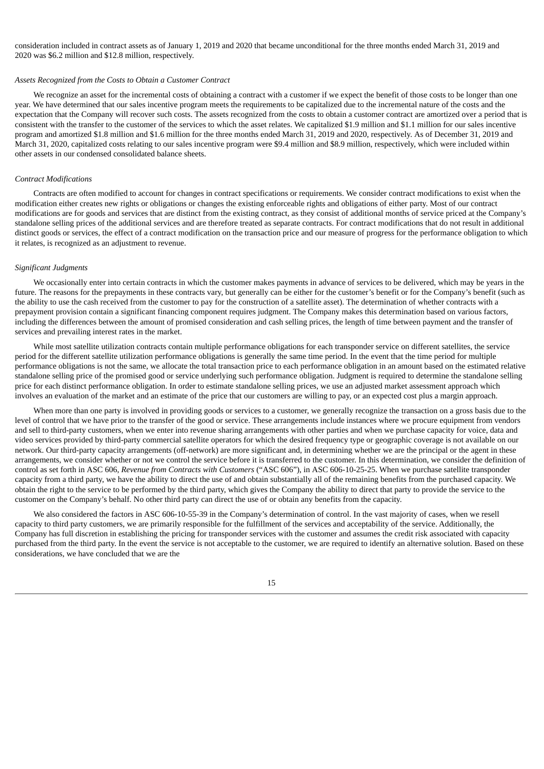consideration included in contract assets as of January 1, 2019 and 2020 that became unconditional for the three months ended March 31, 2019 and 2020 was \$6.2 million and \$12.8 million, respectively.

#### *Assets Recognized from the Costs to Obtain a Customer Contract*

We recognize an asset for the incremental costs of obtaining a contract with a customer if we expect the benefit of those costs to be longer than one year. We have determined that our sales incentive program meets the requirements to be capitalized due to the incremental nature of the costs and the expectation that the Company will recover such costs. The assets recognized from the costs to obtain a customer contract are amortized over a period that is consistent with the transfer to the customer of the services to which the asset relates. We capitalized \$1.9 million and \$1.1 million for our sales incentive program and amortized \$1.8 million and \$1.6 million for the three months ended March 31, 2019 and 2020, respectively. As of December 31, 2019 and March 31, 2020, capitalized costs relating to our sales incentive program were \$9.4 million and \$8.9 million, respectively, which were included within other assets in our condensed consolidated balance sheets.

#### *Contract Modifications*

Contracts are often modified to account for changes in contract specifications or requirements. We consider contract modifications to exist when the modification either creates new rights or obligations or changes the existing enforceable rights and obligations of either party. Most of our contract modifications are for goods and services that are distinct from the existing contract, as they consist of additional months of service priced at the Company's standalone selling prices of the additional services and are therefore treated as separate contracts. For contract modifications that do not result in additional distinct goods or services, the effect of a contract modification on the transaction price and our measure of progress for the performance obligation to which it relates, is recognized as an adjustment to revenue.

#### *Significant Judgments*

We occasionally enter into certain contracts in which the customer makes payments in advance of services to be delivered, which may be years in the future. The reasons for the prepayments in these contracts vary, but generally can be either for the customer's benefit or for the Company's benefit (such as the ability to use the cash received from the customer to pay for the construction of a satellite asset). The determination of whether contracts with a prepayment provision contain a significant financing component requires judgment. The Company makes this determination based on various factors, including the differences between the amount of promised consideration and cash selling prices, the length of time between payment and the transfer of services and prevailing interest rates in the market.

While most satellite utilization contracts contain multiple performance obligations for each transponder service on different satellites, the service period for the different satellite utilization performance obligations is generally the same time period. In the event that the time period for multiple performance obligations is not the same, we allocate the total transaction price to each performance obligation in an amount based on the estimated relative standalone selling price of the promised good or service underlying such performance obligation. Judgment is required to determine the standalone selling price for each distinct performance obligation. In order to estimate standalone selling prices, we use an adjusted market assessment approach which involves an evaluation of the market and an estimate of the price that our customers are willing to pay, or an expected cost plus a margin approach.

When more than one party is involved in providing goods or services to a customer, we generally recognize the transaction on a gross basis due to the level of control that we have prior to the transfer of the good or service. These arrangements include instances where we procure equipment from vendors and sell to third-party customers, when we enter into revenue sharing arrangements with other parties and when we purchase capacity for voice, data and video services provided by third-party commercial satellite operators for which the desired frequency type or geographic coverage is not available on our network. Our third-party capacity arrangements (off-network) are more significant and, in determining whether we are the principal or the agent in these arrangements, we consider whether or not we control the service before it is transferred to the customer. In this determination, we consider the definition of control as set forth in ASC 606, *Revenue from Contracts with Customers* ("ASC 606"), in ASC 606-10-25-25. When we purchase satellite transponder capacity from a third party, we have the ability to direct the use of and obtain substantially all of the remaining benefits from the purchased capacity. We obtain the right to the service to be performed by the third party, which gives the Company the ability to direct that party to provide the service to the customer on the Company's behalf. No other third party can direct the use of or obtain any benefits from the capacity.

We also considered the factors in ASC 606-10-55-39 in the Company's determination of control. In the vast majority of cases, when we resell capacity to third party customers, we are primarily responsible for the fulfillment of the services and acceptability of the service. Additionally, the Company has full discretion in establishing the pricing for transponder services with the customer and assumes the credit risk associated with capacity purchased from the third party. In the event the service is not acceptable to the customer, we are required to identify an alternative solution. Based on these considerations, we have concluded that we are the

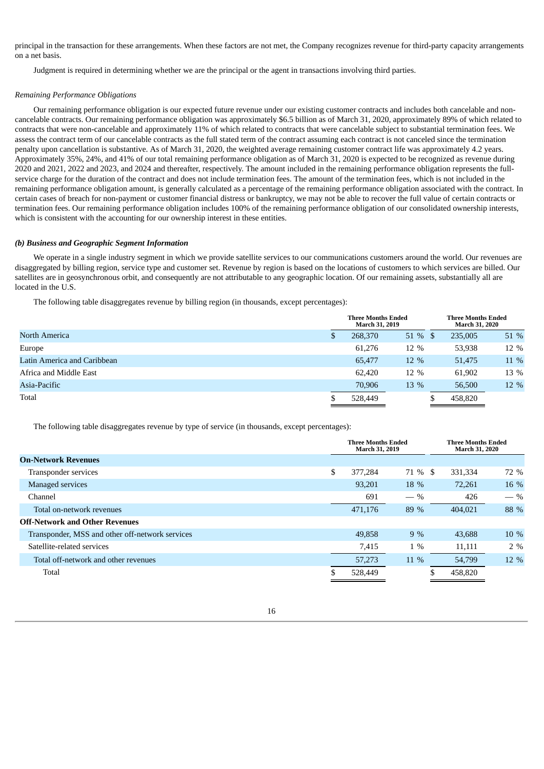principal in the transaction for these arrangements. When these factors are not met, the Company recognizes revenue for third-party capacity arrangements on a net basis.

Judgment is required in determining whether we are the principal or the agent in transactions involving third parties.

#### *Remaining Performance Obligations*

Our remaining performance obligation is our expected future revenue under our existing customer contracts and includes both cancelable and noncancelable contracts. Our remaining performance obligation was approximately \$6.5 billion as of March 31, 2020, approximately 89% of which related to contracts that were non-cancelable and approximately 11% of which related to contracts that were cancelable subject to substantial termination fees. We assess the contract term of our cancelable contracts as the full stated term of the contract assuming each contract is not canceled since the termination penalty upon cancellation is substantive. As of March 31, 2020, the weighted average remaining customer contract life was approximately 4.2 years. Approximately 35%, 24%, and 41% of our total remaining performance obligation as of March 31, 2020 is expected to be recognized as revenue during 2020 and 2021, 2022 and 2023, and 2024 and thereafter, respectively. The amount included in the remaining performance obligation represents the fullservice charge for the duration of the contract and does not include termination fees. The amount of the termination fees, which is not included in the remaining performance obligation amount, is generally calculated as a percentage of the remaining performance obligation associated with the contract. In certain cases of breach for non-payment or customer financial distress or bankruptcy, we may not be able to recover the full value of certain contracts or termination fees. Our remaining performance obligation includes 100% of the remaining performance obligation of our consolidated ownership interests, which is consistent with the accounting for our ownership interest in these entities.

#### *(b) Business and Geographic Segment Information*

We operate in a single industry segment in which we provide satellite services to our communications customers around the world. Our revenues are disaggregated by billing region, service type and customer set. Revenue by region is based on the locations of customers to which services are billed. Our satellites are in geosynchronous orbit, and consequently are not attributable to any geographic location. Of our remaining assets, substantially all are located in the U.S.

The following table disaggregates revenue by billing region (in thousands, except percentages):

|                             |   | <b>Three Months Ended</b><br>March 31, 2019 |         | <b>Three Months Ended</b><br><b>March 31, 2020</b> |      |  |
|-----------------------------|---|---------------------------------------------|---------|----------------------------------------------------|------|--|
| <b>North America</b>        | S | 268,370                                     | 51 % \$ | 235,005                                            | 51 % |  |
| Europe                      |   | 61.276                                      | 12 %    | 53,938                                             | 12 % |  |
| Latin America and Caribbean |   | 65,477                                      | 12 %    | 51,475                                             | 11 % |  |
| Africa and Middle East      |   | 62.420                                      | 12 %    | 61,902                                             | 13 % |  |
| Asia-Pacific                |   | 70.906                                      | 13 %    | 56,500                                             | 12 % |  |
| Total                       |   | 528,449                                     |         | 458,820                                            |      |  |

The following table disaggregates revenue by type of service (in thousands, except percentages):

|                                                 | <b>Three Months Ended</b><br>March 31, 2019 |         | <b>Three Months Ended</b><br><b>March 31, 2020</b> |       |  |
|-------------------------------------------------|---------------------------------------------|---------|----------------------------------------------------|-------|--|
| <b>On-Network Revenues</b>                      |                                             |         |                                                    |       |  |
| Transponder services                            | \$<br>377.284                               | 71 % \$ | 331,334                                            | 72 %  |  |
| Managed services                                | 93,201                                      | 18 %    | 72,261                                             | 16 %  |  |
| Channel                                         | 691                                         | $-$ %   | 426                                                | $-$ % |  |
| Total on-network revenues                       | 471,176                                     | 89 %    | 404.021                                            | 88 %  |  |
| <b>Off-Network and Other Revenues</b>           |                                             |         |                                                    |       |  |
| Transponder, MSS and other off-network services | 49,858                                      | $9\%$   | 43.688                                             | 10 %  |  |
| Satellite-related services                      | 7,415                                       | $1\%$   | 11,111                                             | $2\%$ |  |
| Total off-network and other revenues            | 57,273                                      | 11 %    | 54,799                                             | 12 %  |  |
| Total                                           | 528,449                                     |         | 458,820                                            |       |  |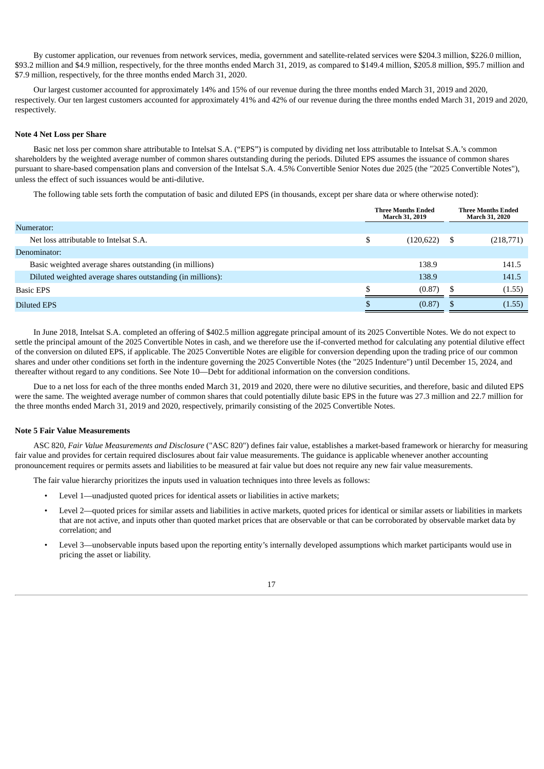By customer application, our revenues from network services, media, government and satellite-related services were \$204.3 million, \$226.0 million, \$93.2 million and \$4.9 million, respectively, for the three months ended March 31, 2019, as compared to \$149.4 million, \$205.8 million, \$95.7 million and \$7.9 million, respectively, for the three months ended March 31, 2020.

Our largest customer accounted for approximately 14% and 15% of our revenue during the three months ended March 31, 2019 and 2020, respectively. Our ten largest customers accounted for approximately 41% and 42% of our revenue during the three months ended March 31, 2019 and 2020, respectively.

#### **Note 4 Net Loss per Share**

Basic net loss per common share attributable to Intelsat S.A. ("EPS") is computed by dividing net loss attributable to Intelsat S.A.'s common shareholders by the weighted average number of common shares outstanding during the periods. Diluted EPS assumes the issuance of common shares pursuant to share-based compensation plans and conversion of the Intelsat S.A. 4.5% Convertible Senior Notes due 2025 (the "2025 Convertible Notes"), unless the effect of such issuances would be anti-dilutive.

The following table sets forth the computation of basic and diluted EPS (in thousands, except per share data or where otherwise noted):

|                                                            | <b>Three Months Ended</b><br>March 31, 2019 | <b>Three Months Ended</b><br><b>March 31, 2020</b> |
|------------------------------------------------------------|---------------------------------------------|----------------------------------------------------|
| Numerator:                                                 |                                             |                                                    |
| Net loss attributable to Intelsat S.A.                     | \$<br>(120, 622)                            | \$<br>(218,771)                                    |
| Denominator:                                               |                                             |                                                    |
| Basic weighted average shares outstanding (in millions)    | 138.9                                       | 141.5                                              |
| Diluted weighted average shares outstanding (in millions): | 138.9                                       | 141.5                                              |
| <b>Basic EPS</b>                                           | ¢<br>(0.87)                                 | (1.55)<br>S                                        |
| <b>Diluted EPS</b>                                         | (0.87)                                      | (1.55)                                             |

In June 2018, Intelsat S.A. completed an offering of \$402.5 million aggregate principal amount of its 2025 Convertible Notes. We do not expect to settle the principal amount of the 2025 Convertible Notes in cash, and we therefore use the if-converted method for calculating any potential dilutive effect of the conversion on diluted EPS, if applicable. The 2025 Convertible Notes are eligible for conversion depending upon the trading price of our common shares and under other conditions set forth in the indenture governing the 2025 Convertible Notes (the "2025 Indenture") until December 15, 2024, and thereafter without regard to any conditions. See Note 10—Debt for additional information on the conversion conditions.

Due to a net loss for each of the three months ended March 31, 2019 and 2020, there were no dilutive securities, and therefore, basic and diluted EPS were the same. The weighted average number of common shares that could potentially dilute basic EPS in the future was 27.3 million and 22.7 million for the three months ended March 31, 2019 and 2020, respectively, primarily consisting of the 2025 Convertible Notes.

#### **Note 5 Fair Value Measurements**

ASC 820, *Fair Value Measurements and Disclosure* ("ASC 820") defines fair value, establishes a market-based framework or hierarchy for measuring fair value and provides for certain required disclosures about fair value measurements. The guidance is applicable whenever another accounting pronouncement requires or permits assets and liabilities to be measured at fair value but does not require any new fair value measurements.

The fair value hierarchy prioritizes the inputs used in valuation techniques into three levels as follows:

- Level 1—unadjusted quoted prices for identical assets or liabilities in active markets;
- Level 2—quoted prices for similar assets and liabilities in active markets, quoted prices for identical or similar assets or liabilities in markets that are not active, and inputs other than quoted market prices that are observable or that can be corroborated by observable market data by correlation; and
- Level 3—unobservable inputs based upon the reporting entity's internally developed assumptions which market participants would use in pricing the asset or liability.

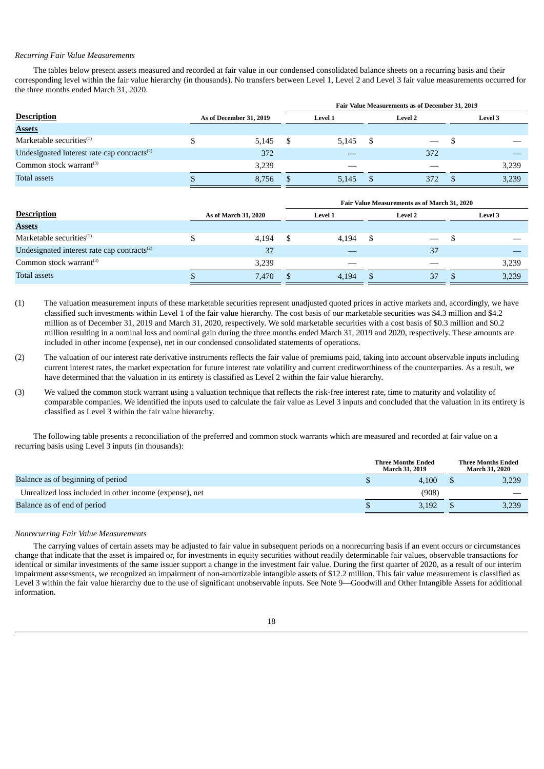#### *Recurring Fair Value Measurements*

The tables below present assets measured and recorded at fair value in our condensed consolidated balance sheets on a recurring basis and their corresponding level within the fair value hierarchy (in thousands). No transfers between Level 1, Level 2 and Level 3 fair value measurements occurred for the three months ended March 31, 2020.

|                                                   |                         | Fair Value Measurements as of December 31, 2019 |                |                |     |  |                |       |  |  |  |
|---------------------------------------------------|-------------------------|-------------------------------------------------|----------------|----------------|-----|--|----------------|-------|--|--|--|
| <b>Description</b>                                | As of December 31, 2019 |                                                 | <b>Level 1</b> | <b>Level 2</b> |     |  | <b>Level 3</b> |       |  |  |  |
| <b>Assets</b>                                     |                         |                                                 |                |                |     |  |                |       |  |  |  |
| Marketable securities $(1)$                       | 5,145                   |                                                 | 5.145          | - \$           |     |  |                |       |  |  |  |
| Undesignated interest rate cap contracts $^{(2)}$ | 372                     |                                                 |                |                | 372 |  |                |       |  |  |  |
| Common stock warrant $(3)$                        | 3.239                   |                                                 | __             |                |     |  | 3,239          |       |  |  |  |
| <b>Total assets</b>                               | 8.756                   | 5.145                                           |                | 372            |     |  |                | 3,239 |  |  |  |
|                                                   |                         |                                                 |                |                |     |  |                |       |  |  |  |

|                                                         |                      | Fair Value Measurements as of March 31, 2020 |                |     |                |  |       |  |  |  |
|---------------------------------------------------------|----------------------|----------------------------------------------|----------------|-----|----------------|--|-------|--|--|--|
| <b>Description</b>                                      | As of March 31, 2020 |                                              | <b>Level 1</b> |     | <b>Level 3</b> |  |       |  |  |  |
| <b>Assets</b>                                           |                      |                                              |                |     |                |  |       |  |  |  |
| Marketable securities $(1)$                             | 4,194                |                                              | 4.194          | -\$ |                |  |       |  |  |  |
| Undesignated interest rate cap contracts <sup>(2)</sup> | 37                   |                                              |                |     | 37             |  |       |  |  |  |
| Common stock warrant $(3)$                              | 3,239                |                                              |                |     |                |  | 3,239 |  |  |  |
| <b>Total assets</b>                                     | 7.470                |                                              | 4.194          |     | 37             |  | 3,239 |  |  |  |

- (1) The valuation measurement inputs of these marketable securities represent unadjusted quoted prices in active markets and, accordingly, we have classified such investments within Level 1 of the fair value hierarchy. The cost basis of our marketable securities was \$4.3 million and \$4.2 million as of December 31, 2019 and March 31, 2020, respectively. We sold marketable securities with a cost basis of \$0.3 million and \$0.2 million resulting in a nominal loss and nominal gain during the three months ended March 31, 2019 and 2020, respectively. These amounts are included in other income (expense), net in our condensed consolidated statements of operations.
- (2) The valuation of our interest rate derivative instruments reflects the fair value of premiums paid, taking into account observable inputs including current interest rates, the market expectation for future interest rate volatility and current creditworthiness of the counterparties. As a result, we have determined that the valuation in its entirety is classified as Level 2 within the fair value hierarchy.
- (3) We valued the common stock warrant using a valuation technique that reflects the risk-free interest rate, time to maturity and volatility of comparable companies. We identified the inputs used to calculate the fair value as Level 3 inputs and concluded that the valuation in its entirety is classified as Level 3 within the fair value hierarchy.

The following table presents a reconciliation of the preferred and common stock warrants which are measured and recorded at fair value on a recurring basis using Level 3 inputs (in thousands):

|                                                         | <b>Three Months Ended</b><br><b>March 31, 2019</b> | <b>Three Months Ended</b><br><b>March 31, 2020</b> |
|---------------------------------------------------------|----------------------------------------------------|----------------------------------------------------|
| Balance as of beginning of period                       | 4.100                                              | 3,239                                              |
| Unrealized loss included in other income (expense), net | (908)                                              |                                                    |
| Balance as of end of period                             | 3.192                                              | 3,239                                              |
|                                                         |                                                    |                                                    |

#### *Nonrecurring Fair Value Measurements*

The carrying values of certain assets may be adjusted to fair value in subsequent periods on a nonrecurring basis if an event occurs or circumstances change that indicate that the asset is impaired or, for investments in equity securities without readily determinable fair values, observable transactions for identical or similar investments of the same issuer support a change in the investment fair value. During the first quarter of 2020, as a result of our interim impairment assessments, we recognized an impairment of non-amortizable intangible assets of \$12.2 million. This fair value measurement is classified as Level 3 within the fair value hierarchy due to the use of significant unobservable inputs. See Note 9—Goodwill and Other Intangible Assets for additional information.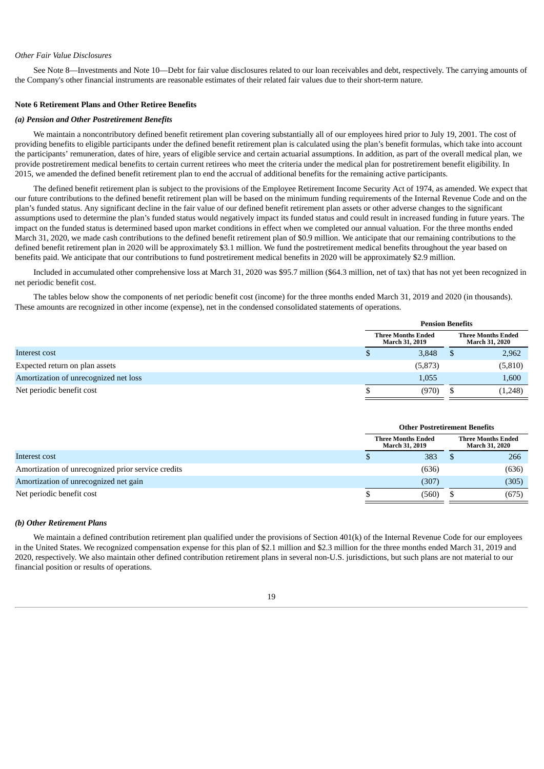#### *Other Fair Value Disclosures*

See Note 8—Investments and Note 10—Debt for fair value disclosures related to our loan receivables and debt, respectively. The carrying amounts of the Company's other financial instruments are reasonable estimates of their related fair values due to their short-term nature.

#### **Note 6 Retirement Plans and Other Retiree Benefits**

#### *(a) Pension and Other Postretirement Benefits*

We maintain a noncontributory defined benefit retirement plan covering substantially all of our employees hired prior to July 19, 2001. The cost of providing benefits to eligible participants under the defined benefit retirement plan is calculated using the plan's benefit formulas, which take into account the participants' remuneration, dates of hire, years of eligible service and certain actuarial assumptions. In addition, as part of the overall medical plan, we provide postretirement medical benefits to certain current retirees who meet the criteria under the medical plan for postretirement benefit eligibility. In 2015, we amended the defined benefit retirement plan to end the accrual of additional benefits for the remaining active participants.

The defined benefit retirement plan is subject to the provisions of the Employee Retirement Income Security Act of 1974, as amended. We expect that our future contributions to the defined benefit retirement plan will be based on the minimum funding requirements of the Internal Revenue Code and on the plan's funded status. Any significant decline in the fair value of our defined benefit retirement plan assets or other adverse changes to the significant assumptions used to determine the plan's funded status would negatively impact its funded status and could result in increased funding in future years. The impact on the funded status is determined based upon market conditions in effect when we completed our annual valuation. For the three months ended March 31, 2020, we made cash contributions to the defined benefit retirement plan of \$0.9 million. We anticipate that our remaining contributions to the defined benefit retirement plan in 2020 will be approximately \$3.1 million. We fund the postretirement medical benefits throughout the year based on benefits paid. We anticipate that our contributions to fund postretirement medical benefits in 2020 will be approximately \$2.9 million.

Included in accumulated other comprehensive loss at March 31, 2020 was \$95.7 million (\$64.3 million, net of tax) that has not yet been recognized in net periodic benefit cost.

The tables below show the components of net periodic benefit cost (income) for the three months ended March 31, 2019 and 2020 (in thousands). These amounts are recognized in other income (expense), net in the condensed consolidated statements of operations.

|                                       | <b>Pension Benefits</b>                     |         |  |                                                    |  |  |
|---------------------------------------|---------------------------------------------|---------|--|----------------------------------------------------|--|--|
|                                       | <b>Three Months Ended</b><br>March 31, 2019 |         |  | <b>Three Months Ended</b><br><b>March 31, 2020</b> |  |  |
| Interest cost                         |                                             | 2,962   |  |                                                    |  |  |
| Expected return on plan assets        |                                             | (5,873) |  | (5, 810)                                           |  |  |
| Amortization of unrecognized net loss | 1,600<br>1,055                              |         |  |                                                    |  |  |
| Net periodic benefit cost             | (970)<br>(1,248)                            |         |  |                                                    |  |  |

|                                                    | <b>Other Postretirement Benefits</b> |                                             |  |                                                    |  |
|----------------------------------------------------|--------------------------------------|---------------------------------------------|--|----------------------------------------------------|--|
|                                                    |                                      | <b>Three Months Ended</b><br>March 31, 2019 |  | <b>Three Months Ended</b><br><b>March 31, 2020</b> |  |
| Interest cost                                      |                                      | 266                                         |  |                                                    |  |
| Amortization of unrecognized prior service credits | (636)                                |                                             |  | (636)                                              |  |
| Amortization of unrecognized net gain              | (307)                                |                                             |  | (305)                                              |  |
| Net periodic benefit cost                          | (560)<br>(675)                       |                                             |  |                                                    |  |

#### *(b) Other Retirement Plans*

We maintain a defined contribution retirement plan qualified under the provisions of Section 401(k) of the Internal Revenue Code for our employees in the United States. We recognized compensation expense for this plan of \$2.1 million and \$2.3 million for the three months ended March 31, 2019 and 2020, respectively. We also maintain other defined contribution retirement plans in several non-U.S. jurisdictions, but such plans are not material to our financial position or results of operations.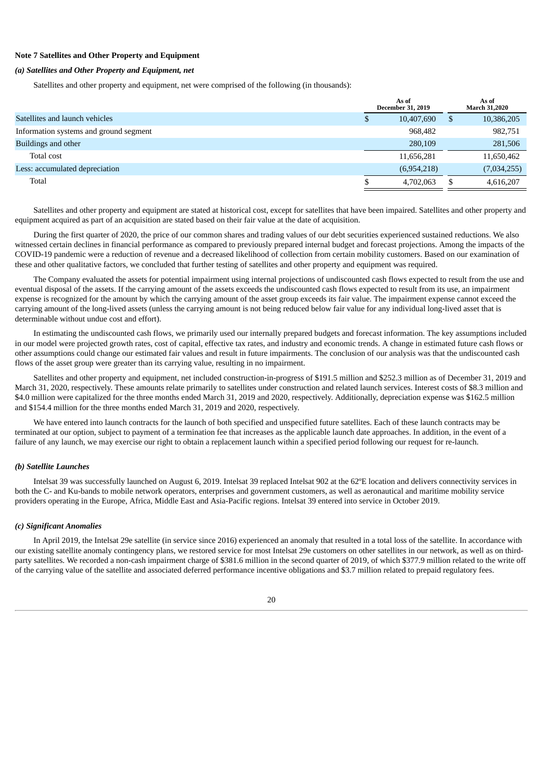## **Note 7 Satellites and Other Property and Equipment**

#### *(a) Satellites and Other Property and Equipment, net*

Satellites and other property and equipment, net were comprised of the following (in thousands):

|                                        |   | As of<br><b>December 31, 2019</b> |   | As of<br><b>March 31,2020</b> |
|----------------------------------------|---|-----------------------------------|---|-------------------------------|
| Satellites and launch vehicles         | Č | 10,407,690                        | S | 10,386,205                    |
| Information systems and ground segment |   | 968,482                           |   | 982,751                       |
| Buildings and other                    |   | 280,109                           |   | 281,506                       |
| Total cost                             |   | 11,656,281                        |   | 11,650,462                    |
| Less: accumulated depreciation         |   | (6,954,218)                       |   | (7,034,255)                   |
| Total                                  |   | 4,702,063                         |   | 4,616,207                     |

Satellites and other property and equipment are stated at historical cost, except for satellites that have been impaired. Satellites and other property and equipment acquired as part of an acquisition are stated based on their fair value at the date of acquisition.

During the first quarter of 2020, the price of our common shares and trading values of our debt securities experienced sustained reductions. We also witnessed certain declines in financial performance as compared to previously prepared internal budget and forecast projections. Among the impacts of the COVID-19 pandemic were a reduction of revenue and a decreased likelihood of collection from certain mobility customers. Based on our examination of these and other qualitative factors, we concluded that further testing of satellites and other property and equipment was required.

The Company evaluated the assets for potential impairment using internal projections of undiscounted cash flows expected to result from the use and eventual disposal of the assets. If the carrying amount of the assets exceeds the undiscounted cash flows expected to result from its use, an impairment expense is recognized for the amount by which the carrying amount of the asset group exceeds its fair value. The impairment expense cannot exceed the carrying amount of the long-lived assets (unless the carrying amount is not being reduced below fair value for any individual long-lived asset that is determinable without undue cost and effort).

In estimating the undiscounted cash flows, we primarily used our internally prepared budgets and forecast information. The key assumptions included in our model were projected growth rates, cost of capital, effective tax rates, and industry and economic trends. A change in estimated future cash flows or other assumptions could change our estimated fair values and result in future impairments. The conclusion of our analysis was that the undiscounted cash flows of the asset group were greater than its carrying value, resulting in no impairment.

Satellites and other property and equipment, net included construction-in-progress of \$191.5 million and \$252.3 million as of December 31, 2019 and March 31, 2020, respectively. These amounts relate primarily to satellites under construction and related launch services. Interest costs of \$8.3 million and \$4.0 million were capitalized for the three months ended March 31, 2019 and 2020, respectively. Additionally, depreciation expense was \$162.5 million and \$154.4 million for the three months ended March 31, 2019 and 2020, respectively.

We have entered into launch contracts for the launch of both specified and unspecified future satellites. Each of these launch contracts may be terminated at our option, subject to payment of a termination fee that increases as the applicable launch date approaches. In addition, in the event of a failure of any launch, we may exercise our right to obtain a replacement launch within a specified period following our request for re-launch.

#### *(b) Satellite Launches*

Intelsat 39 was successfully launched on August 6, 2019. Intelsat 39 replaced Intelsat 902 at the 62ºE location and delivers connectivity services in both the C- and Ku-bands to mobile network operators, enterprises and government customers, as well as aeronautical and maritime mobility service providers operating in the Europe, Africa, Middle East and Asia-Pacific regions. Intelsat 39 entered into service in October 2019.

#### *(c) Significant Anomalies*

In April 2019, the Intelsat 29e satellite (in service since 2016) experienced an anomaly that resulted in a total loss of the satellite. In accordance with our existing satellite anomaly contingency plans, we restored service for most Intelsat 29e customers on other satellites in our network, as well as on thirdparty satellites. We recorded a non-cash impairment charge of \$381.6 million in the second quarter of 2019, of which \$377.9 million related to the write off of the carrying value of the satellite and associated deferred performance incentive obligations and \$3.7 million related to prepaid regulatory fees.

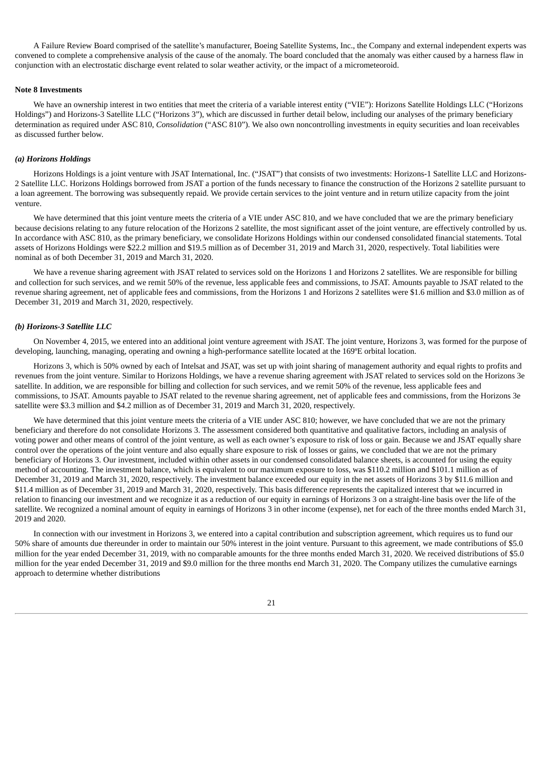A Failure Review Board comprised of the satellite's manufacturer, Boeing Satellite Systems, Inc., the Company and external independent experts was convened to complete a comprehensive analysis of the cause of the anomaly. The board concluded that the anomaly was either caused by a harness flaw in conjunction with an electrostatic discharge event related to solar weather activity, or the impact of a micrometeoroid.

#### **Note 8 Investments**

We have an ownership interest in two entities that meet the criteria of a variable interest entity ("VIE"): Horizons Satellite Holdings LLC ("Horizons Holdings") and Horizons-3 Satellite LLC ("Horizons 3"), which are discussed in further detail below, including our analyses of the primary beneficiary determination as required under ASC 810, *Consolidation* ("ASC 810"). We also own noncontrolling investments in equity securities and loan receivables as discussed further below.

#### *(a) Horizons Holdings*

Horizons Holdings is a joint venture with JSAT International, Inc. ("JSAT") that consists of two investments: Horizons-1 Satellite LLC and Horizons-2 Satellite LLC. Horizons Holdings borrowed from JSAT a portion of the funds necessary to finance the construction of the Horizons 2 satellite pursuant to a loan agreement. The borrowing was subsequently repaid. We provide certain services to the joint venture and in return utilize capacity from the joint venture.

We have determined that this joint venture meets the criteria of a VIE under ASC 810, and we have concluded that we are the primary beneficiary because decisions relating to any future relocation of the Horizons 2 satellite, the most significant asset of the joint venture, are effectively controlled by us. In accordance with ASC 810, as the primary beneficiary, we consolidate Horizons Holdings within our condensed consolidated financial statements. Total assets of Horizons Holdings were \$22.2 million and \$19.5 million as of December 31, 2019 and March 31, 2020, respectively. Total liabilities were nominal as of both December 31, 2019 and March 31, 2020.

We have a revenue sharing agreement with JSAT related to services sold on the Horizons 1 and Horizons 2 satellites. We are responsible for billing and collection for such services, and we remit 50% of the revenue, less applicable fees and commissions, to JSAT. Amounts payable to JSAT related to the revenue sharing agreement, net of applicable fees and commissions, from the Horizons 1 and Horizons 2 satellites were \$1.6 million and \$3.0 million as of December 31, 2019 and March 31, 2020, respectively.

#### *(b) Horizons-3 Satellite LLC*

On November 4, 2015, we entered into an additional joint venture agreement with JSAT. The joint venture, Horizons 3, was formed for the purpose of developing, launching, managing, operating and owning a high-performance satellite located at the 169ºE orbital location.

Horizons 3, which is 50% owned by each of Intelsat and JSAT, was set up with joint sharing of management authority and equal rights to profits and revenues from the joint venture. Similar to Horizons Holdings, we have a revenue sharing agreement with JSAT related to services sold on the Horizons 3e satellite. In addition, we are responsible for billing and collection for such services, and we remit 50% of the revenue, less applicable fees and commissions, to JSAT. Amounts payable to JSAT related to the revenue sharing agreement, net of applicable fees and commissions, from the Horizons 3e satellite were \$3.3 million and \$4.2 million as of December 31, 2019 and March 31, 2020, respectively.

We have determined that this joint venture meets the criteria of a VIE under ASC 810; however, we have concluded that we are not the primary beneficiary and therefore do not consolidate Horizons 3. The assessment considered both quantitative and qualitative factors, including an analysis of voting power and other means of control of the joint venture, as well as each owner's exposure to risk of loss or gain. Because we and JSAT equally share control over the operations of the joint venture and also equally share exposure to risk of losses or gains, we concluded that we are not the primary beneficiary of Horizons 3. Our investment, included within other assets in our condensed consolidated balance sheets, is accounted for using the equity method of accounting. The investment balance, which is equivalent to our maximum exposure to loss, was \$110.2 million and \$101.1 million as of December 31, 2019 and March 31, 2020, respectively. The investment balance exceeded our equity in the net assets of Horizons 3 by \$11.6 million and \$11.4 million as of December 31, 2019 and March 31, 2020, respectively. This basis difference represents the capitalized interest that we incurred in relation to financing our investment and we recognize it as a reduction of our equity in earnings of Horizons 3 on a straight-line basis over the life of the satellite. We recognized a nominal amount of equity in earnings of Horizons 3 in other income (expense), net for each of the three months ended March 31, 2019 and 2020.

In connection with our investment in Horizons 3, we entered into a capital contribution and subscription agreement, which requires us to fund our 50% share of amounts due thereunder in order to maintain our 50% interest in the joint venture. Pursuant to this agreement, we made contributions of \$5.0 million for the year ended December 31, 2019, with no comparable amounts for the three months ended March 31, 2020. We received distributions of \$5.0 million for the year ended December 31, 2019 and \$9.0 million for the three months end March 31, 2020. The Company utilizes the cumulative earnings approach to determine whether distributions

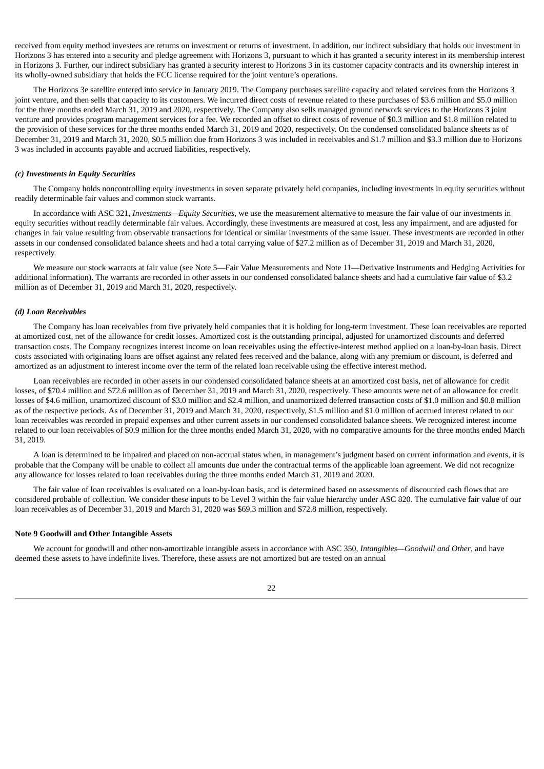received from equity method investees are returns on investment or returns of investment. In addition, our indirect subsidiary that holds our investment in Horizons 3 has entered into a security and pledge agreement with Horizons 3, pursuant to which it has granted a security interest in its membership interest in Horizons 3. Further, our indirect subsidiary has granted a security interest to Horizons 3 in its customer capacity contracts and its ownership interest in its wholly-owned subsidiary that holds the FCC license required for the joint venture's operations.

The Horizons 3e satellite entered into service in January 2019. The Company purchases satellite capacity and related services from the Horizons 3 joint venture, and then sells that capacity to its customers. We incurred direct costs of revenue related to these purchases of \$3.6 million and \$5.0 million for the three months ended March 31, 2019 and 2020, respectively. The Company also sells managed ground network services to the Horizons 3 joint venture and provides program management services for a fee. We recorded an offset to direct costs of revenue of \$0.3 million and \$1.8 million related to the provision of these services for the three months ended March 31, 2019 and 2020, respectively. On the condensed consolidated balance sheets as of December 31, 2019 and March 31, 2020, \$0.5 million due from Horizons 3 was included in receivables and \$1.7 million and \$3.3 million due to Horizons 3 was included in accounts payable and accrued liabilities, respectively.

#### *(c) Investments in Equity Securities*

The Company holds noncontrolling equity investments in seven separate privately held companies, including investments in equity securities without readily determinable fair values and common stock warrants.

In accordance with ASC 321, *Investments—Equity Securities*, we use the measurement alternative to measure the fair value of our investments in equity securities without readily determinable fair values. Accordingly, these investments are measured at cost, less any impairment, and are adjusted for changes in fair value resulting from observable transactions for identical or similar investments of the same issuer. These investments are recorded in other assets in our condensed consolidated balance sheets and had a total carrying value of \$27.2 million as of December 31, 2019 and March 31, 2020, respectively.

We measure our stock warrants at fair value (see Note 5—Fair Value Measurements and Note 11—Derivative Instruments and Hedging Activities for additional information). The warrants are recorded in other assets in our condensed consolidated balance sheets and had a cumulative fair value of \$3.2 million as of December 31, 2019 and March 31, 2020, respectively.

#### *(d) Loan Receivables*

The Company has loan receivables from five privately held companies that it is holding for long-term investment. These loan receivables are reported at amortized cost, net of the allowance for credit losses. Amortized cost is the outstanding principal, adjusted for unamortized discounts and deferred transaction costs. The Company recognizes interest income on loan receivables using the effective-interest method applied on a loan-by-loan basis. Direct costs associated with originating loans are offset against any related fees received and the balance, along with any premium or discount, is deferred and amortized as an adjustment to interest income over the term of the related loan receivable using the effective interest method.

Loan receivables are recorded in other assets in our condensed consolidated balance sheets at an amortized cost basis, net of allowance for credit losses, of \$70.4 million and \$72.6 million as of December 31, 2019 and March 31, 2020, respectively. These amounts were net of an allowance for credit losses of \$4.6 million, unamortized discount of \$3.0 million and \$2.4 million, and unamortized deferred transaction costs of \$1.0 million and \$0.8 million as of the respective periods. As of December 31, 2019 and March 31, 2020, respectively, \$1.5 million and \$1.0 million of accrued interest related to our loan receivables was recorded in prepaid expenses and other current assets in our condensed consolidated balance sheets. We recognized interest income related to our loan receivables of \$0.9 million for the three months ended March 31, 2020, with no comparative amounts for the three months ended March 31, 2019.

A loan is determined to be impaired and placed on non-accrual status when, in management's judgment based on current information and events, it is probable that the Company will be unable to collect all amounts due under the contractual terms of the applicable loan agreement. We did not recognize any allowance for losses related to loan receivables during the three months ended March 31, 2019 and 2020.

The fair value of loan receivables is evaluated on a loan-by-loan basis, and is determined based on assessments of discounted cash flows that are considered probable of collection. We consider these inputs to be Level 3 within the fair value hierarchy under ASC 820. The cumulative fair value of our loan receivables as of December 31, 2019 and March 31, 2020 was \$69.3 million and \$72.8 million, respectively.

#### **Note 9 Goodwill and Other Intangible Assets**

We account for goodwill and other non-amortizable intangible assets in accordance with ASC 350, *Intangibles—Goodwill and Other*, and have deemed these assets to have indefinite lives. Therefore, these assets are not amortized but are tested on an annual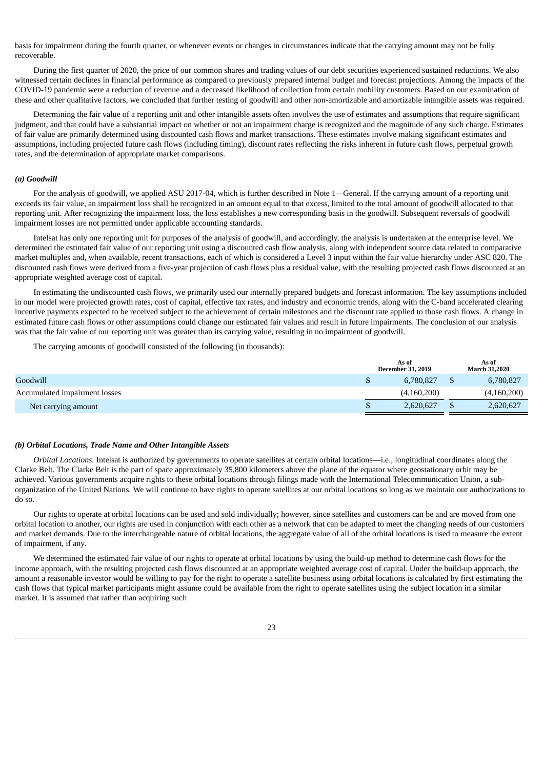basis for impairment during the fourth quarter, or whenever events or changes in circumstances indicate that the carrying amount may not be fully recoverable.

During the first quarter of 2020, the price of our common shares and trading values of our debt securities experienced sustained reductions. We also witnessed certain declines in financial performance as compared to previously prepared internal budget and forecast projections. Among the impacts of the COVID-19 pandemic were a reduction of revenue and a decreased likelihood of collection from certain mobility customers. Based on our examination of these and other qualitative factors, we concluded that further testing of goodwill and other non-amortizable and amortizable intangible assets was required.

Determining the fair value of a reporting unit and other intangible assets often involves the use of estimates and assumptions that require significant judgment, and that could have a substantial impact on whether or not an impairment charge is recognized and the magnitude of any such charge. Estimates of fair value are primarily determined using discounted cash flows and market transactions. These estimates involve making significant estimates and assumptions, including projected future cash flows (including timing), discount rates reflecting the risks inherent in future cash flows, perpetual growth rates, and the determination of appropriate market comparisons.

#### *(a) Goodwill*

For the analysis of goodwill, we applied ASU 2017-04, which is further described in Note 1*—*General. If the carrying amount of a reporting unit exceeds its fair value, an impairment loss shall be recognized in an amount equal to that excess, limited to the total amount of goodwill allocated to that reporting unit. After recognizing the impairment loss, the loss establishes a new corresponding basis in the goodwill. Subsequent reversals of goodwill impairment losses are not permitted under applicable accounting standards.

Intelsat has only one reporting unit for purposes of the analysis of goodwill, and accordingly, the analysis is undertaken at the enterprise level. We determined the estimated fair value of our reporting unit using a discounted cash flow analysis, along with independent source data related to comparative market multiples and, when available, recent transactions, each of which is considered a Level 3 input within the fair value hierarchy under ASC 820. The discounted cash flows were derived from a five-year projection of cash flows plus a residual value, with the resulting projected cash flows discounted at an appropriate weighted average cost of capital.

In estimating the undiscounted cash flows, we primarily used our internally prepared budgets and forecast information. The key assumptions included in our model were projected growth rates, cost of capital, effective tax rates, and industry and economic trends, along with the C-band accelerated clearing incentive payments expected to be received subject to the achievement of certain milestones and the discount rate applied to those cash flows. A change in estimated future cash flows or other assumptions could change our estimated fair values and result in future impairments. The conclusion of our analysis was that the fair value of our reporting unit was greater than its carrying value, resulting in no impairment of goodwill.

The carrying amounts of goodwill consisted of the following (in thousands):

|                               | As of<br><b>December 31, 2019</b> | As of<br><b>March 31.2020</b> |
|-------------------------------|-----------------------------------|-------------------------------|
| Goodwill                      | 6.780.827                         | 6,780,827                     |
| Accumulated impairment losses | (4,160,200)                       | (4,160,200)                   |
| Net carrying amount           | 2,620,627                         | 2,620,627                     |

#### *(b) Orbital Locations, Trade Name and Other Intangible Assets*

*Orbital Locations.* Intelsat is authorized by governments to operate satellites at certain orbital locations—i.e., longitudinal coordinates along the Clarke Belt. The Clarke Belt is the part of space approximately 35,800 kilometers above the plane of the equator where geostationary orbit may be achieved. Various governments acquire rights to these orbital locations through filings made with the International Telecommunication Union, a suborganization of the United Nations. We will continue to have rights to operate satellites at our orbital locations so long as we maintain our authorizations to do so.

Our rights to operate at orbital locations can be used and sold individually; however, since satellites and customers can be and are moved from one orbital location to another, our rights are used in conjunction with each other as a network that can be adapted to meet the changing needs of our customers and market demands. Due to the interchangeable nature of orbital locations, the aggregate value of all of the orbital locations is used to measure the extent of impairment, if any.

We determined the estimated fair value of our rights to operate at orbital locations by using the build-up method to determine cash flows for the income approach, with the resulting projected cash flows discounted at an appropriate weighted average cost of capital. Under the build-up approach, the amount a reasonable investor would be willing to pay for the right to operate a satellite business using orbital locations is calculated by first estimating the cash flows that typical market participants might assume could be available from the right to operate satellites using the subject location in a similar market. It is assumed that rather than acquiring such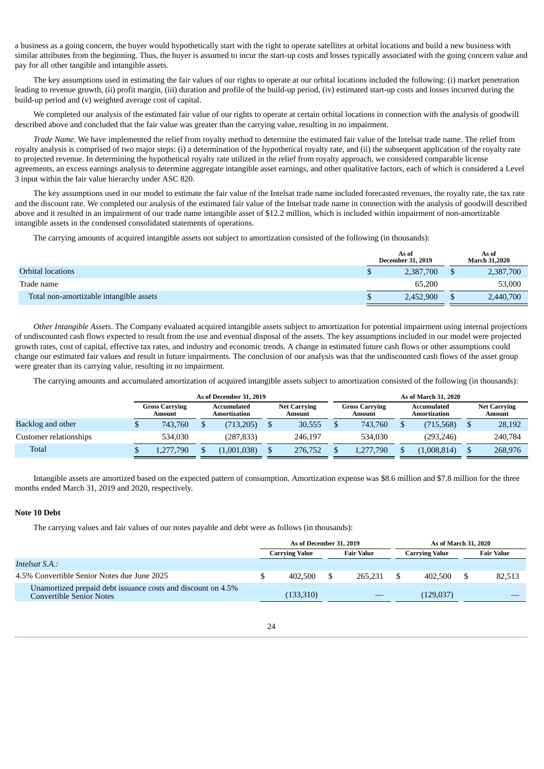a business as a going concern, the buyer would hypothetically start with the right to operate satellites at orbital locations and build a new business with similar attributes from the beginning. Thus, the buyer is assumed to incur the start-up costs and losses typically associated with the going concern value and pay for all other tangible and intangible assets.

The key assumptions used in estimating the fair values of our rights to operate at our orbital locations included the following: (i) market penetration leading to revenue growth, (ii) profit margin, (iii) duration and profile of the build-up period, (iv) estimated start-up costs and losses incurred during the build-up period and (v) weighted average cost of capital.

We completed our analysis of the estimated fair value of our rights to operate at certain orbital locations in connection with the analysis of goodwill described above and concluded that the fair value was greater than the carrying value, resulting in no impairment.

*Trade Name.* We have implemented the relief from royalty method to determine the estimated fair value of the Intelsat trade name. The relief from royalty analysis is comprised of two major steps: (i) a determination of the hypothetical royalty rate, and (ii) the subsequent application of the royalty rate to projected revenue. In determining the hypothetical royalty rate utilized in the relief from royalty approach, we considered comparable license agreements, an excess earnings analysis to determine aggregate intangible asset earnings, and other qualitative factors, each of which is considered a Level 3 input within the fair value hierarchy under ASC 820.

The key assumptions used in our model to estimate the fair value of the Intelsat trade name included forecasted revenues, the royalty rate, the tax rate and the discount rate. We completed our analysis of the estimated fair value of the Intelsat trade name in connection with the analysis of goodwill described above and it resulted in an impairment of our trade name intangible asset of \$12.2 million, which is included within impairment of non-amortizable intangible assets in the condensed consolidated statements of operations.

The carrying amounts of acquired intangible assets not subject to amortization consisted of the following (in thousands):

|                                         |    | As of<br><b>December 31, 2019</b> | As of<br><b>March 31,2020</b> |
|-----------------------------------------|----|-----------------------------------|-------------------------------|
| <b>Orbital locations</b>                |    | 2,387,700                         | 2,387,700                     |
| Trade name                              |    | 65.200                            | 53,000                        |
| Total non-amortizable intangible assets | ۳U | 2,452,900                         | 2,440,700                     |

*Other Intangible Assets*. The Company evaluated acquired intangible assets subject to amortization for potential impairment using internal projections of undiscounted cash flows expected to result from the use and eventual disposal of the assets. The key assumptions included in our model were projected growth rates, cost of capital, effective tax rates, and industry and economic trends. A change in estimated future cash flows or other assumptions could change our estimated fair values and result in future impairments. The conclusion of our analysis was that the undiscounted cash flows of the asset group were greater than its carrying value, resulting in no impairment.

The carrying amounts and accumulated amortization of acquired intangible assets subject to amortization consisted of the following (in thousands):

|                        |  | As of December 31, 2019         |  |                             |  |                               |                                 | As of March 31, 2020 |  |             |                             |         |  |                               |
|------------------------|--|---------------------------------|--|-----------------------------|--|-------------------------------|---------------------------------|----------------------|--|-------------|-----------------------------|---------|--|-------------------------------|
|                        |  | <b>Gross Carrying</b><br>Amount |  | Accumulated<br>Amortization |  | <b>Net Carrying</b><br>Amount | <b>Gross Carrying</b><br>Amount |                      |  |             | Accumulated<br>Amortization |         |  | <b>Net Carrying</b><br>Amount |
| Backlog and other      |  | 743,760                         |  | (713, 205)                  |  | 30,555                        |                                 | 743.760              |  | (715, 568)  |                             | 28,192  |  |                               |
| Customer relationships |  | 534,030                         |  | (287.833)                   |  | 246.197                       |                                 | 534.030              |  | (293.246)   |                             | 240,784 |  |                               |
| Total                  |  | 1,277,790                       |  | (1,001,038)                 |  | 276,752                       |                                 | 1,277,790            |  | (1,008,814) |                             | 268,976 |  |                               |

Intangible assets are amortized based on the expected pattern of consumption. Amortization expense was \$8.6 million and \$7.8 million for the three months ended March 31, 2019 and 2020, respectively.

## **Note 10 Debt**

The carrying values and fair values of our notes payable and debt were as follows (in thousands):

|                                                                                                 | As of December 31, 2019                    |  |         |  |                | As of March 31, 2020 |  |
|-------------------------------------------------------------------------------------------------|--------------------------------------------|--|---------|--|----------------|----------------------|--|
|                                                                                                 | <b>Fair Value</b><br><b>Carrying Value</b> |  |         |  | Carrying Value | <b>Fair Value</b>    |  |
| Intelsat S.A.:                                                                                  |                                            |  |         |  |                |                      |  |
| 4.5% Convertible Senior Notes due June 2025                                                     | 402.500                                    |  | 265.231 |  | 402.500        | 82.513               |  |
| Unamortized prepaid debt issuance costs and discount on 4.5%<br><b>Convertible Senior Notes</b> | (133,310)                                  |  |         |  | (129,037)      |                      |  |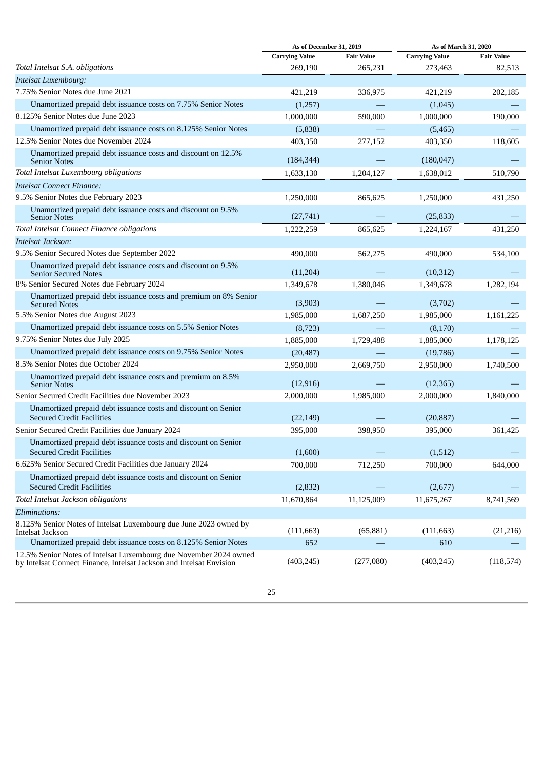|                                                                                                                                          | As of December 31, 2019 |                   | As of March 31, 2020  |                   |
|------------------------------------------------------------------------------------------------------------------------------------------|-------------------------|-------------------|-----------------------|-------------------|
|                                                                                                                                          | <b>Carrying Value</b>   | <b>Fair Value</b> | <b>Carrying Value</b> | <b>Fair Value</b> |
| Total Intelsat S.A. obligations                                                                                                          | 269,190                 | 265,231           | 273,463               | 82,513            |
| <b>Intelsat Luxembourg:</b>                                                                                                              |                         |                   |                       |                   |
| 7.75% Senior Notes due June 2021                                                                                                         | 421,219                 | 336,975           | 421,219               | 202,185           |
| Unamortized prepaid debt issuance costs on 7.75% Senior Notes                                                                            | (1,257)                 |                   | (1,045)               |                   |
| 8.125% Senior Notes due June 2023                                                                                                        | 1,000,000               | 590,000           | 1,000,000             | 190,000           |
| Unamortized prepaid debt issuance costs on 8.125% Senior Notes                                                                           | (5,838)                 |                   | (5,465)               |                   |
| 12.5% Senior Notes due November 2024                                                                                                     | 403,350                 | 277,152           | 403,350               | 118,605           |
| Unamortized prepaid debt issuance costs and discount on 12.5%<br><b>Senior Notes</b>                                                     | (184, 344)              |                   | (180, 047)            |                   |
| <b>Total Intelsat Luxembourg obligations</b>                                                                                             | 1,633,130               | 1,204,127         | 1,638,012             | 510,790           |
| Intelsat Connect Finance:                                                                                                                |                         |                   |                       |                   |
| 9.5% Senior Notes due February 2023                                                                                                      | 1,250,000               | 865,625           | 1,250,000             | 431,250           |
| Unamortized prepaid debt issuance costs and discount on 9.5%<br><b>Senior Notes</b>                                                      | (27, 741)               |                   | (25, 833)             |                   |
| <b>Total Intelsat Connect Finance obligations</b>                                                                                        | 1,222,259               | 865,625           | 1,224,167             | 431,250           |
| Intelsat Jackson:                                                                                                                        |                         |                   |                       |                   |
| 9.5% Senior Secured Notes due September 2022                                                                                             | 490,000                 | 562,275           | 490,000               | 534,100           |
| Unamortized prepaid debt issuance costs and discount on 9.5%<br><b>Senior Secured Notes</b>                                              | (11,204)                |                   | (10, 312)             |                   |
| 8% Senior Secured Notes due February 2024                                                                                                | 1,349,678               | 1,380,046         | 1,349,678             | 1,282,194         |
| Unamortized prepaid debt issuance costs and premium on 8% Senior<br><b>Secured Notes</b>                                                 | (3,903)                 |                   | (3,702)               |                   |
| 5.5% Senior Notes due August 2023                                                                                                        | 1,985,000               | 1,687,250         | 1,985,000             | 1,161,225         |
| Unamortized prepaid debt issuance costs on 5.5% Senior Notes                                                                             | (8,723)                 |                   | (8,170)               |                   |
| 9.75% Senior Notes due July 2025                                                                                                         | 1,885,000               | 1,729,488         | 1,885,000             | 1,178,125         |
| Unamortized prepaid debt issuance costs on 9.75% Senior Notes                                                                            | (20, 487)               |                   | (19,786)              |                   |
| 8.5% Senior Notes due October 2024                                                                                                       | 2,950,000               | 2,669,750         | 2,950,000             | 1,740,500         |
| Unamortized prepaid debt issuance costs and premium on 8.5%<br><b>Senior Notes</b>                                                       | (12, 916)               |                   | (12, 365)             |                   |
| Senior Secured Credit Facilities due November 2023                                                                                       | 2,000,000               | 1,985,000         | 2,000,000             | 1,840,000         |
| Unamortized prepaid debt issuance costs and discount on Senior<br><b>Secured Credit Facilities</b>                                       | (22, 149)               |                   | (20, 887)             |                   |
| Senior Secured Credit Facilities due January 2024                                                                                        | 395,000                 | 398,950           | 395,000               | 361,425           |
| Unamortized prepaid debt issuance costs and discount on Senior<br><b>Secured Credit Facilities</b>                                       | (1,600)                 |                   | (1,512)               |                   |
| 6.625% Senior Secured Credit Facilities due January 2024                                                                                 | 700,000                 | 712,250           | 700,000               | 644,000           |
| Unamortized prepaid debt issuance costs and discount on Senior<br><b>Secured Credit Facilities</b>                                       | (2,832)                 |                   | (2,677)               |                   |
| <b>Total Intelsat Jackson obligations</b>                                                                                                | 11,670,864              | 11,125,009        | 11,675,267            | 8,741,569         |
| Eliminations:                                                                                                                            |                         |                   |                       |                   |
| 8.125% Senior Notes of Intelsat Luxembourg due June 2023 owned by<br>Intelsat Jackson                                                    | (111, 663)              | (65, 881)         | (111, 663)            | (21, 216)         |
| Unamortized prepaid debt issuance costs on 8.125% Senior Notes                                                                           | 652                     |                   | 610                   |                   |
| 12.5% Senior Notes of Intelsat Luxembourg due November 2024 owned<br>by Intelsat Connect Finance, Intelsat Jackson and Intelsat Envision | (403, 245)              | (277,080)         | (403, 245)            | (118, 574)        |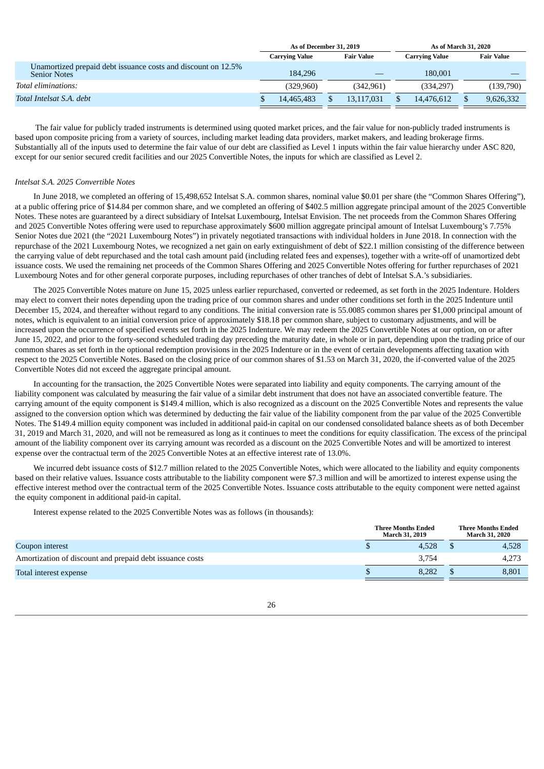|                                                                                      | As of December 31, 2019 |                       |  | As of March 31, 2020 |  |                       |  |                   |
|--------------------------------------------------------------------------------------|-------------------------|-----------------------|--|----------------------|--|-----------------------|--|-------------------|
|                                                                                      |                         | <b>Carrying Value</b> |  | <b>Fair Value</b>    |  | <b>Carrying Value</b> |  | <b>Fair Value</b> |
| Unamortized prepaid debt issuance costs and discount on 12.5%<br><b>Senior Notes</b> |                         | 184.296               |  |                      |  | 180,001               |  |                   |
| Total eliminations:                                                                  |                         | (329.960)             |  | (342.961)            |  | (334.297)             |  | (139,790)         |
| Total Intelsat S.A. debt                                                             |                         | 14.465.483            |  | 13.117.031           |  | 14.476.612            |  | 9,626,332         |

The fair value for publicly traded instruments is determined using quoted market prices, and the fair value for non-publicly traded instruments is based upon composite pricing from a variety of sources, including market leading data providers, market makers, and leading brokerage firms. Substantially all of the inputs used to determine the fair value of our debt are classified as Level 1 inputs within the fair value hierarchy under ASC 820, except for our senior secured credit facilities and our 2025 Convertible Notes, the inputs for which are classified as Level 2.

#### *Intelsat S.A. 2025 Convertible Notes*

In June 2018, we completed an offering of 15,498,652 Intelsat S.A. common shares, nominal value \$0.01 per share (the "Common Shares Offering"), at a public offering price of \$14.84 per common share, and we completed an offering of \$402.5 million aggregate principal amount of the 2025 Convertible Notes. These notes are guaranteed by a direct subsidiary of Intelsat Luxembourg, Intelsat Envision. The net proceeds from the Common Shares Offering and 2025 Convertible Notes offering were used to repurchase approximately \$600 million aggregate principal amount of Intelsat Luxembourg's 7.75% Senior Notes due 2021 (the "2021 Luxembourg Notes") in privately negotiated transactions with individual holders in June 2018. In connection with the repurchase of the 2021 Luxembourg Notes, we recognized a net gain on early extinguishment of debt of \$22.1 million consisting of the difference between the carrying value of debt repurchased and the total cash amount paid (including related fees and expenses), together with a write-off of unamortized debt issuance costs. We used the remaining net proceeds of the Common Shares Offering and 2025 Convertible Notes offering for further repurchases of 2021 Luxembourg Notes and for other general corporate purposes, including repurchases of other tranches of debt of Intelsat S.A.'s subsidiaries.

The 2025 Convertible Notes mature on June 15, 2025 unless earlier repurchased, converted or redeemed, as set forth in the 2025 Indenture. Holders may elect to convert their notes depending upon the trading price of our common shares and under other conditions set forth in the 2025 Indenture until December 15, 2024, and thereafter without regard to any conditions. The initial conversion rate is 55.0085 common shares per \$1,000 principal amount of notes, which is equivalent to an initial conversion price of approximately \$18.18 per common share, subject to customary adjustments, and will be increased upon the occurrence of specified events set forth in the 2025 Indenture. We may redeem the 2025 Convertible Notes at our option, on or after June 15, 2022, and prior to the forty-second scheduled trading day preceding the maturity date, in whole or in part, depending upon the trading price of our common shares as set forth in the optional redemption provisions in the 2025 Indenture or in the event of certain developments affecting taxation with respect to the 2025 Convertible Notes. Based on the closing price of our common shares of \$1.53 on March 31, 2020, the if-converted value of the 2025 Convertible Notes did not exceed the aggregate principal amount.

In accounting for the transaction, the 2025 Convertible Notes were separated into liability and equity components. The carrying amount of the liability component was calculated by measuring the fair value of a similar debt instrument that does not have an associated convertible feature. The carrying amount of the equity component is \$149.4 million, which is also recognized as a discount on the 2025 Convertible Notes and represents the value assigned to the conversion option which was determined by deducting the fair value of the liability component from the par value of the 2025 Convertible Notes. The \$149.4 million equity component was included in additional paid-in capital on our condensed consolidated balance sheets as of both December 31, 2019 and March 31, 2020, and will not be remeasured as long as it continues to meet the conditions for equity classification. The excess of the principal amount of the liability component over its carrying amount was recorded as a discount on the 2025 Convertible Notes and will be amortized to interest expense over the contractual term of the 2025 Convertible Notes at an effective interest rate of 13.0%.

We incurred debt issuance costs of \$12.7 million related to the 2025 Convertible Notes, which were allocated to the liability and equity components based on their relative values. Issuance costs attributable to the liability component were \$7.3 million and will be amortized to interest expense using the effective interest method over the contractual term of the 2025 Convertible Notes. Issuance costs attributable to the equity component were netted against the equity component in additional paid-in capital.

Interest expense related to the 2025 Convertible Notes was as follows (in thousands):

|                                                          | <b>Three Months Ended</b><br><b>March 31, 2019</b> |       |  | <b>Three Months Ended</b><br>March 31, 2020 |  |  |
|----------------------------------------------------------|----------------------------------------------------|-------|--|---------------------------------------------|--|--|
| Coupon interest                                          |                                                    | 4.528 |  | 4,528                                       |  |  |
| Amortization of discount and prepaid debt issuance costs |                                                    | 3.754 |  | 4,273                                       |  |  |
| Total interest expense                                   |                                                    | 8.282 |  | 8,801                                       |  |  |
|                                                          |                                                    |       |  |                                             |  |  |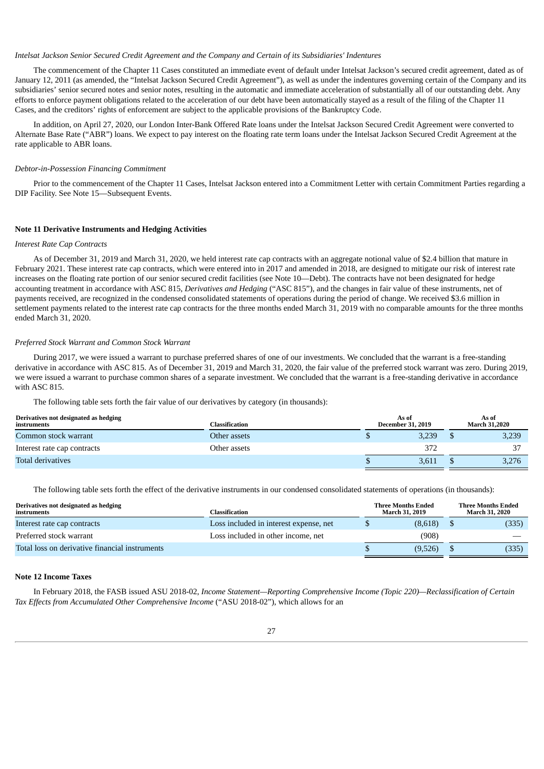#### *Intelsat Jackson Senior Secured Credit Agreement and the Company and Certain of its Subsidiaries' Indentures*

The commencement of the Chapter 11 Cases constituted an immediate event of default under Intelsat Jackson's secured credit agreement, dated as of January 12, 2011 (as amended, the "Intelsat Jackson Secured Credit Agreement"), as well as under the indentures governing certain of the Company and its subsidiaries' senior secured notes and senior notes, resulting in the automatic and immediate acceleration of substantially all of our outstanding debt. Any efforts to enforce payment obligations related to the acceleration of our debt have been automatically stayed as a result of the filing of the Chapter 11 Cases, and the creditors' rights of enforcement are subject to the applicable provisions of the Bankruptcy Code.

In addition, on April 27, 2020, our London Inter-Bank Offered Rate loans under the Intelsat Jackson Secured Credit Agreement were converted to Alternate Base Rate ("ABR") loans. We expect to pay interest on the floating rate term loans under the Intelsat Jackson Secured Credit Agreement at the rate applicable to ABR loans.

#### *Debtor-in-Possession Financing Commitment*

Prior to the commencement of the Chapter 11 Cases, Intelsat Jackson entered into a Commitment Letter with certain Commitment Parties regarding a DIP Facility. See Note 15—Subsequent Events.

#### **Note 11 Derivative Instruments and Hedging Activities**

#### *Interest Rate Cap Contracts*

As of December 31, 2019 and March 31, 2020, we held interest rate cap contracts with an aggregate notional value of \$2.4 billion that mature in February 2021. These interest rate cap contracts, which were entered into in 2017 and amended in 2018, are designed to mitigate our risk of interest rate increases on the floating rate portion of our senior secured credit facilities (see Note 10—Debt). The contracts have not been designated for hedge accounting treatment in accordance with ASC 815, *Derivatives and Hedging* ("ASC 815"), and the changes in fair value of these instruments, net of payments received, are recognized in the condensed consolidated statements of operations during the period of change. We received \$3.6 million in settlement payments related to the interest rate cap contracts for the three months ended March 31, 2019 with no comparable amounts for the three months ended March 31, 2020.

#### *Preferred Stock Warrant and Common Stock Warrant*

During 2017, we were issued a warrant to purchase preferred shares of one of our investments. We concluded that the warrant is a free-standing derivative in accordance with ASC 815. As of December 31, 2019 and March 31, 2020, the fair value of the preferred stock warrant was zero. During 2019, we were issued a warrant to purchase common shares of a separate investment. We concluded that the warrant is a free-standing derivative in accordance with ASC 815.

The following table sets forth the fair value of our derivatives by category (in thousands):

| Derivatives not designated as hedging<br>instruments | Classification | As of<br><b>December 31, 2019</b> |       |  | As of<br><b>March 31,2020</b> |  |
|------------------------------------------------------|----------------|-----------------------------------|-------|--|-------------------------------|--|
| Common stock warrant                                 | Other assets   |                                   | 3.239 |  | 3,239                         |  |
| Interest rate cap contracts                          | Other assets   |                                   | 372   |  | חר                            |  |
| <b>Total derivatives</b>                             |                |                                   | 3,611 |  | 3,276                         |  |

The following table sets forth the effect of the derivative instruments in our condensed consolidated statements of operations (in thousands):

| Derivatives not designated as hedging<br>instruments | Classification                         |  | <b>Three Months Ended</b><br>March 31, 2019 | <b>Three Months Ended</b><br>March 31, 2020 |       |  |
|------------------------------------------------------|----------------------------------------|--|---------------------------------------------|---------------------------------------------|-------|--|
| Interest rate cap contracts                          | Loss included in interest expense, net |  | (8,618)                                     |                                             | (335) |  |
| Preferred stock warrant                              | Loss included in other income, net     |  | (908)                                       |                                             |       |  |
| Total loss on derivative financial instruments       |                                        |  | (9,526)                                     |                                             | (335) |  |

#### **Note 12 Income Taxes**

In February 2018, the FASB issued ASU 2018-02, *Income Statement—Reporting Comprehensive Income (Topic 220)—Reclassification of Certain Tax Effects from Accumulated Other Comprehensive Income* ("ASU 2018-02"), which allows for an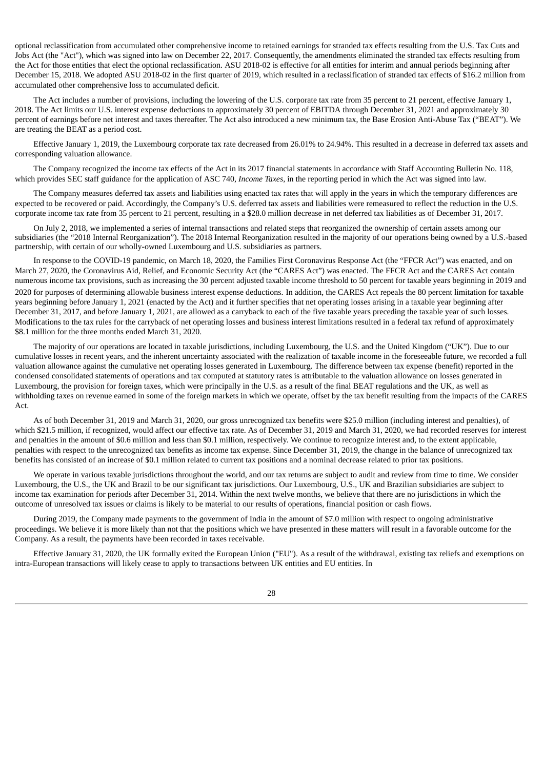optional reclassification from accumulated other comprehensive income to retained earnings for stranded tax effects resulting from the U.S. Tax Cuts and Jobs Act (the "Act"), which was signed into law on December 22, 2017. Consequently, the amendments eliminated the stranded tax effects resulting from the Act for those entities that elect the optional reclassification. ASU 2018-02 is effective for all entities for interim and annual periods beginning after December 15, 2018. We adopted ASU 2018-02 in the first quarter of 2019, which resulted in a reclassification of stranded tax effects of \$16.2 million from accumulated other comprehensive loss to accumulated deficit.

The Act includes a number of provisions, including the lowering of the U.S. corporate tax rate from 35 percent to 21 percent, effective January 1, 2018. The Act limits our U.S. interest expense deductions to approximately 30 percent of EBITDA through December 31, 2021 and approximately 30 percent of earnings before net interest and taxes thereafter. The Act also introduced a new minimum tax, the Base Erosion Anti-Abuse Tax ("BEAT"). We are treating the BEAT as a period cost.

Effective January 1, 2019, the Luxembourg corporate tax rate decreased from 26.01% to 24.94%. This resulted in a decrease in deferred tax assets and corresponding valuation allowance.

The Company recognized the income tax effects of the Act in its 2017 financial statements in accordance with Staff Accounting Bulletin No. 118, which provides SEC staff guidance for the application of ASC 740, *Income Taxes*, in the reporting period in which the Act was signed into law.

The Company measures deferred tax assets and liabilities using enacted tax rates that will apply in the years in which the temporary differences are expected to be recovered or paid. Accordingly, the Company's U.S. deferred tax assets and liabilities were remeasured to reflect the reduction in the U.S. corporate income tax rate from 35 percent to 21 percent, resulting in a \$28.0 million decrease in net deferred tax liabilities as of December 31, 2017.

On July 2, 2018, we implemented a series of internal transactions and related steps that reorganized the ownership of certain assets among our subsidiaries (the "2018 Internal Reorganization"). The 2018 Internal Reorganization resulted in the majority of our operations being owned by a U.S.-based partnership, with certain of our wholly-owned Luxembourg and U.S. subsidiaries as partners.

In response to the COVID-19 pandemic, on March 18, 2020, the Families First Coronavirus Response Act (the "FFCR Act") was enacted, and on March 27, 2020, the Coronavirus Aid, Relief, and Economic Security Act (the "CARES Act") was enacted. The FFCR Act and the CARES Act contain numerous income tax provisions, such as increasing the 30 percent adjusted taxable income threshold to 50 percent for taxable years beginning in 2019 and 2020 for purposes of determining allowable business interest expense deductions. In addition, the CARES Act repeals the 80 percent limitation for taxable years beginning before January 1, 2021 (enacted by the Act) and it further specifies that net operating losses arising in a taxable year beginning after December 31, 2017, and before January 1, 2021, are allowed as a carryback to each of the five taxable years preceding the taxable year of such losses. Modifications to the tax rules for the carryback of net operating losses and business interest limitations resulted in a federal tax refund of approximately \$8.1 million for the three months ended March 31, 2020.

The majority of our operations are located in taxable jurisdictions, including Luxembourg, the U.S. and the United Kingdom ("UK"). Due to our cumulative losses in recent years, and the inherent uncertainty associated with the realization of taxable income in the foreseeable future, we recorded a full valuation allowance against the cumulative net operating losses generated in Luxembourg. The difference between tax expense (benefit) reported in the condensed consolidated statements of operations and tax computed at statutory rates is attributable to the valuation allowance on losses generated in Luxembourg, the provision for foreign taxes, which were principally in the U.S. as a result of the final BEAT regulations and the UK, as well as withholding taxes on revenue earned in some of the foreign markets in which we operate, offset by the tax benefit resulting from the impacts of the CARES Act.

As of both December 31, 2019 and March 31, 2020, our gross unrecognized tax benefits were \$25.0 million (including interest and penalties), of which \$21.5 million, if recognized, would affect our effective tax rate. As of December 31, 2019 and March 31, 2020, we had recorded reserves for interest and penalties in the amount of \$0.6 million and less than \$0.1 million, respectively. We continue to recognize interest and, to the extent applicable, penalties with respect to the unrecognized tax benefits as income tax expense. Since December 31, 2019, the change in the balance of unrecognized tax benefits has consisted of an increase of \$0.1 million related to current tax positions and a nominal decrease related to prior tax positions.

We operate in various taxable jurisdictions throughout the world, and our tax returns are subject to audit and review from time to time. We consider Luxembourg, the U.S., the UK and Brazil to be our significant tax jurisdictions. Our Luxembourg, U.S., UK and Brazilian subsidiaries are subject to income tax examination for periods after December 31, 2014. Within the next twelve months, we believe that there are no jurisdictions in which the outcome of unresolved tax issues or claims is likely to be material to our results of operations, financial position or cash flows.

During 2019, the Company made payments to the government of India in the amount of \$7.0 million with respect to ongoing administrative proceedings. We believe it is more likely than not that the positions which we have presented in these matters will result in a favorable outcome for the Company. As a result, the payments have been recorded in taxes receivable.

Effective January 31, 2020, the UK formally exited the European Union ("EU"). As a result of the withdrawal, existing tax reliefs and exemptions on intra-European transactions will likely cease to apply to transactions between UK entities and EU entities. In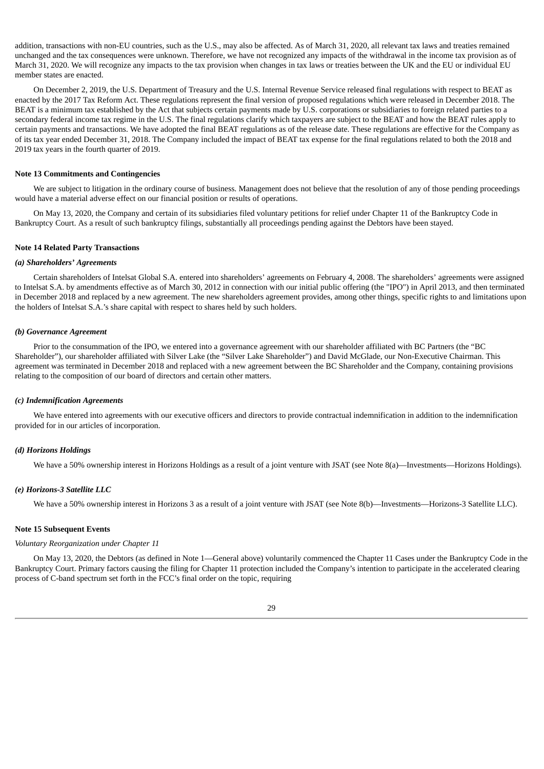addition, transactions with non-EU countries, such as the U.S., may also be affected. As of March 31, 2020, all relevant tax laws and treaties remained unchanged and the tax consequences were unknown. Therefore, we have not recognized any impacts of the withdrawal in the income tax provision as of March 31, 2020. We will recognize any impacts to the tax provision when changes in tax laws or treaties between the UK and the EU or individual EU member states are enacted.

On December 2, 2019, the U.S. Department of Treasury and the U.S. Internal Revenue Service released final regulations with respect to BEAT as enacted by the 2017 Tax Reform Act. These regulations represent the final version of proposed regulations which were released in December 2018. The BEAT is a minimum tax established by the Act that subjects certain payments made by U.S. corporations or subsidiaries to foreign related parties to a secondary federal income tax regime in the U.S. The final regulations clarify which taxpayers are subject to the BEAT and how the BEAT rules apply to certain payments and transactions. We have adopted the final BEAT regulations as of the release date. These regulations are effective for the Company as of its tax year ended December 31, 2018. The Company included the impact of BEAT tax expense for the final regulations related to both the 2018 and 2019 tax years in the fourth quarter of 2019.

#### **Note 13 Commitments and Contingencies**

We are subject to litigation in the ordinary course of business. Management does not believe that the resolution of any of those pending proceedings would have a material adverse effect on our financial position or results of operations.

On May 13, 2020, the Company and certain of its subsidiaries filed voluntary petitions for relief under Chapter 11 of the Bankruptcy Code in Bankruptcy Court. As a result of such bankruptcy filings, substantially all proceedings pending against the Debtors have been stayed.

#### **Note 14 Related Party Transactions**

#### *(a) Shareholders' Agreements*

Certain shareholders of Intelsat Global S.A. entered into shareholders' agreements on February 4, 2008. The shareholders' agreements were assigned to Intelsat S.A. by amendments effective as of March 30, 2012 in connection with our initial public offering (the "IPO") in April 2013, and then terminated in December 2018 and replaced by a new agreement. The new shareholders agreement provides, among other things, specific rights to and limitations upon the holders of Intelsat S.A.'s share capital with respect to shares held by such holders.

#### *(b) Governance Agreement*

Prior to the consummation of the IPO, we entered into a governance agreement with our shareholder affiliated with BC Partners (the "BC Shareholder"), our shareholder affiliated with Silver Lake (the "Silver Lake Shareholder") and David McGlade, our Non-Executive Chairman. This agreement was terminated in December 2018 and replaced with a new agreement between the BC Shareholder and the Company, containing provisions relating to the composition of our board of directors and certain other matters.

#### *(c) Indemnification Agreements*

We have entered into agreements with our executive officers and directors to provide contractual indemnification in addition to the indemnification provided for in our articles of incorporation.

#### *(d) Horizons Holdings*

We have a 50% ownership interest in Horizons Holdings as a result of a joint venture with JSAT (see Note 8(a)—Investments—Horizons Holdings).

#### *(e) Horizons-3 Satellite LLC*

We have a 50% ownership interest in Horizons 3 as a result of a joint venture with JSAT (see Note 8(b)—Investments—Horizons-3 Satellite LLC).

#### **Note 15 Subsequent Events**

### *Voluntary Reorganization under Chapter 11*

On May 13, 2020, the Debtors (as defined in Note 1—General above) voluntarily commenced the Chapter 11 Cases under the Bankruptcy Code in the Bankruptcy Court. Primary factors causing the filing for Chapter 11 protection included the Company's intention to participate in the accelerated clearing process of C-band spectrum set forth in the FCC's final order on the topic, requiring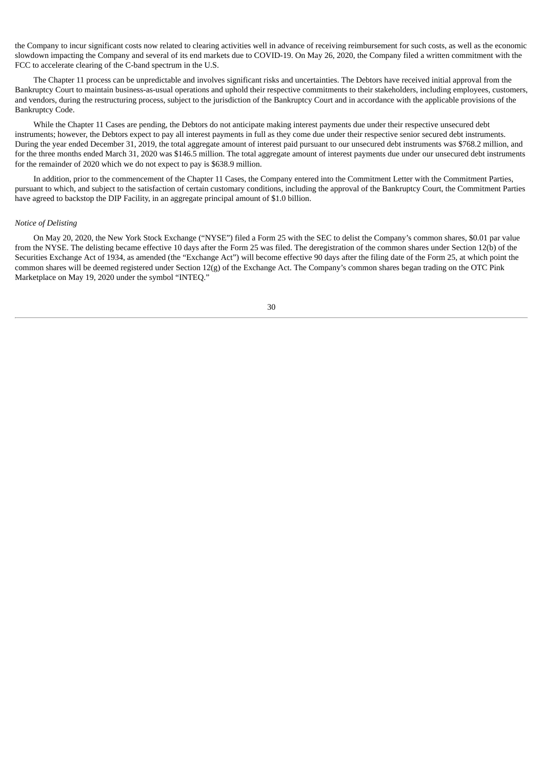the Company to incur significant costs now related to clearing activities well in advance of receiving reimbursement for such costs, as well as the economic slowdown impacting the Company and several of its end markets due to COVID-19. On May 26, 2020, the Company filed a written commitment with the FCC to accelerate clearing of the C-band spectrum in the U.S.

The Chapter 11 process can be unpredictable and involves significant risks and uncertainties. The Debtors have received initial approval from the Bankruptcy Court to maintain business-as-usual operations and uphold their respective commitments to their stakeholders, including employees, customers, and vendors, during the restructuring process, subject to the jurisdiction of the Bankruptcy Court and in accordance with the applicable provisions of the Bankruptcy Code.

While the Chapter 11 Cases are pending, the Debtors do not anticipate making interest payments due under their respective unsecured debt instruments; however, the Debtors expect to pay all interest payments in full as they come due under their respective senior secured debt instruments. During the year ended December 31, 2019, the total aggregate amount of interest paid pursuant to our unsecured debt instruments was \$768.2 million, and for the three months ended March 31, 2020 was \$146.5 million. The total aggregate amount of interest payments due under our unsecured debt instruments for the remainder of 2020 which we do not expect to pay is \$638.9 million.

In addition, prior to the commencement of the Chapter 11 Cases, the Company entered into the Commitment Letter with the Commitment Parties, pursuant to which, and subject to the satisfaction of certain customary conditions, including the approval of the Bankruptcy Court, the Commitment Parties have agreed to backstop the DIP Facility, in an aggregate principal amount of \$1.0 billion.

#### *Notice of Delisting*

<span id="page-29-0"></span>On May 20, 2020, the New York Stock Exchange ("NYSE") filed a Form 25 with the SEC to delist the Company's common shares, \$0.01 par value from the NYSE. The delisting became effective 10 days after the Form 25 was filed. The deregistration of the common shares under Section 12(b) of the Securities Exchange Act of 1934, as amended (the "Exchange Act") will become effective 90 days after the filing date of the Form 25, at which point the common shares will be deemed registered under Section 12(g) of the Exchange Act. The Company's common shares began trading on the OTC Pink Marketplace on May 19, 2020 under the symbol "INTEQ."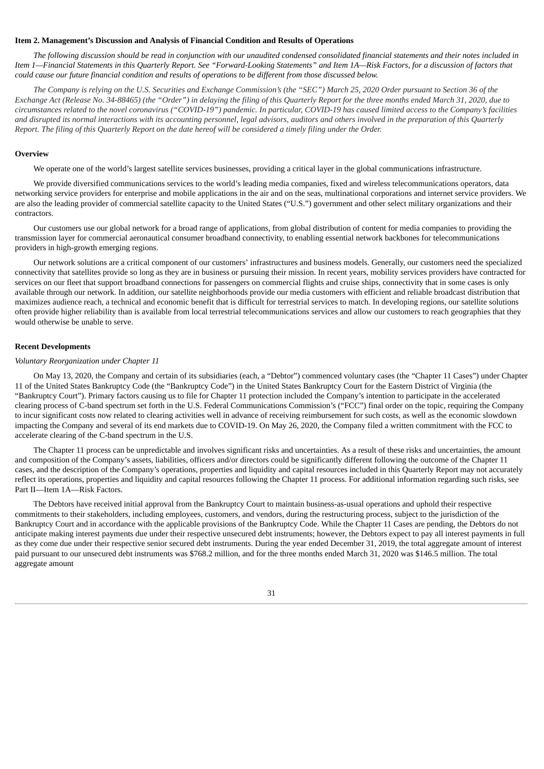#### **Item 2. Management's Discussion and Analysis of Financial Condition and Results of Operations**

The following discussion should be read in conjunction with our unaudited condensed consolidated financial statements and their notes included in Item 1—Financial Statements in this Quarterly Report. See "Forward-Looking Statements" and Item 1A—Risk Factors, for a discussion of factors that could cause our future financial condition and results of operations to be different from those discussed below.

The Company is relying on the U.S. Securities and Exchange Commission's (the "SEC") March 25, 2020 Order pursuant to Section 36 of the Exchange Act (Release No. 34-88465) (the "Order") in delaying the filing of this Quarterly Report for the three months ended March 31, 2020, due to circumstances related to the novel coronavirus ("COVID-19") pandemic. In particular, COVID-19 has caused limited access to the Company's facilities and disrupted its normal interactions with its accounting personnel, legal advisors, auditors and others involved in the preparation of this Quarterly Report. The filing of this Quarterly Report on the date hereof will be considered a timely filing under the Order.

#### **Overview**

We operate one of the world's largest satellite services businesses, providing a critical layer in the global communications infrastructure.

We provide diversified communications services to the world's leading media companies, fixed and wireless telecommunications operators, data networking service providers for enterprise and mobile applications in the air and on the seas, multinational corporations and internet service providers. We are also the leading provider of commercial satellite capacity to the United States ("U.S.") government and other select military organizations and their contractors.

Our customers use our global network for a broad range of applications, from global distribution of content for media companies to providing the transmission layer for commercial aeronautical consumer broadband connectivity, to enabling essential network backbones for telecommunications providers in high-growth emerging regions.

Our network solutions are a critical component of our customers' infrastructures and business models. Generally, our customers need the specialized connectivity that satellites provide so long as they are in business or pursuing their mission. In recent years, mobility services providers have contracted for services on our fleet that support broadband connections for passengers on commercial flights and cruise ships, connectivity that in some cases is only available through our network. In addition, our satellite neighborhoods provide our media customers with efficient and reliable broadcast distribution that maximizes audience reach, a technical and economic benefit that is difficult for terrestrial services to match. In developing regions, our satellite solutions often provide higher reliability than is available from local terrestrial telecommunications services and allow our customers to reach geographies that they would otherwise be unable to serve.

#### **Recent Developments**

#### *Voluntary Reorganization under Chapter 11*

On May 13, 2020, the Company and certain of its subsidiaries (each, a "Debtor") commenced voluntary cases (the "Chapter 11 Cases") under Chapter 11 of the United States Bankruptcy Code (the "Bankruptcy Code") in the United States Bankruptcy Court for the Eastern District of Virginia (the "Bankruptcy Court"). Primary factors causing us to file for Chapter 11 protection included the Company's intention to participate in the accelerated clearing process of C-band spectrum set forth in the U.S. Federal Communications Commission's ("FCC") final order on the topic, requiring the Company to incur significant costs now related to clearing activities well in advance of receiving reimbursement for such costs, as well as the economic slowdown impacting the Company and several of its end markets due to COVID-19. On May 26, 2020, the Company filed a written commitment with the FCC to accelerate clearing of the C-band spectrum in the U.S.

The Chapter 11 process can be unpredictable and involves significant risks and uncertainties. As a result of these risks and uncertainties, the amount and composition of the Company's assets, liabilities, officers and/or directors could be significantly different following the outcome of the Chapter 11 cases, and the description of the Company's operations, properties and liquidity and capital resources included in this Quarterly Report may not accurately reflect its operations, properties and liquidity and capital resources following the Chapter 11 process. For additional information regarding such risks, see Part II—Item 1A—Risk Factors.

The Debtors have received initial approval from the Bankruptcy Court to maintain business-as-usual operations and uphold their respective commitments to their stakeholders, including employees, customers, and vendors, during the restructuring process, subject to the jurisdiction of the Bankruptcy Court and in accordance with the applicable provisions of the Bankruptcy Code. While the Chapter 11 Cases are pending, the Debtors do not anticipate making interest payments due under their respective unsecured debt instruments; however, the Debtors expect to pay all interest payments in full as they come due under their respective senior secured debt instruments. During the year ended December 31, 2019, the total aggregate amount of interest paid pursuant to our unsecured debt instruments was \$768.2 million, and for the three months ended March 31, 2020 was \$146.5 million. The total aggregate amount

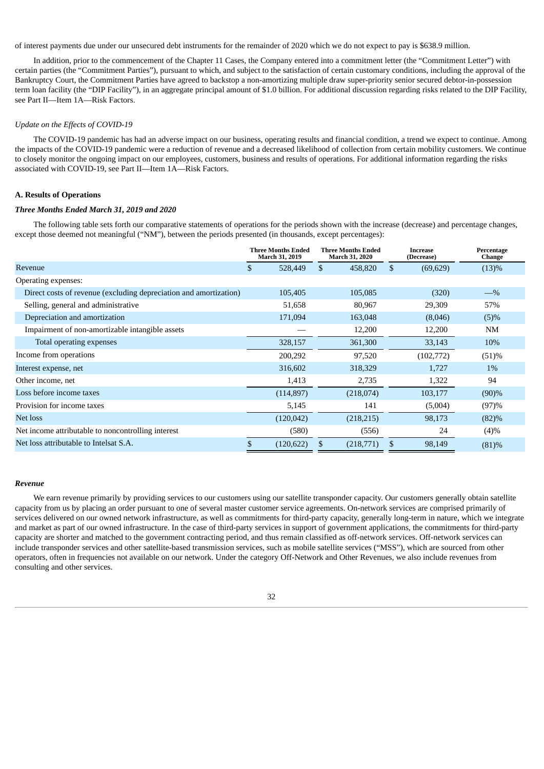of interest payments due under our unsecured debt instruments for the remainder of 2020 which we do not expect to pay is \$638.9 million.

In addition, prior to the commencement of the Chapter 11 Cases, the Company entered into a commitment letter (the "Commitment Letter") with certain parties (the "Commitment Parties"), pursuant to which, and subject to the satisfaction of certain customary conditions, including the approval of the Bankruptcy Court, the Commitment Parties have agreed to backstop a non-amortizing multiple draw super-priority senior secured debtor-in-possession term loan facility (the "DIP Facility"), in an aggregate principal amount of \$1.0 billion. For additional discussion regarding risks related to the DIP Facility, see Part II—Item 1A—Risk Factors.

#### *Update on the Effects of COVID-19*

The COVID-19 pandemic has had an adverse impact on our business, operating results and financial condition, a trend we expect to continue. Among the impacts of the COVID-19 pandemic were a reduction of revenue and a decreased likelihood of collection from certain mobility customers. We continue to closely monitor the ongoing impact on our employees, customers, business and results of operations. For additional information regarding the risks associated with COVID-19, see Part II—Item 1A—Risk Factors.

## **A. Results of Operations**

#### *Three Months Ended March 31, 2019 and 2020*

The following table sets forth our comparative statements of operations for the periods shown with the increase (decrease) and percentage changes, except those deemed not meaningful ("NM"), between the periods presented (in thousands, except percentages):

|                                                                   | <b>Three Months Ended</b><br>March 31, 2019 | <b>Three Months Ended</b><br><b>March 31, 2020</b> |           | Increase<br>(Decrease) |           | Percentage<br>Change |
|-------------------------------------------------------------------|---------------------------------------------|----------------------------------------------------|-----------|------------------------|-----------|----------------------|
| Revenue                                                           | \$<br>528,449                               | \$                                                 | 458,820   | \$                     | (69, 629) | (13)%                |
| Operating expenses:                                               |                                             |                                                    |           |                        |           |                      |
| Direct costs of revenue (excluding depreciation and amortization) | 105,405                                     |                                                    | 105,085   |                        | (320)     | $-$ %                |
| Selling, general and administrative                               | 51,658                                      |                                                    | 80,967    |                        | 29,309    | 57%                  |
| Depreciation and amortization                                     | 171,094                                     |                                                    | 163,048   |                        | (8,046)   | $(5)\%$              |
| Impairment of non-amortizable intangible assets                   |                                             |                                                    | 12,200    |                        | 12,200    | <b>NM</b>            |
| Total operating expenses                                          | 328,157                                     |                                                    | 361,300   |                        | 33,143    | 10%                  |
| Income from operations                                            | 200,292                                     |                                                    | 97,520    |                        | (102,772) | (51)%                |
| Interest expense, net                                             | 316,602                                     |                                                    | 318,329   |                        | 1,727     | 1%                   |
| Other income, net                                                 | 1,413                                       |                                                    | 2,735     |                        | 1,322     | 94                   |
| Loss before income taxes                                          | (114, 897)                                  |                                                    | (218,074) |                        | 103,177   | (90)%                |
| Provision for income taxes                                        | 5,145                                       |                                                    | 141       |                        | (5,004)   | (97)%                |
| Net loss                                                          | (120, 042)                                  |                                                    | (218,215) |                        | 98,173    | (82)%                |
| Net income attributable to noncontrolling interest                | (580)                                       |                                                    | (556)     |                        | 24        | (4)%                 |
| Net loss attributable to Intelsat S.A.                            | \$<br>(120, 622)                            | \$                                                 | (218,771) | \$                     | 98,149    | (81)%                |

#### *Revenue*

We earn revenue primarily by providing services to our customers using our satellite transponder capacity. Our customers generally obtain satellite capacity from us by placing an order pursuant to one of several master customer service agreements. On-network services are comprised primarily of services delivered on our owned network infrastructure, as well as commitments for third-party capacity, generally long-term in nature, which we integrate and market as part of our owned infrastructure. In the case of third-party services in support of government applications, the commitments for third-party capacity are shorter and matched to the government contracting period, and thus remain classified as off-network services. Off-network services can include transponder services and other satellite-based transmission services, such as mobile satellite services ("MSS"), which are sourced from other operators, often in frequencies not available on our network. Under the category Off-Network and Other Revenues, we also include revenues from consulting and other services.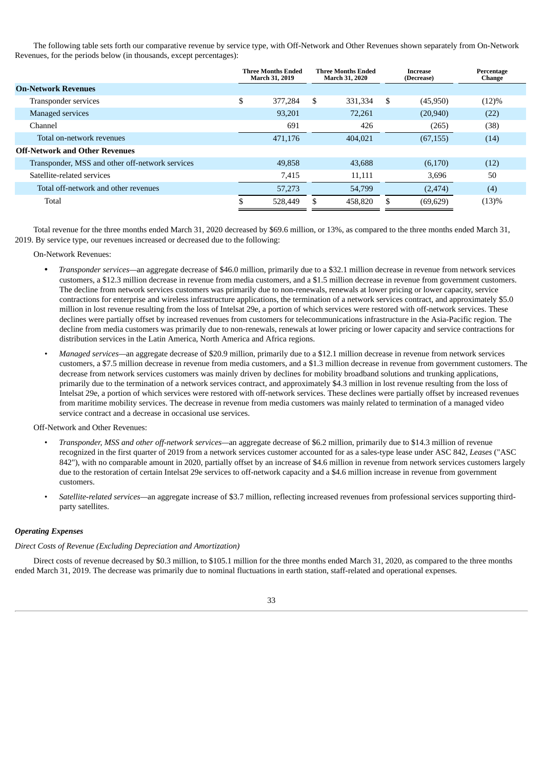The following table sets forth our comparative revenue by service type, with Off-Network and Other Revenues shown separately from On-Network Revenues, for the periods below (in thousands, except percentages):

|                                                 | Three Months Ended<br>March 31, 2019 |    | <b>Three Months Ended</b><br>March 31, 2020 |    | Increase<br>(Decrease) | Percentage<br>Change |
|-------------------------------------------------|--------------------------------------|----|---------------------------------------------|----|------------------------|----------------------|
| <b>On-Network Revenues</b>                      |                                      |    |                                             |    |                        |                      |
| Transponder services                            | \$<br>377,284                        | S. | 331.334                                     | -S | (45,950)               | (12)%                |
| Managed services                                | 93.201                               |    | 72.261                                      |    | (20, 940)              | (22)                 |
| Channel                                         | 691                                  |    | 426                                         |    | (265)                  | (38)                 |
| Total on-network revenues                       | 471,176                              |    | 404.021                                     |    | (67, 155)              | (14)                 |
| <b>Off-Network and Other Revenues</b>           |                                      |    |                                             |    |                        |                      |
| Transponder, MSS and other off-network services | 49,858                               |    | 43.688                                      |    | (6,170)                | (12)                 |
| Satellite-related services                      | 7.415                                |    | 11,111                                      |    | 3,696                  | 50                   |
| Total off-network and other revenues            | 57,273                               |    | 54,799                                      |    | (2, 474)               | (4)                  |
| Total                                           | 528,449                              | S  | 458,820                                     | .S | (69, 629)              | (13)%                |

Total revenue for the three months ended March 31, 2020 decreased by \$69.6 million, or 13%, as compared to the three months ended March 31, 2019. By service type, our revenues increased or decreased due to the following:

#### On-Network Revenues:

- *Transponder services—*an aggregate decrease of \$46.0 million, primarily due to a \$32.1 million decrease in revenue from network services customers, a \$12.3 million decrease in revenue from media customers, and a \$1.5 million decrease in revenue from government customers. The decline from network services customers was primarily due to non-renewals, renewals at lower pricing or lower capacity, service contractions for enterprise and wireless infrastructure applications, the termination of a network services contract, and approximately \$5.0 million in lost revenue resulting from the loss of Intelsat 29e, a portion of which services were restored with off-network services. These declines were partially offset by increased revenues from customers for telecommunications infrastructure in the Asia-Pacific region. The decline from media customers was primarily due to non-renewals, renewals at lower pricing or lower capacity and service contractions for distribution services in the Latin America, North America and Africa regions.
- *• Managed services—*an aggregate decrease of \$20.9 million, primarily due to a \$12.1 million decrease in revenue from network services customers, a \$7.5 million decrease in revenue from media customers, and a \$1.3 million decrease in revenue from government customers. The decrease from network services customers was mainly driven by declines for mobility broadband solutions and trunking applications, primarily due to the termination of a network services contract, and approximately \$4.3 million in lost revenue resulting from the loss of Intelsat 29e, a portion of which services were restored with off-network services. These declines were partially offset by increased revenues from maritime mobility services. The decrease in revenue from media customers was mainly related to termination of a managed video service contract and a decrease in occasional use services.

#### Off-Network and Other Revenues:

- *Transponder, MSS and other off-network services—*an aggregate decrease of \$6.2 million, primarily due to \$14.3 million of revenue recognized in the first quarter of 2019 from a network services customer accounted for as a sales-type lease under ASC 842, *Leases* ("ASC 842"), with no comparable amount in 2020, partially offset by an increase of \$4.6 million in revenue from network services customers largely due to the restoration of certain Intelsat 29e services to off-network capacity and a \$4.6 million increase in revenue from government customers.
- *Satellite-related services—*an aggregate increase of \$3.7 million, reflecting increased revenues from professional services supporting thirdparty satellites.

#### *Operating Expenses*

# *Direct Costs of Revenue (Excluding Depreciation and Amortization)*

Direct costs of revenue decreased by \$0.3 million, to \$105.1 million for the three months ended March 31, 2020, as compared to the three months ended March 31, 2019. The decrease was primarily due to nominal fluctuations in earth station, staff-related and operational expenses.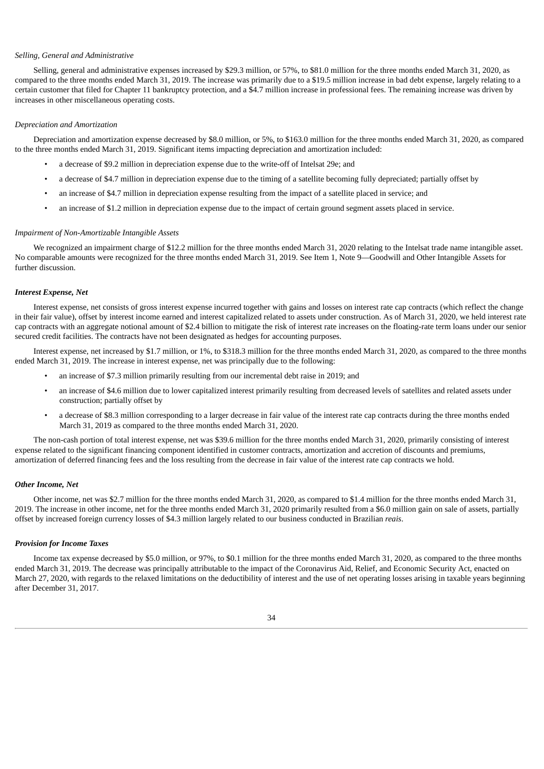#### *Selling, General and Administrative*

Selling, general and administrative expenses increased by \$29.3 million, or 57%, to \$81.0 million for the three months ended March 31, 2020, as compared to the three months ended March 31, 2019. The increase was primarily due to a \$19.5 million increase in bad debt expense, largely relating to a certain customer that filed for Chapter 11 bankruptcy protection, and a \$4.7 million increase in professional fees. The remaining increase was driven by increases in other miscellaneous operating costs.

#### *Depreciation and Amortization*

Depreciation and amortization expense decreased by \$8.0 million, or 5%, to \$163.0 million for the three months ended March 31, 2020, as compared to the three months ended March 31, 2019. Significant items impacting depreciation and amortization included:

- a decrease of \$9.2 million in depreciation expense due to the write-off of Intelsat 29e; and
- a decrease of \$4.7 million in depreciation expense due to the timing of a satellite becoming fully depreciated; partially offset by
- an increase of \$4.7 million in depreciation expense resulting from the impact of a satellite placed in service; and
- an increase of \$1.2 million in depreciation expense due to the impact of certain ground segment assets placed in service.

#### *Impairment of Non-Amortizable Intangible Assets*

We recognized an impairment charge of \$12.2 million for the three months ended March 31, 2020 relating to the Intelsat trade name intangible asset. No comparable amounts were recognized for the three months ended March 31, 2019. See Item 1, Note 9—Goodwill and Other Intangible Assets for further discussion.

#### *Interest Expense, Net*

Interest expense, net consists of gross interest expense incurred together with gains and losses on interest rate cap contracts (which reflect the change in their fair value), offset by interest income earned and interest capitalized related to assets under construction. As of March 31, 2020, we held interest rate cap contracts with an aggregate notional amount of \$2.4 billion to mitigate the risk of interest rate increases on the floating-rate term loans under our senior secured credit facilities. The contracts have not been designated as hedges for accounting purposes.

Interest expense, net increased by \$1.7 million, or 1%, to \$318.3 million for the three months ended March 31, 2020, as compared to the three months ended March 31, 2019. The increase in interest expense, net was principally due to the following:

- an increase of \$7.3 million primarily resulting from our incremental debt raise in 2019; and
- an increase of \$4.6 million due to lower capitalized interest primarily resulting from decreased levels of satellites and related assets under construction; partially offset by
- a decrease of \$8.3 million corresponding to a larger decrease in fair value of the interest rate cap contracts during the three months ended March 31, 2019 as compared to the three months ended March 31, 2020.

The non-cash portion of total interest expense, net was \$39.6 million for the three months ended March 31, 2020, primarily consisting of interest expense related to the significant financing component identified in customer contracts, amortization and accretion of discounts and premiums, amortization of deferred financing fees and the loss resulting from the decrease in fair value of the interest rate cap contracts we hold.

#### *Other Income, Net*

Other income, net was \$2.7 million for the three months ended March 31, 2020, as compared to \$1.4 million for the three months ended March 31, 2019. The increase in other income, net for the three months ended March 31, 2020 primarily resulted from a \$6.0 million gain on sale of assets, partially offset by increased foreign currency losses of \$4.3 million largely related to our business conducted in Brazilian *reais*.

### *Provision for Income Taxes*

Income tax expense decreased by \$5.0 million, or 97%, to \$0.1 million for the three months ended March 31, 2020, as compared to the three months ended March 31, 2019. The decrease was principally attributable to the impact of the Coronavirus Aid, Relief, and Economic Security Act, enacted on March 27, 2020, with regards to the relaxed limitations on the deductibility of interest and the use of net operating losses arising in taxable years beginning after December 31, 2017.

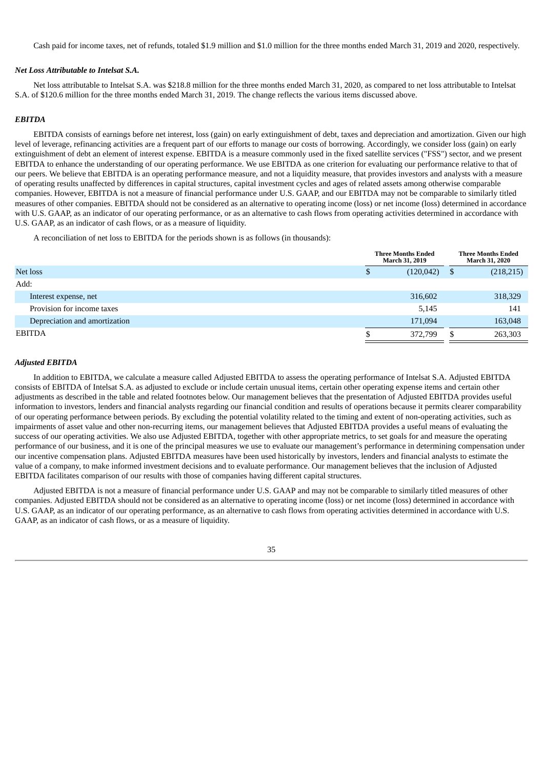Cash paid for income taxes, net of refunds, totaled \$1.9 million and \$1.0 million for the three months ended March 31, 2019 and 2020, respectively.

#### *Net Loss Attributable to Intelsat S.A.*

Net loss attributable to Intelsat S.A. was \$218.8 million for the three months ended March 31, 2020, as compared to net loss attributable to Intelsat S.A. of \$120.6 million for the three months ended March 31, 2019. The change reflects the various items discussed above.

#### *EBITDA*

EBITDA consists of earnings before net interest, loss (gain) on early extinguishment of debt, taxes and depreciation and amortization. Given our high level of leverage, refinancing activities are a frequent part of our efforts to manage our costs of borrowing. Accordingly, we consider loss (gain) on early extinguishment of debt an element of interest expense. EBITDA is a measure commonly used in the fixed satellite services ("FSS") sector, and we present EBITDA to enhance the understanding of our operating performance. We use EBITDA as one criterion for evaluating our performance relative to that of our peers. We believe that EBITDA is an operating performance measure, and not a liquidity measure, that provides investors and analysts with a measure of operating results unaffected by differences in capital structures, capital investment cycles and ages of related assets among otherwise comparable companies. However, EBITDA is not a measure of financial performance under U.S. GAAP, and our EBITDA may not be comparable to similarly titled measures of other companies. EBITDA should not be considered as an alternative to operating income (loss) or net income (loss) determined in accordance with U.S. GAAP, as an indicator of our operating performance, or as an alternative to cash flows from operating activities determined in accordance with U.S. GAAP, as an indicator of cash flows, or as a measure of liquidity.

A reconciliation of net loss to EBITDA for the periods shown is as follows (in thousands):

|                               | <b>Three Months Ended</b><br><b>March 31, 2019</b> |            |    | <b>Three Months Ended</b><br>March 31, 2020 |
|-------------------------------|----------------------------------------------------|------------|----|---------------------------------------------|
| Net loss                      | Ф                                                  | (120, 042) | \$ | (218, 215)                                  |
| Add:                          |                                                    |            |    |                                             |
| Interest expense, net         |                                                    | 316,602    |    | 318,329                                     |
| Provision for income taxes    |                                                    | 5,145      |    | 141                                         |
| Depreciation and amortization |                                                    | 171,094    |    | 163,048                                     |
| <b>EBITDA</b>                 |                                                    | 372,799    | \$ | 263,303                                     |

#### *Adjusted EBITDA*

In addition to EBITDA, we calculate a measure called Adjusted EBITDA to assess the operating performance of Intelsat S.A. Adjusted EBITDA consists of EBITDA of Intelsat S.A. as adjusted to exclude or include certain unusual items, certain other operating expense items and certain other adjustments as described in the table and related footnotes below. Our management believes that the presentation of Adjusted EBITDA provides useful information to investors, lenders and financial analysts regarding our financial condition and results of operations because it permits clearer comparability of our operating performance between periods. By excluding the potential volatility related to the timing and extent of non-operating activities, such as impairments of asset value and other non-recurring items, our management believes that Adjusted EBITDA provides a useful means of evaluating the success of our operating activities. We also use Adjusted EBITDA, together with other appropriate metrics, to set goals for and measure the operating performance of our business, and it is one of the principal measures we use to evaluate our management's performance in determining compensation under our incentive compensation plans. Adjusted EBITDA measures have been used historically by investors, lenders and financial analysts to estimate the value of a company, to make informed investment decisions and to evaluate performance. Our management believes that the inclusion of Adjusted EBITDA facilitates comparison of our results with those of companies having different capital structures.

Adjusted EBITDA is not a measure of financial performance under U.S. GAAP and may not be comparable to similarly titled measures of other companies. Adjusted EBITDA should not be considered as an alternative to operating income (loss) or net income (loss) determined in accordance with U.S. GAAP, as an indicator of our operating performance, as an alternative to cash flows from operating activities determined in accordance with U.S. GAAP, as an indicator of cash flows, or as a measure of liquidity.

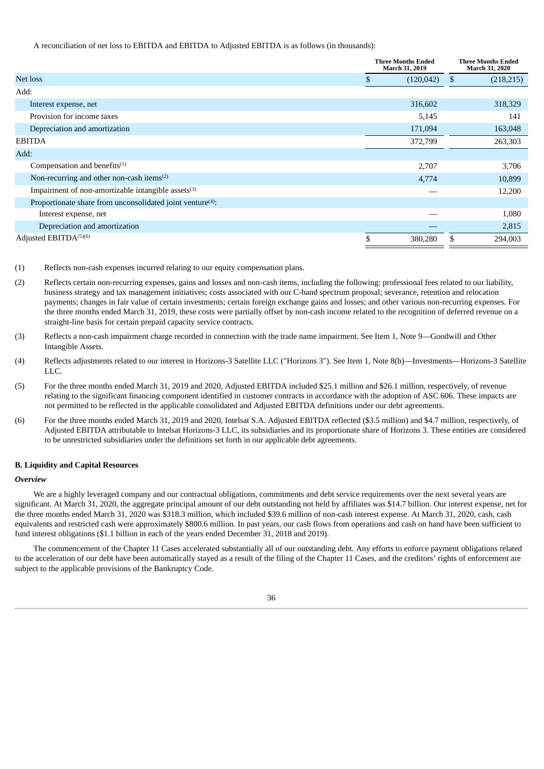A reconciliation of net loss to EBITDA and EBITDA to Adjusted EBITDA is as follows (in thousands):

|                                                                        |     | <b>Three Months Ended</b><br>March 31, 2019 |    | <b>Three Months Ended</b><br>March 31, 2020 |  |  |
|------------------------------------------------------------------------|-----|---------------------------------------------|----|---------------------------------------------|--|--|
| Net loss                                                               | \$. | (120, 042)                                  | S  | (218, 215)                                  |  |  |
| Add:                                                                   |     |                                             |    |                                             |  |  |
| Interest expense, net                                                  |     | 316,602                                     |    | 318,329                                     |  |  |
| Provision for income taxes                                             |     | 5,145                                       |    | 141                                         |  |  |
| Depreciation and amortization                                          |     | 171,094                                     |    | 163,048                                     |  |  |
| <b>EBITDA</b>                                                          |     | 372,799                                     |    | 263,303                                     |  |  |
| Add:                                                                   |     |                                             |    |                                             |  |  |
| Compensation and benefits <sup>(1)</sup>                               |     | 2,707                                       |    | 3,706                                       |  |  |
| Non-recurring and other non-cash items <sup>(2)</sup>                  |     | 4,774                                       |    | 10,899                                      |  |  |
| Impairment of non-amortizable intangible assets <sup>(3)</sup>         |     |                                             |    | 12,200                                      |  |  |
| Proportionate share from unconsolidated joint venture <sup>(4)</sup> : |     |                                             |    |                                             |  |  |
| Interest expense, net                                                  |     |                                             |    | 1,080                                       |  |  |
| Depreciation and amortization                                          |     |                                             |    | 2,815                                       |  |  |
| Adjusted EBITDA(5)(6)                                                  | \$  | 380,280                                     | \$ | 294,003                                     |  |  |

- (1) Reflects non-cash expenses incurred relating to our equity compensation plans.
- (2) Reflects certain non-recurring expenses, gains and losses and non-cash items, including the following: professional fees related to our liability, business strategy and tax management initiatives; costs associated with our C-band spectrum proposal; severance, retention and relocation payments; changes in fair value of certain investments; certain foreign exchange gains and losses; and other various non-recurring expenses. For the three months ended March 31, 2019, these costs were partially offset by non-cash income related to the recognition of deferred revenue on a straight-line basis for certain prepaid capacity service contracts.
- (3) Reflects a non-cash impairment charge recorded in connection with the trade name impairment. See Item 1, Note 9—Goodwill and Other Intangible Assets.
- (4) Reflects adjustments related to our interest in Horizons-3 Satellite LLC ("Horizons 3"). See Item 1, Note 8(b)—Investments—Horizons-3 Satellite LLC.
- (5) For the three months ended March 31, 2019 and 2020, Adjusted EBITDA included \$25.1 million and \$26.1 million, respectively, of revenue relating to the significant financing component identified in customer contracts in accordance with the adoption of ASC 606. These impacts are not permitted to be reflected in the applicable consolidated and Adjusted EBITDA definitions under our debt agreements.
- (6) For the three months ended March 31, 2019 and 2020, Intelsat S.A. Adjusted EBITDA reflected (\$3.5 million) and \$4.7 million, respectively, of Adjusted EBITDA attributable to Intelsat Horizons-3 LLC, its subsidiaries and its proportionate share of Horizons 3. These entities are considered to be unrestricted subsidiaries under the definitions set forth in our applicable debt agreements.

#### **B. Liquidity and Capital Resources**

#### *Overview*

We are a highly leveraged company and our contractual obligations, commitments and debt service requirements over the next several years are significant. At March 31, 2020, the aggregate principal amount of our debt outstanding not held by affiliates was \$14.7 billion. Our interest expense, net for the three months ended March 31, 2020 was \$318.3 million, which included \$39.6 million of non-cash interest expense. At March 31, 2020, cash, cash equivalents and restricted cash were approximately \$800.6 million. In past years, our cash flows from operations and cash on hand have been sufficient to fund interest obligations (\$1.1 billion in each of the years ended December 31, 2018 and 2019).

The commencement of the Chapter 11 Cases accelerated substantially all of our outstanding debt. Any efforts to enforce payment obligations related to the acceleration of our debt have been automatically stayed as a result of the filing of the Chapter 11 Cases, and the creditors' rights of enforcement are subject to the applicable provisions of the Bankruptcy Code.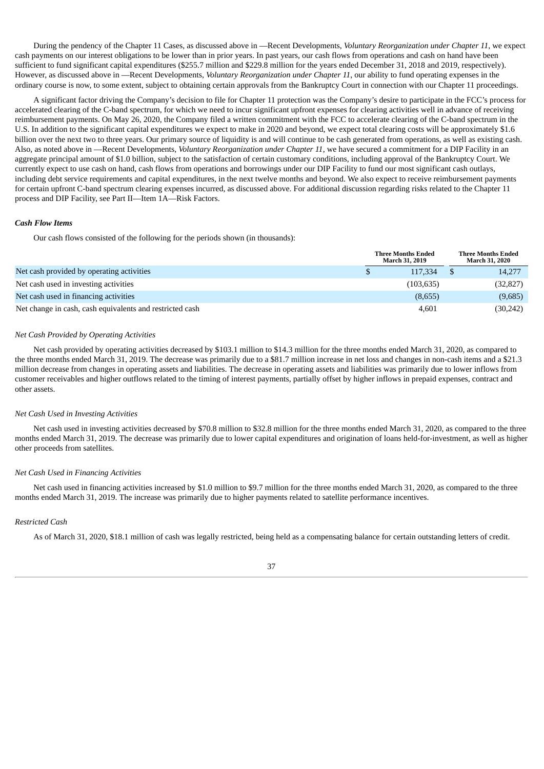During the pendency of the Chapter 11 Cases, as discussed above in —Recent Developments, *Voluntary Reorganization under Chapter 11*, we expect cash payments on our interest obligations to be lower than in prior years. In past years, our cash flows from operations and cash on hand have been sufficient to fund significant capital expenditures (\$255.7 million and \$229.8 million for the years ended December 31, 2018 and 2019, respectively). However, as discussed above in —Recent Developments, *Voluntary Reorganization under Chapter 11*, our ability to fund operating expenses in the ordinary course is now, to some extent, subject to obtaining certain approvals from the Bankruptcy Court in connection with our Chapter 11 proceedings.

A significant factor driving the Company's decision to file for Chapter 11 protection was the Company's desire to participate in the FCC's process for accelerated clearing of the C-band spectrum, for which we need to incur significant upfront expenses for clearing activities well in advance of receiving reimbursement payments. On May 26, 2020, the Company filed a written commitment with the FCC to accelerate clearing of the C-band spectrum in the U.S. In addition to the significant capital expenditures we expect to make in 2020 and beyond, we expect total clearing costs will be approximately \$1.6 billion over the next two to three years. Our primary source of liquidity is and will continue to be cash generated from operations, as well as existing cash. Also, as noted above in —Recent Developments, *Voluntary Reorganization under Chapter 11*, we have secured a commitment for a DIP Facility in an aggregate principal amount of \$1.0 billion, subject to the satisfaction of certain customary conditions, including approval of the Bankruptcy Court. We currently expect to use cash on hand, cash flows from operations and borrowings under our DIP Facility to fund our most significant cash outlays, including debt service requirements and capital expenditures, in the next twelve months and beyond. We also expect to receive reimbursement payments for certain upfront C-band spectrum clearing expenses incurred, as discussed above. For additional discussion regarding risks related to the Chapter 11 process and DIP Facility, see Part II—Item 1A—Risk Factors.

### *Cash Flow Items*

Our cash flows consisted of the following for the periods shown (in thousands):

|                                                          |   | <b>Three Months Ended</b><br>March 31, 2019 | <b>Three Months Ended</b><br>March 31, 2020 |
|----------------------------------------------------------|---|---------------------------------------------|---------------------------------------------|
| Net cash provided by operating activities                | S | 117,334                                     | 14,277                                      |
| Net cash used in investing activities                    |   | (103, 635)                                  | (32, 827)                                   |
| Net cash used in financing activities                    |   | (8,655)                                     | (9,685)                                     |
| Net change in cash, cash equivalents and restricted cash |   | 4,601                                       | (30,242)                                    |

### *Net Cash Provided by Operating Activities*

Net cash provided by operating activities decreased by \$103.1 million to \$14.3 million for the three months ended March 31, 2020, as compared to the three months ended March 31, 2019. The decrease was primarily due to a \$81.7 million increase in net loss and changes in non-cash items and a \$21.3 million decrease from changes in operating assets and liabilities. The decrease in operating assets and liabilities was primarily due to lower inflows from customer receivables and higher outflows related to the timing of interest payments, partially offset by higher inflows in prepaid expenses, contract and other assets.

#### *Net Cash Used in Investing Activities*

Net cash used in investing activities decreased by \$70.8 million to \$32.8 million for the three months ended March 31, 2020, as compared to the three months ended March 31, 2019. The decrease was primarily due to lower capital expenditures and origination of loans held-for-investment, as well as higher other proceeds from satellites.

#### *Net Cash Used in Financing Activities*

Net cash used in financing activities increased by \$1.0 million to \$9.7 million for the three months ended March 31, 2020, as compared to the three months ended March 31, 2019. The increase was primarily due to higher payments related to satellite performance incentives.

#### *Restricted Cash*

As of March 31, 2020, \$18.1 million of cash was legally restricted, being held as a compensating balance for certain outstanding letters of credit.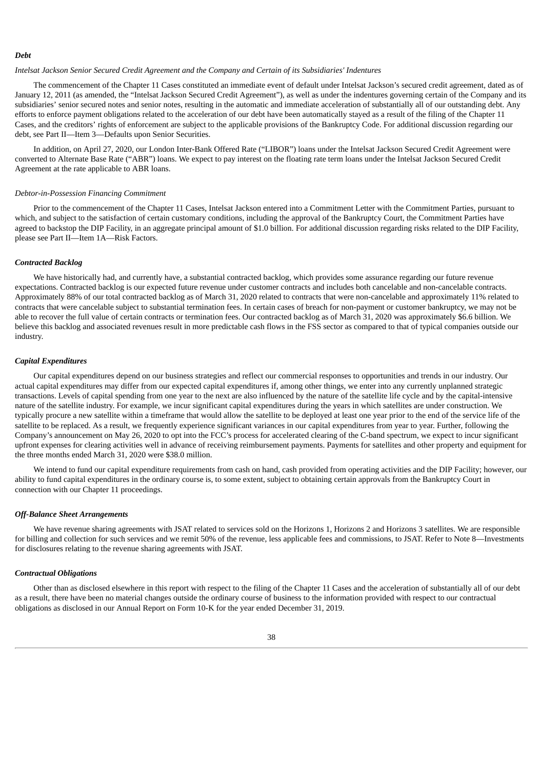#### *Debt*

#### *Intelsat Jackson Senior Secured Credit Agreement and the Company and Certain of its Subsidiaries' Indentures*

The commencement of the Chapter 11 Cases constituted an immediate event of default under Intelsat Jackson's secured credit agreement, dated as of January 12, 2011 (as amended, the "Intelsat Jackson Secured Credit Agreement"), as well as under the indentures governing certain of the Company and its subsidiaries' senior secured notes and senior notes, resulting in the automatic and immediate acceleration of substantially all of our outstanding debt. Any efforts to enforce payment obligations related to the acceleration of our debt have been automatically stayed as a result of the filing of the Chapter 11 Cases, and the creditors' rights of enforcement are subject to the applicable provisions of the Bankruptcy Code. For additional discussion regarding our debt, see Part II—Item 3—Defaults upon Senior Securities.

In addition, on April 27, 2020, our London Inter-Bank Offered Rate ("LIBOR") loans under the Intelsat Jackson Secured Credit Agreement were converted to Alternate Base Rate ("ABR") loans. We expect to pay interest on the floating rate term loans under the Intelsat Jackson Secured Credit Agreement at the rate applicable to ABR loans.

#### *Debtor-in-Possession Financing Commitment*

Prior to the commencement of the Chapter 11 Cases, Intelsat Jackson entered into a Commitment Letter with the Commitment Parties, pursuant to which, and subject to the satisfaction of certain customary conditions, including the approval of the Bankruptcy Court, the Commitment Parties have agreed to backstop the DIP Facility, in an aggregate principal amount of \$1.0 billion. For additional discussion regarding risks related to the DIP Facility, please see Part II—Item 1A—Risk Factors.

#### *Contracted Backlog*

We have historically had, and currently have, a substantial contracted backlog, which provides some assurance regarding our future revenue expectations. Contracted backlog is our expected future revenue under customer contracts and includes both cancelable and non-cancelable contracts. Approximately 88% of our total contracted backlog as of March 31, 2020 related to contracts that were non-cancelable and approximately 11% related to contracts that were cancelable subject to substantial termination fees. In certain cases of breach for non-payment or customer bankruptcy, we may not be able to recover the full value of certain contracts or termination fees. Our contracted backlog as of March 31, 2020 was approximately \$6.6 billion. We believe this backlog and associated revenues result in more predictable cash flows in the FSS sector as compared to that of typical companies outside our industry.

#### *Capital Expenditures*

Our capital expenditures depend on our business strategies and reflect our commercial responses to opportunities and trends in our industry. Our actual capital expenditures may differ from our expected capital expenditures if, among other things, we enter into any currently unplanned strategic transactions. Levels of capital spending from one year to the next are also influenced by the nature of the satellite life cycle and by the capital-intensive nature of the satellite industry. For example, we incur significant capital expenditures during the years in which satellites are under construction. We typically procure a new satellite within a timeframe that would allow the satellite to be deployed at least one year prior to the end of the service life of the satellite to be replaced. As a result, we frequently experience significant variances in our capital expenditures from year to year. Further, following the Company's announcement on May 26, 2020 to opt into the FCC's process for accelerated clearing of the C-band spectrum, we expect to incur significant upfront expenses for clearing activities well in advance of receiving reimbursement payments. Payments for satellites and other property and equipment for the three months ended March 31, 2020 were \$38.0 million.

We intend to fund our capital expenditure requirements from cash on hand, cash provided from operating activities and the DIP Facility; however, our ability to fund capital expenditures in the ordinary course is, to some extent, subject to obtaining certain approvals from the Bankruptcy Court in connection with our Chapter 11 proceedings.

#### *Off-Balance Sheet Arrangements*

We have revenue sharing agreements with JSAT related to services sold on the Horizons 1, Horizons 2 and Horizons 3 satellites. We are responsible for billing and collection for such services and we remit 50% of the revenue, less applicable fees and commissions, to JSAT. Refer to Note 8—Investments for disclosures relating to the revenue sharing agreements with JSAT.

### *Contractual Obligations*

Other than as disclosed elsewhere in this report with respect to the filing of the Chapter 11 Cases and the acceleration of substantially all of our debt as a result, there have been no material changes outside the ordinary course of business to the information provided with respect to our contractual obligations as disclosed in our Annual Report on Form 10-K for the year ended December 31, 2019.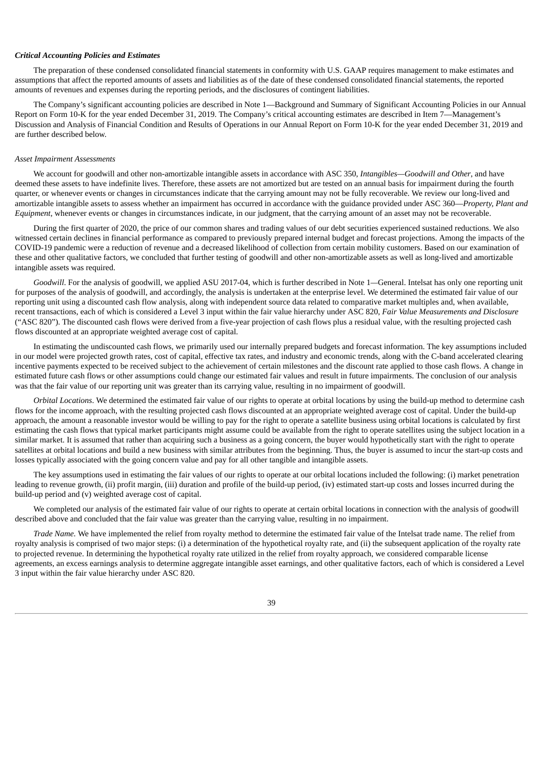#### *Critical Accounting Policies and Estimates*

The preparation of these condensed consolidated financial statements in conformity with U.S. GAAP requires management to make estimates and assumptions that affect the reported amounts of assets and liabilities as of the date of these condensed consolidated financial statements, the reported amounts of revenues and expenses during the reporting periods, and the disclosures of contingent liabilities.

The Company's significant accounting policies are described in Note 1—Background and Summary of Significant Accounting Policies in our Annual Report on Form 10-K for the year ended December 31, 2019. The Company's critical accounting estimates are described in Item 7—Management's Discussion and Analysis of Financial Condition and Results of Operations in our Annual Report on Form 10-K for the year ended December 31, 2019 and are further described below.

### *Asset Impairment Assessments*

We account for goodwill and other non-amortizable intangible assets in accordance with ASC 350, *Intangibles—Goodwill and Other*, and have deemed these assets to have indefinite lives. Therefore, these assets are not amortized but are tested on an annual basis for impairment during the fourth quarter, or whenever events or changes in circumstances indicate that the carrying amount may not be fully recoverable. We review our long-lived and amortizable intangible assets to assess whether an impairment has occurred in accordance with the guidance provided under ASC 360—*Property, Plant and Equipment*, whenever events or changes in circumstances indicate, in our judgment, that the carrying amount of an asset may not be recoverable.

During the first quarter of 2020, the price of our common shares and trading values of our debt securities experienced sustained reductions. We also witnessed certain declines in financial performance as compared to previously prepared internal budget and forecast projections. Among the impacts of the COVID-19 pandemic were a reduction of revenue and a decreased likelihood of collection from certain mobility customers. Based on our examination of these and other qualitative factors, we concluded that further testing of goodwill and other non-amortizable assets as well as long-lived and amortizable intangible assets was required.

*Goodwill*. For the analysis of goodwill, we applied ASU 2017-04, which is further described in Note 1*—*General. Intelsat has only one reporting unit for purposes of the analysis of goodwill, and accordingly, the analysis is undertaken at the enterprise level. We determined the estimated fair value of our reporting unit using a discounted cash flow analysis, along with independent source data related to comparative market multiples and, when available, recent transactions, each of which is considered a Level 3 input within the fair value hierarchy under ASC 820, *Fair Value Measurements and Disclosure* ("ASC 820"). The discounted cash flows were derived from a five-year projection of cash flows plus a residual value, with the resulting projected cash flows discounted at an appropriate weighted average cost of capital.

In estimating the undiscounted cash flows, we primarily used our internally prepared budgets and forecast information. The key assumptions included in our model were projected growth rates, cost of capital, effective tax rates, and industry and economic trends, along with the C-band accelerated clearing incentive payments expected to be received subject to the achievement of certain milestones and the discount rate applied to those cash flows. A change in estimated future cash flows or other assumptions could change our estimated fair values and result in future impairments. The conclusion of our analysis was that the fair value of our reporting unit was greater than its carrying value, resulting in no impairment of goodwill.

*Orbital Locations*. We determined the estimated fair value of our rights to operate at orbital locations by using the build-up method to determine cash flows for the income approach, with the resulting projected cash flows discounted at an appropriate weighted average cost of capital. Under the build-up approach, the amount a reasonable investor would be willing to pay for the right to operate a satellite business using orbital locations is calculated by first estimating the cash flows that typical market participants might assume could be available from the right to operate satellites using the subject location in a similar market. It is assumed that rather than acquiring such a business as a going concern, the buyer would hypothetically start with the right to operate satellites at orbital locations and build a new business with similar attributes from the beginning. Thus, the buyer is assumed to incur the start-up costs and losses typically associated with the going concern value and pay for all other tangible and intangible assets.

The key assumptions used in estimating the fair values of our rights to operate at our orbital locations included the following: (i) market penetration leading to revenue growth, (ii) profit margin, (iii) duration and profile of the build-up period, (iv) estimated start-up costs and losses incurred during the build-up period and (v) weighted average cost of capital.

We completed our analysis of the estimated fair value of our rights to operate at certain orbital locations in connection with the analysis of goodwill described above and concluded that the fair value was greater than the carrying value, resulting in no impairment.

*Trade Name.* We have implemented the relief from royalty method to determine the estimated fair value of the Intelsat trade name. The relief from royalty analysis is comprised of two major steps: (i) a determination of the hypothetical royalty rate, and (ii) the subsequent application of the royalty rate to projected revenue. In determining the hypothetical royalty rate utilized in the relief from royalty approach, we considered comparable license agreements, an excess earnings analysis to determine aggregate intangible asset earnings, and other qualitative factors, each of which is considered a Level 3 input within the fair value hierarchy under ASC 820.

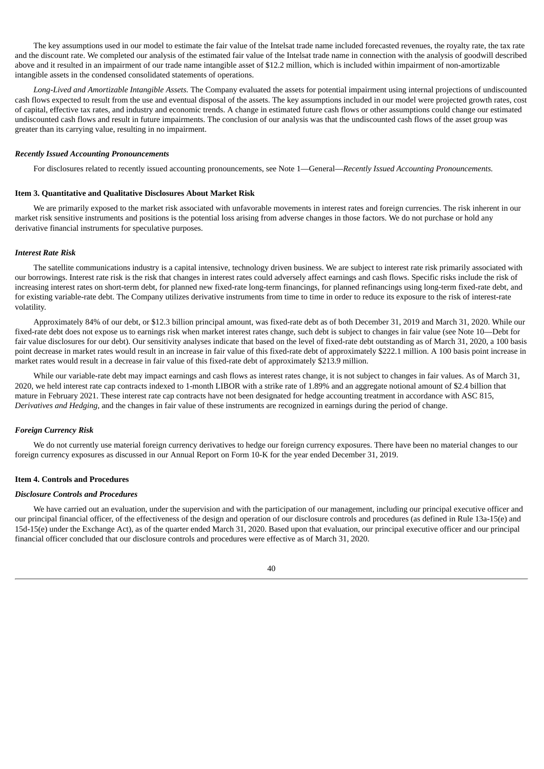The key assumptions used in our model to estimate the fair value of the Intelsat trade name included forecasted revenues, the royalty rate, the tax rate and the discount rate. We completed our analysis of the estimated fair value of the Intelsat trade name in connection with the analysis of goodwill described above and it resulted in an impairment of our trade name intangible asset of \$12.2 million, which is included within impairment of non-amortizable intangible assets in the condensed consolidated statements of operations.

*Long-Lived and Amortizable Intangible Assets.* The Company evaluated the assets for potential impairment using internal projections of undiscounted cash flows expected to result from the use and eventual disposal of the assets. The key assumptions included in our model were projected growth rates, cost of capital, effective tax rates, and industry and economic trends. A change in estimated future cash flows or other assumptions could change our estimated undiscounted cash flows and result in future impairments. The conclusion of our analysis was that the undiscounted cash flows of the asset group was greater than its carrying value, resulting in no impairment.

### *Recently Issued Accounting Pronouncements*

For disclosures related to recently issued accounting pronouncements, see Note 1—General—*Recently Issued Accounting Pronouncements.*

#### **Item 3. Quantitative and Qualitative Disclosures About Market Risk**

We are primarily exposed to the market risk associated with unfavorable movements in interest rates and foreign currencies. The risk inherent in our market risk sensitive instruments and positions is the potential loss arising from adverse changes in those factors. We do not purchase or hold any derivative financial instruments for speculative purposes.

#### *Interest Rate Risk*

The satellite communications industry is a capital intensive, technology driven business. We are subject to interest rate risk primarily associated with our borrowings. Interest rate risk is the risk that changes in interest rates could adversely affect earnings and cash flows. Specific risks include the risk of increasing interest rates on short-term debt, for planned new fixed-rate long-term financings, for planned refinancings using long-term fixed-rate debt, and for existing variable-rate debt. The Company utilizes derivative instruments from time to time in order to reduce its exposure to the risk of interest-rate volatility.

Approximately 84% of our debt, or \$12.3 billion principal amount, was fixed-rate debt as of both December 31, 2019 and March 31, 2020. While our fixed-rate debt does not expose us to earnings risk when market interest rates change, such debt is subject to changes in fair value (see Note 10—Debt for fair value disclosures for our debt). Our sensitivity analyses indicate that based on the level of fixed-rate debt outstanding as of March 31, 2020, a 100 basis point decrease in market rates would result in an increase in fair value of this fixed-rate debt of approximately \$222.1 million. A 100 basis point increase in market rates would result in a decrease in fair value of this fixed-rate debt of approximately \$213.9 million.

While our variable-rate debt may impact earnings and cash flows as interest rates change, it is not subject to changes in fair values. As of March 31, 2020, we held interest rate cap contracts indexed to 1-month LIBOR with a strike rate of 1.89% and an aggregate notional amount of \$2.4 billion that mature in February 2021. These interest rate cap contracts have not been designated for hedge accounting treatment in accordance with ASC 815, *Derivatives and Hedging*, and the changes in fair value of these instruments are recognized in earnings during the period of change.

#### *Foreign Currency Risk*

We do not currently use material foreign currency derivatives to hedge our foreign currency exposures. There have been no material changes to our foreign currency exposures as discussed in our Annual Report on Form 10-K for the year ended December 31, 2019.

#### **Item 4. Controls and Procedures**

### *Disclosure Controls and Procedures*

We have carried out an evaluation, under the supervision and with the participation of our management, including our principal executive officer and our principal financial officer, of the effectiveness of the design and operation of our disclosure controls and procedures (as defined in Rule 13a-15(e) and 15d-15(e) under the Exchange Act), as of the quarter ended March 31, 2020. Based upon that evaluation, our principal executive officer and our principal financial officer concluded that our disclosure controls and procedures were effective as of March 31, 2020.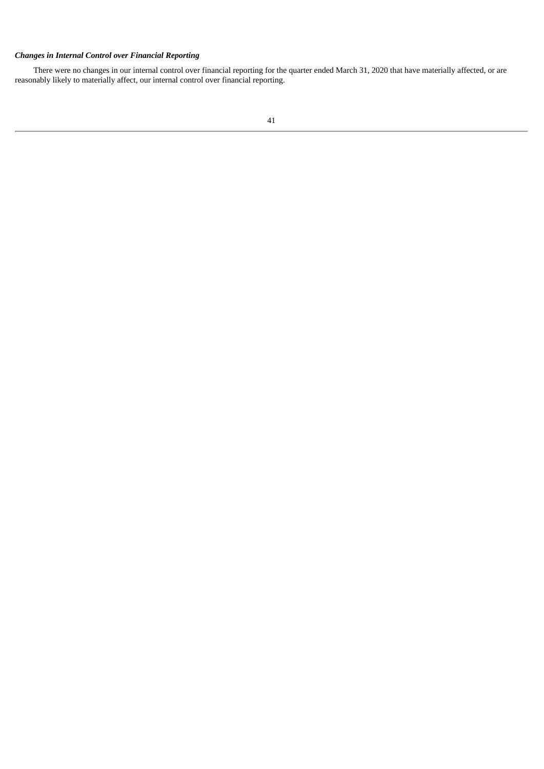## *Changes in Internal Control over Financial Reporting*

There were no changes in our internal control over financial reporting for the quarter ended March 31, 2020 that have materially affected, or are reasonably likely to materially affect, our internal control over financial reporting.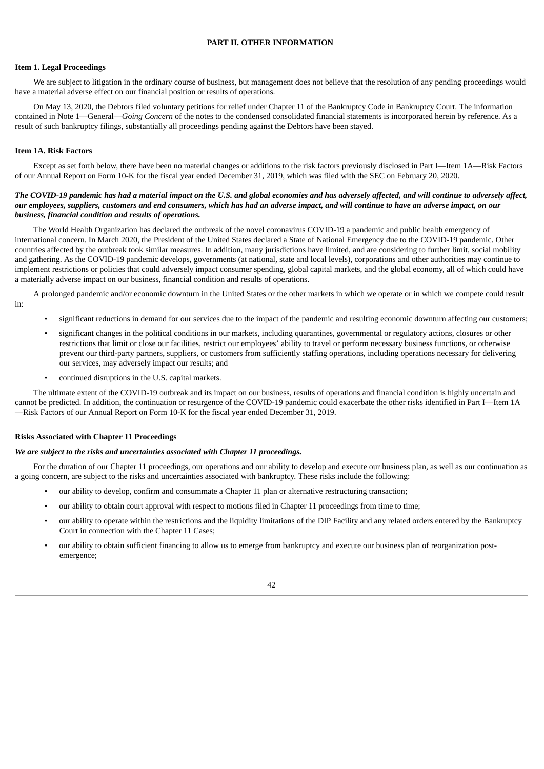### **PART II. OTHER INFORMATION**

### **Item 1. Legal Proceedings**

We are subject to litigation in the ordinary course of business, but management does not believe that the resolution of any pending proceedings would have a material adverse effect on our financial position or results of operations.

On May 13, 2020, the Debtors filed voluntary petitions for relief under Chapter 11 of the Bankruptcy Code in Bankruptcy Court. The information contained in Note 1—General—*Going Concern* of the notes to the condensed consolidated financial statements is incorporated herein by reference. As a result of such bankruptcy filings, substantially all proceedings pending against the Debtors have been stayed.

### **Item 1A. Risk Factors**

Except as set forth below, there have been no material changes or additions to the risk factors previously disclosed in Part I—Item 1A—Risk Factors of our Annual Report on Form 10-K for the fiscal year ended December 31, 2019, which was filed with the SEC on February 20, 2020.

### The COVID-19 pandemic has had a material impact on the U.S. and global economies and has adversely affected, and will continue to adversely affect, our employees, suppliers, customers and end consumers, which has had an adverse impact, and will continue to have an adverse impact, on our *business, financial condition and results of operations.*

The World Health Organization has declared the outbreak of the novel coronavirus COVID-19 a pandemic and public health emergency of international concern. In March 2020, the President of the United States declared a State of National Emergency due to the COVID-19 pandemic. Other countries affected by the outbreak took similar measures. In addition, many jurisdictions have limited, and are considering to further limit, social mobility and gathering. As the COVID-19 pandemic develops, governments (at national, state and local levels), corporations and other authorities may continue to implement restrictions or policies that could adversely impact consumer spending, global capital markets, and the global economy, all of which could have a materially adverse impact on our business, financial condition and results of operations.

A prolonged pandemic and/or economic downturn in the United States or the other markets in which we operate or in which we compete could result in:

- significant reductions in demand for our services due to the impact of the pandemic and resulting economic downturn affecting our customers;
- significant changes in the political conditions in our markets, including quarantines, governmental or regulatory actions, closures or other restrictions that limit or close our facilities, restrict our employees' ability to travel or perform necessary business functions, or otherwise prevent our third-party partners, suppliers, or customers from sufficiently staffing operations, including operations necessary for delivering our services, may adversely impact our results; and
- continued disruptions in the U.S. capital markets.

The ultimate extent of the COVID-19 outbreak and its impact on our business, results of operations and financial condition is highly uncertain and cannot be predicted. In addition, the continuation or resurgence of the COVID-19 pandemic could exacerbate the other risks identified in Part I—Item 1A —Risk Factors of our Annual Report on Form 10-K for the fiscal year ended December 31, 2019.

### **Risks Associated with Chapter 11 Proceedings**

#### *We are subject to the risks and uncertainties associated with Chapter 11 proceedings.*

For the duration of our Chapter 11 proceedings, our operations and our ability to develop and execute our business plan, as well as our continuation as a going concern, are subject to the risks and uncertainties associated with bankruptcy. These risks include the following:

- our ability to develop, confirm and consummate a Chapter 11 plan or alternative restructuring transaction;
- our ability to obtain court approval with respect to motions filed in Chapter 11 proceedings from time to time;
- our ability to operate within the restrictions and the liquidity limitations of the DIP Facility and any related orders entered by the Bankruptcy Court in connection with the Chapter 11 Cases;
- our ability to obtain sufficient financing to allow us to emerge from bankruptcy and execute our business plan of reorganization postemergence;

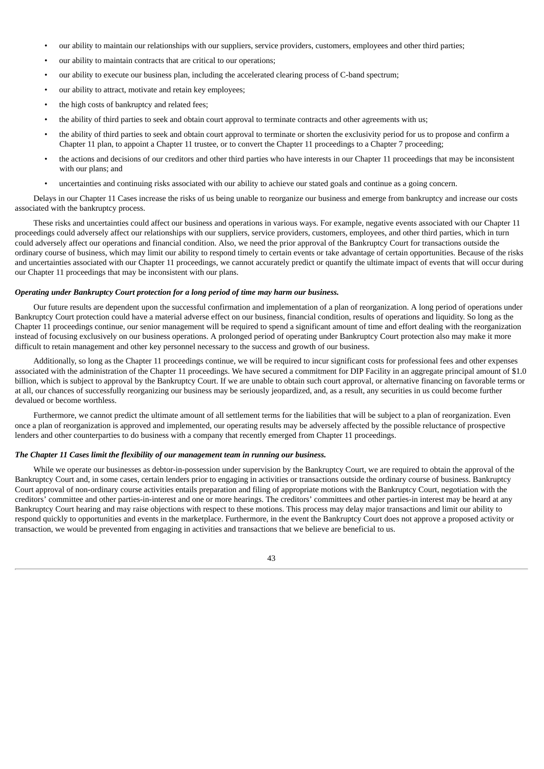- our ability to maintain our relationships with our suppliers, service providers, customers, employees and other third parties;
- our ability to maintain contracts that are critical to our operations;
- our ability to execute our business plan, including the accelerated clearing process of C-band spectrum;
- our ability to attract, motivate and retain key employees;
- the high costs of bankruptcy and related fees;
- the ability of third parties to seek and obtain court approval to terminate contracts and other agreements with us;
- the ability of third parties to seek and obtain court approval to terminate or shorten the exclusivity period for us to propose and confirm a Chapter 11 plan, to appoint a Chapter 11 trustee, or to convert the Chapter 11 proceedings to a Chapter 7 proceeding;
- the actions and decisions of our creditors and other third parties who have interests in our Chapter 11 proceedings that may be inconsistent with our plans; and
- uncertainties and continuing risks associated with our ability to achieve our stated goals and continue as a going concern.

Delays in our Chapter 11 Cases increase the risks of us being unable to reorganize our business and emerge from bankruptcy and increase our costs associated with the bankruptcy process.

These risks and uncertainties could affect our business and operations in various ways. For example, negative events associated with our Chapter 11 proceedings could adversely affect our relationships with our suppliers, service providers, customers, employees, and other third parties, which in turn could adversely affect our operations and financial condition. Also, we need the prior approval of the Bankruptcy Court for transactions outside the ordinary course of business, which may limit our ability to respond timely to certain events or take advantage of certain opportunities. Because of the risks and uncertainties associated with our Chapter 11 proceedings, we cannot accurately predict or quantify the ultimate impact of events that will occur during our Chapter 11 proceedings that may be inconsistent with our plans.

#### *Operating under Bankruptcy Court protection for a long period of time may harm our business.*

Our future results are dependent upon the successful confirmation and implementation of a plan of reorganization. A long period of operations under Bankruptcy Court protection could have a material adverse effect on our business, financial condition, results of operations and liquidity. So long as the Chapter 11 proceedings continue, our senior management will be required to spend a significant amount of time and effort dealing with the reorganization instead of focusing exclusively on our business operations. A prolonged period of operating under Bankruptcy Court protection also may make it more difficult to retain management and other key personnel necessary to the success and growth of our business.

Additionally, so long as the Chapter 11 proceedings continue, we will be required to incur significant costs for professional fees and other expenses associated with the administration of the Chapter 11 proceedings. We have secured a commitment for DIP Facility in an aggregate principal amount of \$1.0 billion, which is subject to approval by the Bankruptcy Court. If we are unable to obtain such court approval, or alternative financing on favorable terms or at all, our chances of successfully reorganizing our business may be seriously jeopardized, and, as a result, any securities in us could become further devalued or become worthless.

Furthermore, we cannot predict the ultimate amount of all settlement terms for the liabilities that will be subject to a plan of reorganization. Even once a plan of reorganization is approved and implemented, our operating results may be adversely affected by the possible reluctance of prospective lenders and other counterparties to do business with a company that recently emerged from Chapter 11 proceedings.

### *The Chapter 11 Cases limit the flexibility of our management team in running our business.*

While we operate our businesses as debtor-in-possession under supervision by the Bankruptcy Court, we are required to obtain the approval of the Bankruptcy Court and, in some cases, certain lenders prior to engaging in activities or transactions outside the ordinary course of business. Bankruptcy Court approval of non-ordinary course activities entails preparation and filing of appropriate motions with the Bankruptcy Court, negotiation with the creditors' committee and other parties-in-interest and one or more hearings. The creditors' committees and other parties-in interest may be heard at any Bankruptcy Court hearing and may raise objections with respect to these motions. This process may delay major transactions and limit our ability to respond quickly to opportunities and events in the marketplace. Furthermore, in the event the Bankruptcy Court does not approve a proposed activity or transaction, we would be prevented from engaging in activities and transactions that we believe are beneficial to us.

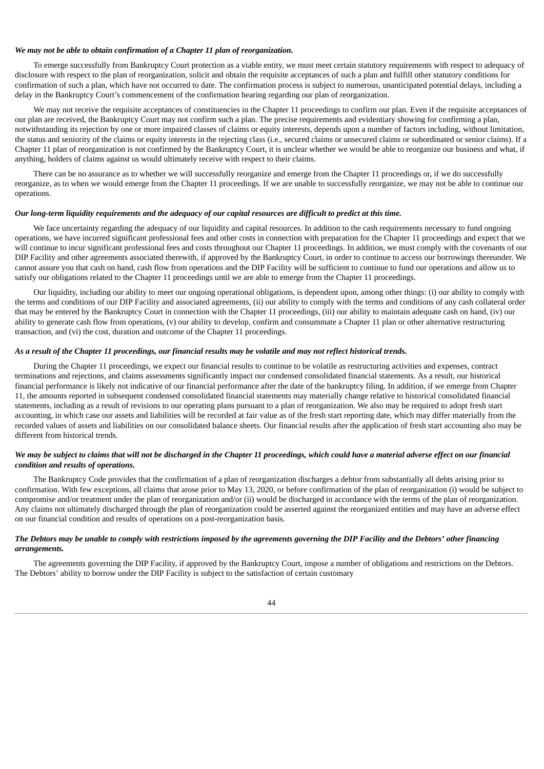#### *We may not be able to obtain confirmation of a Chapter 11 plan of reorganization.*

To emerge successfully from Bankruptcy Court protection as a viable entity, we must meet certain statutory requirements with respect to adequacy of disclosure with respect to the plan of reorganization, solicit and obtain the requisite acceptances of such a plan and fulfill other statutory conditions for confirmation of such a plan, which have not occurred to date. The confirmation process is subject to numerous, unanticipated potential delays, including a delay in the Bankruptcy Court's commencement of the confirmation hearing regarding our plan of reorganization.

We may not receive the requisite acceptances of constituencies in the Chapter 11 proceedings to confirm our plan. Even if the requisite acceptances of our plan are received, the Bankruptcy Court may not confirm such a plan. The precise requirements and evidentiary showing for confirming a plan, notwithstanding its rejection by one or more impaired classes of claims or equity interests, depends upon a number of factors including, without limitation, the status and seniority of the claims or equity interests in the rejecting class (i.e., secured claims or unsecured claims or subordinated or senior claims). If a Chapter 11 plan of reorganization is not confirmed by the Bankruptcy Court, it is unclear whether we would be able to reorganize our business and what, if anything, holders of claims against us would ultimately receive with respect to their claims.

There can be no assurance as to whether we will successfully reorganize and emerge from the Chapter 11 proceedings or, if we do successfully reorganize, as to when we would emerge from the Chapter 11 proceedings. If we are unable to successfully reorganize, we may not be able to continue our operations.

### Our long-term liquidity requirements and the adequacy of our capital resources are difficult to predict at this time.

We face uncertainty regarding the adequacy of our liquidity and capital resources. In addition to the cash requirements necessary to fund ongoing operations, we have incurred significant professional fees and other costs in connection with preparation for the Chapter 11 proceedings and expect that we will continue to incur significant professional fees and costs throughout our Chapter 11 proceedings. In addition, we must comply with the covenants of our DIP Facility and other agreements associated therewith, if approved by the Bankruptcy Court, in order to continue to access our borrowings thereunder. We cannot assure you that cash on hand, cash flow from operations and the DIP Facility will be sufficient to continue to fund our operations and allow us to satisfy our obligations related to the Chapter 11 proceedings until we are able to emerge from the Chapter 11 proceedings.

Our liquidity, including our ability to meet our ongoing operational obligations, is dependent upon, among other things: (i) our ability to comply with the terms and conditions of our DIP Facility and associated agreements, (ii) our ability to comply with the terms and conditions of any cash collateral order that may be entered by the Bankruptcy Court in connection with the Chapter 11 proceedings, (iii) our ability to maintain adequate cash on hand, (iv) our ability to generate cash flow from operations, (v) our ability to develop, confirm and consummate a Chapter 11 plan or other alternative restructuring transaction, and (vi) the cost, duration and outcome of the Chapter 11 proceedings.

### As a result of the Chapter 11 proceedings, our financial results may be volatile and may not reflect historical trends.

During the Chapter 11 proceedings, we expect our financial results to continue to be volatile as restructuring activities and expenses, contract terminations and rejections, and claims assessments significantly impact our condensed consolidated financial statements. As a result, our historical financial performance is likely not indicative of our financial performance after the date of the bankruptcy filing. In addition, if we emerge from Chapter 11, the amounts reported in subsequent condensed consolidated financial statements may materially change relative to historical consolidated financial statements, including as a result of revisions to our operating plans pursuant to a plan of reorganization. We also may be required to adopt fresh start accounting, in which case our assets and liabilities will be recorded at fair value as of the fresh start reporting date, which may differ materially from the recorded values of assets and liabilities on our consolidated balance sheets. Our financial results after the application of fresh start accounting also may be different from historical trends.

### We may be subject to claims that will not be discharged in the Chapter 11 proceedings, which could have a material adverse effect on our financial *condition and results of operations.*

The Bankruptcy Code provides that the confirmation of a plan of reorganization discharges a debtor from substantially all debts arising prior to confirmation. With few exceptions, all claims that arose prior to May 13, 2020, or before confirmation of the plan of reorganization (i) would be subject to compromise and/or treatment under the plan of reorganization and/or (ii) would be discharged in accordance with the terms of the plan of reorganization. Any claims not ultimately discharged through the plan of reorganization could be asserted against the reorganized entities and may have an adverse effect on our financial condition and results of operations on a post-reorganization basis.

### The Debtors may be unable to comply with restrictions imposed by the agreements governing the DIP Facility and the Debtors' other financing *arrangements.*

The agreements governing the DIP Facility, if approved by the Bankruptcy Court, impose a number of obligations and restrictions on the Debtors. The Debtors' ability to borrow under the DIP Facility is subject to the satisfaction of certain customary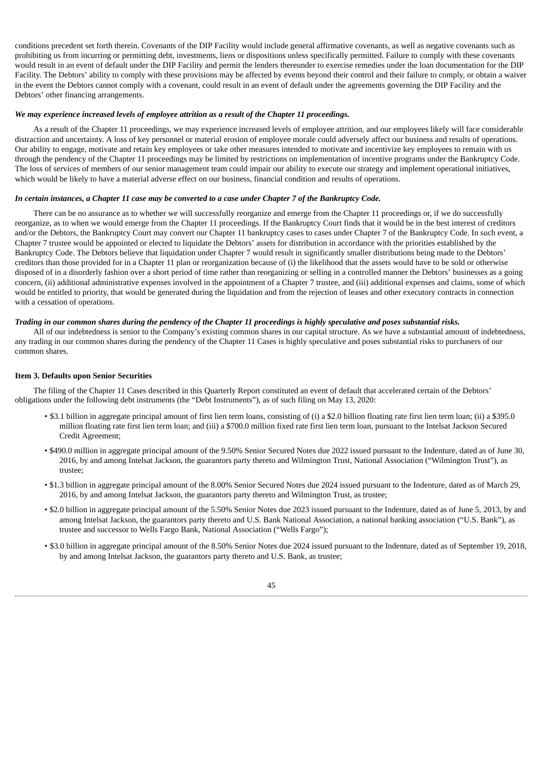conditions precedent set forth therein. Covenants of the DIP Facility would include general affirmative covenants, as well as negative covenants such as prohibiting us from incurring or permitting debt, investments, liens or dispositions unless specifically permitted. Failure to comply with these covenants would result in an event of default under the DIP Facility and permit the lenders thereunder to exercise remedies under the loan documentation for the DIP Facility. The Debtors' ability to comply with these provisions may be affected by events beyond their control and their failure to comply, or obtain a waiver in the event the Debtors cannot comply with a covenant, could result in an event of default under the agreements governing the DIP Facility and the Debtors' other financing arrangements.

#### *We may experience increased levels of employee attrition as a result of the Chapter 11 proceedings.*

As a result of the Chapter 11 proceedings, we may experience increased levels of employee attrition, and our employees likely will face considerable distraction and uncertainty. A loss of key personnel or material erosion of employee morale could adversely affect our business and results of operations. Our ability to engage, motivate and retain key employees or take other measures intended to motivate and incentivize key employees to remain with us through the pendency of the Chapter 11 proceedings may be limited by restrictions on implementation of incentive programs under the Bankruptcy Code. The loss of services of members of our senior management team could impair our ability to execute our strategy and implement operational initiatives, which would be likely to have a material adverse effect on our business, financial condition and results of operations.

#### In certain instances, a Chapter 11 case may be converted to a case under Chapter 7 of the Bankruptcy Code.

There can be no assurance as to whether we will successfully reorganize and emerge from the Chapter 11 proceedings or, if we do successfully reorganize, as to when we would emerge from the Chapter 11 proceedings. If the Bankruptcy Court finds that it would be in the best interest of creditors and/or the Debtors, the Bankruptcy Court may convert our Chapter 11 bankruptcy cases to cases under Chapter 7 of the Bankruptcy Code. In such event, a Chapter 7 trustee would be appointed or elected to liquidate the Debtors' assets for distribution in accordance with the priorities established by the Bankruptcy Code. The Debtors believe that liquidation under Chapter 7 would result in significantly smaller distributions being made to the Debtors' creditors than those provided for in a Chapter 11 plan or reorganization because of (i) the likelihood that the assets would have to be sold or otherwise disposed of in a disorderly fashion over a short period of time rather than reorganizing or selling in a controlled manner the Debtors' businesses as a going concern, (ii) additional administrative expenses involved in the appointment of a Chapter 7 trustee, and (iii) additional expenses and claims, some of which would be entitled to priority, that would be generated during the liquidation and from the rejection of leases and other executory contracts in connection with a cessation of operations.

### Trading in our common shares during the pendency of the Chapter 11 proceedings is highly speculative and poses substantial risks.

All of our indebtedness is senior to the Company's existing common shares in our capital structure. As we have a substantial amount of indebtedness, any trading in our common shares during the pendency of the Chapter 11 Cases is highly speculative and poses substantial risks to purchasers of our common shares.

#### **Item 3. Defaults upon Senior Securities**

The filing of the Chapter 11 Cases described in this Quarterly Report constituted an event of default that accelerated certain of the Debtors' obligations under the following debt instruments (the "Debt Instruments"), as of such filing on May 13, 2020:

- \$3.1 billion in aggregate principal amount of first lien term loans, consisting of (i) a \$2.0 billion floating rate first lien term loan; (ii) a \$395.0 million floating rate first lien term loan; and (iii) a \$700.0 million fixed rate first lien term loan, pursuant to the Intelsat Jackson Secured Credit Agreement;
- \$490.0 million in aggregate principal amount of the 9.50% Senior Secured Notes due 2022 issued pursuant to the Indenture, dated as of June 30, 2016, by and among Intelsat Jackson, the guarantors party thereto and Wilmington Trust, National Association ("Wilmington Trust"), as trustee;
- \$1.3 billion in aggregate principal amount of the 8.00% Senior Secured Notes due 2024 issued pursuant to the Indenture, dated as of March 29, 2016, by and among Intelsat Jackson, the guarantors party thereto and Wilmington Trust, as trustee;
- \$2.0 billion in aggregate principal amount of the 5.50% Senior Notes due 2023 issued pursuant to the Indenture, dated as of June 5, 2013, by and among Intelsat Jackson, the guarantors party thereto and U.S. Bank National Association, a national banking association ("U.S. Bank"), as trustee and successor to Wells Fargo Bank, National Association ("Wells Fargo");
- \$3.0 billion in aggregate principal amount of the 8.50% Senior Notes due 2024 issued pursuant to the Indenture, dated as of September 19, 2018, by and among Intelsat Jackson, the guarantors party thereto and U.S. Bank, as trustee;

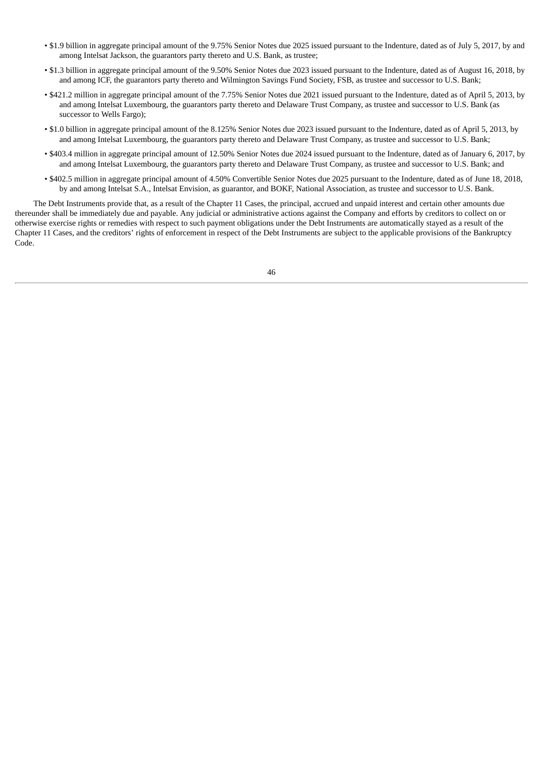- \$1.9 billion in aggregate principal amount of the 9.75% Senior Notes due 2025 issued pursuant to the Indenture, dated as of July 5, 2017, by and among Intelsat Jackson, the guarantors party thereto and U.S. Bank, as trustee;
- \$1.3 billion in aggregate principal amount of the 9.50% Senior Notes due 2023 issued pursuant to the Indenture, dated as of August 16, 2018, by and among ICF, the guarantors party thereto and Wilmington Savings Fund Society, FSB, as trustee and successor to U.S. Bank;
- \$421.2 million in aggregate principal amount of the 7.75% Senior Notes due 2021 issued pursuant to the Indenture, dated as of April 5, 2013, by and among Intelsat Luxembourg, the guarantors party thereto and Delaware Trust Company, as trustee and successor to U.S. Bank (as successor to Wells Fargo);
- \$1.0 billion in aggregate principal amount of the 8.125% Senior Notes due 2023 issued pursuant to the Indenture, dated as of April 5, 2013, by and among Intelsat Luxembourg, the guarantors party thereto and Delaware Trust Company, as trustee and successor to U.S. Bank;
- \$403.4 million in aggregate principal amount of 12.50% Senior Notes due 2024 issued pursuant to the Indenture, dated as of January 6, 2017, by and among Intelsat Luxembourg, the guarantors party thereto and Delaware Trust Company, as trustee and successor to U.S. Bank; and
- \$402.5 million in aggregate principal amount of 4.50% Convertible Senior Notes due 2025 pursuant to the Indenture, dated as of June 18, 2018, by and among Intelsat S.A., Intelsat Envision, as guarantor, and BOKF, National Association, as trustee and successor to U.S. Bank.

The Debt Instruments provide that, as a result of the Chapter 11 Cases, the principal, accrued and unpaid interest and certain other amounts due thereunder shall be immediately due and payable. Any judicial or administrative actions against the Company and efforts by creditors to collect on or otherwise exercise rights or remedies with respect to such payment obligations under the Debt Instruments are automatically stayed as a result of the Chapter 11 Cases, and the creditors' rights of enforcement in respect of the Debt Instruments are subject to the applicable provisions of the Bankruptcy Code.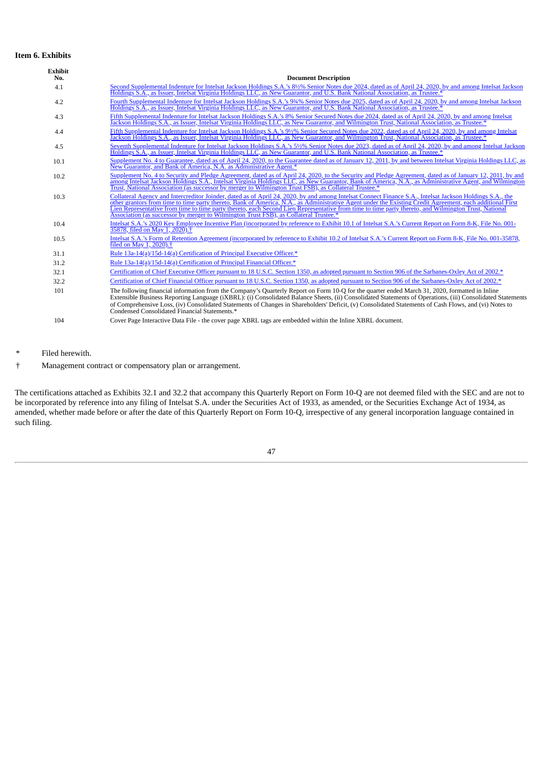## **Item 6. Exhibits**

| <b>Exhibit</b><br>No. | <b>Document Description</b>                                                                                                                                                                                                                                                                                                                                                                                                                                                                                                                                            |
|-----------------------|------------------------------------------------------------------------------------------------------------------------------------------------------------------------------------------------------------------------------------------------------------------------------------------------------------------------------------------------------------------------------------------------------------------------------------------------------------------------------------------------------------------------------------------------------------------------|
| 4.1                   | Second Supplemental Indenture for Intelsat Jackson Holdings S.A.'s 8½% Senior Notes due 2024, dated as of April 24, 2020, by and among Intelsat Jackson<br>Holdings S.A., as Issuer, Intelsat Virginia Holdings LLC, as New Guarantor, and U.S. Bank National Association, as Trustee.*                                                                                                                                                                                                                                                                                |
| 4.2                   | Fourth Supplemental Indenture for Intelsat Jackson Holdings S.A.'s 9 <sup>34</sup> % Senior Notes due 2025, dated as of April 24, 2020, by and among Intelsat Jackson<br>Holdings S.A., as Issuer, Intelsat Virginia Holdings LLC, as New Guarantor, and U.S. Bank National Association, as Trustee.*                                                                                                                                                                                                                                                                  |
| 4.3                   | Fifth Supplemental Indenture for Intelsat Jackson Holdings S.A.'s 8% Senior Secured Notes due 2024, dated as of April 24, 2020, by and among Intelsat Jackson Holdings S.A., as Issuer, Intelsat Virginia Holdings LLC, as New                                                                                                                                                                                                                                                                                                                                         |
| 4.4                   | Fifth Supplemental Indenture for Intelsat Jackson Holdings S.A.'s 9½% Senior Secured Notes due 2022, dated as of April 24, 2020, by and among Intelsat<br>Jackson Holdings S.A., as Issuer, Intelsat Virginia Holdings LLC, as New Guarantor, and Wilmington Trust, National Association, as Trustee.*                                                                                                                                                                                                                                                                 |
| 4.5                   | Seventh Supplemental Indenture for Intelsat Jackson Holdings S.A.'s 5½% Senior Notes due 2023, dated as of April 24, 2020, by and among Intelsat Jackson<br>Holdings S.A., as Issuer, Intelsat Virginia Holdings LLC, as New Guarantor, and U.S. Bank National Association, as Trustee.*                                                                                                                                                                                                                                                                               |
| 10.1                  | Supplement No. 4 to Guarantee, dated as of April 24, 2020, to the Guarantee dated as of January 12, 2011, by and between Intelsat Virginia Holdings LLC, as<br>New Guarantor, and Bank of America, N.A. as Administrative Agent.*                                                                                                                                                                                                                                                                                                                                      |
| 10.2                  | Supplement No. 4 to Security and Pledge Agreement, dated as of April 24, 2020, to the Security and Pledge Agreement, dated as of January 12, 2011, by and<br>among Intelsat Jackson Holdings S.A., Intelsat Virginia Holdings LLC, as New Guarantor, Bank of America, N.A., as Administrative Agent, and Wilmington<br>Trust, National Association (as successor by merger to Wilmington Trust FSB), as Collateral Trustee.*                                                                                                                                           |
| 10.3                  | Collateral Agency and Intercreditor Joinder, dated as of April 24, 2020, by and among Intelsat Connect Finance S.A., Intelsat Jackson Holdings S.A., the<br>other grantors from time to time party thereto, Bank of America, N.A., as Administrative Agent under the Existing Credit Agreement, each additional First<br>Lien Representative from time to time party thereto, each Second Lien Representative from time to time party thereto, and Wilmington Trust, National<br>Association (as successor by merger to Wilmington Trust FSB), as Collateral Trustee.* |
| 10.4                  | Intelsat S.A.'s 2020 Key Employee Incentive Plan (incorporated by reference to Exhibit 10.1 of Intelsat S.A.'s Current Report on Form 8-K, File No. 001-<br>35878, filed on May 1, 2020). <sup>†</sup>                                                                                                                                                                                                                                                                                                                                                                 |
| 10.5                  | Intelsat S.A.'s Form of Retention Agreement (incorporated by reference to Exhibit 10.2 of Intelsat S.A.'s Current Report on Form 8-K, File No. 001-35878,<br>filed on May 1, 2020). <sup>†</sup>                                                                                                                                                                                                                                                                                                                                                                       |
| 31.1                  | Rule 13a-14(a)/15d-14(a) Certification of Principal Executive Officer.*                                                                                                                                                                                                                                                                                                                                                                                                                                                                                                |
| 31.2                  | Rule 13a-14(a)/15d-14(a) Certification of Principal Financial Officer.*                                                                                                                                                                                                                                                                                                                                                                                                                                                                                                |
| 32.1                  | Certification of Chief Executive Officer pursuant to 18 U.S.C. Section 1350, as adopted pursuant to Section 906 of the Sarbanes-Oxley Act of 2002.*                                                                                                                                                                                                                                                                                                                                                                                                                    |
| 32.2                  | Certification of Chief Financial Officer pursuant to 18 U.S.C. Section 1350, as adopted pursuant to Section 906 of the Sarbanes-Oxley Act of 2002.*                                                                                                                                                                                                                                                                                                                                                                                                                    |
| 101                   | The following financial information from the Company's Quarterly Report on Form 10-Q for the quarter ended March 31, 2020, formatted in Inline<br>Extensible Business Reporting Language (iXBRL): (i) Consolidated Balance Sheets, (ii) Consolidated Statements of Operations, (iii) Consolidated Statements<br>of Comprehensive Loss, (iv) Consolidated Statements of Changes in Shareholders' Deficit, (v) Consolidated Statements of Cash Flows, and (vi) Notes to<br>Condensed Consolidated Financial Statements.*                                                 |
| 104                   | Cover Page Interactive Data File - the cover page XBRL tags are embedded within the Inline XBRL document.                                                                                                                                                                                                                                                                                                                                                                                                                                                              |

\* Filed herewith.

† Management contract or compensatory plan or arrangement.

The certifications attached as Exhibits 32.1 and 32.2 that accompany this Quarterly Report on Form 10-Q are not deemed filed with the SEC and are not to be incorporated by reference into any filing of Intelsat S.A. under the Securities Act of 1933, as amended, or the Securities Exchange Act of 1934, as amended, whether made before or after the date of this Quarterly Report on Form 10-Q, irrespective of any general incorporation language contained in such filing.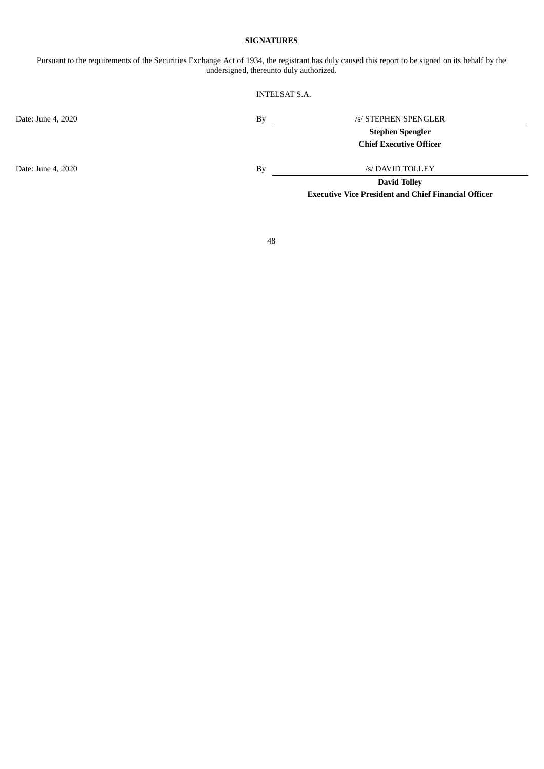### **SIGNATURES**

Pursuant to the requirements of the Securities Exchange Act of 1934, the registrant has duly caused this report to be signed on its behalf by the undersigned, thereunto duly authorized.

### INTELSAT S.A.

Date: June 4, 2020 By /s/ STEPHEN SPENGLER

**Stephen Spengler**

**Chief Executive Officer**

Date: June 4, 2020 By /s/ DAVID TOLLEY

**David Tolley Executive Vice President and Chief Financial Officer**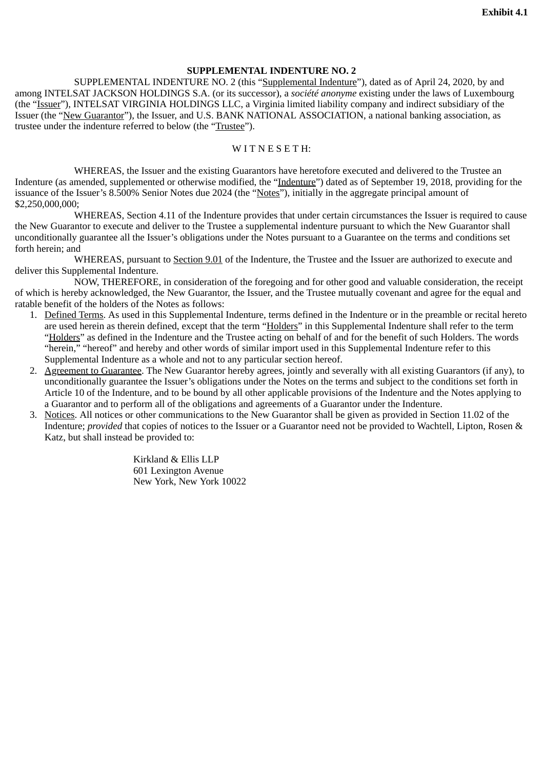# **SUPPLEMENTAL INDENTURE NO. 2**

<span id="page-48-0"></span>SUPPLEMENTAL INDENTURE NO. 2 (this "Supplemental Indenture"), dated as of April 24, 2020, by and among INTELSAT JACKSON HOLDINGS S.A. (or its successor), a *société anonyme* existing under the laws of Luxembourg (the "Issuer"), INTELSAT VIRGINIA HOLDINGS LLC, a Virginia limited liability company and indirect subsidiary of the Issuer (the "New Guarantor"), the Issuer, and U.S. BANK NATIONAL ASSOCIATION, a national banking association, as trustee under the indenture referred to below (the "Trustee").

## WITNESETH:

WHEREAS, the Issuer and the existing Guarantors have heretofore executed and delivered to the Trustee an Indenture (as amended, supplemented or otherwise modified, the "Indenture") dated as of September 19, 2018, providing for the issuance of the Issuer's 8.500% Senior Notes due 2024 (the "Notes"), initially in the aggregate principal amount of \$2,250,000,000;

WHEREAS, Section 4.11 of the Indenture provides that under certain circumstances the Issuer is required to cause the New Guarantor to execute and deliver to the Trustee a supplemental indenture pursuant to which the New Guarantor shall unconditionally guarantee all the Issuer's obligations under the Notes pursuant to a Guarantee on the terms and conditions set forth herein; and

WHEREAS, pursuant to Section 9.01 of the Indenture, the Trustee and the Issuer are authorized to execute and deliver this Supplemental Indenture.

NOW, THEREFORE, in consideration of the foregoing and for other good and valuable consideration, the receipt of which is hereby acknowledged, the New Guarantor, the Issuer, and the Trustee mutually covenant and agree for the equal and ratable benefit of the holders of the Notes as follows:

- 1. Defined Terms. As used in this Supplemental Indenture, terms defined in the Indenture or in the preamble or recital hereto are used herein as therein defined, except that the term "Holders" in this Supplemental Indenture shall refer to the term "Holders" as defined in the Indenture and the Trustee acting on behalf of and for the benefit of such Holders. The words "herein," "hereof" and hereby and other words of similar import used in this Supplemental Indenture refer to this Supplemental Indenture as a whole and not to any particular section hereof.
- 2. Agreement to Guarantee. The New Guarantor hereby agrees, jointly and severally with all existing Guarantors (if any), to unconditionally guarantee the Issuer's obligations under the Notes on the terms and subject to the conditions set forth in Article 10 of the Indenture, and to be bound by all other applicable provisions of the Indenture and the Notes applying to a Guarantor and to perform all of the obligations and agreements of a Guarantor under the Indenture.
- 3. Notices. All notices or other communications to the New Guarantor shall be given as provided in Section 11.02 of the Indenture; *provided* that copies of notices to the Issuer or a Guarantor need not be provided to Wachtell, Lipton, Rosen & Katz, but shall instead be provided to:

Kirkland & Ellis LLP 601 Lexington Avenue New York, New York 10022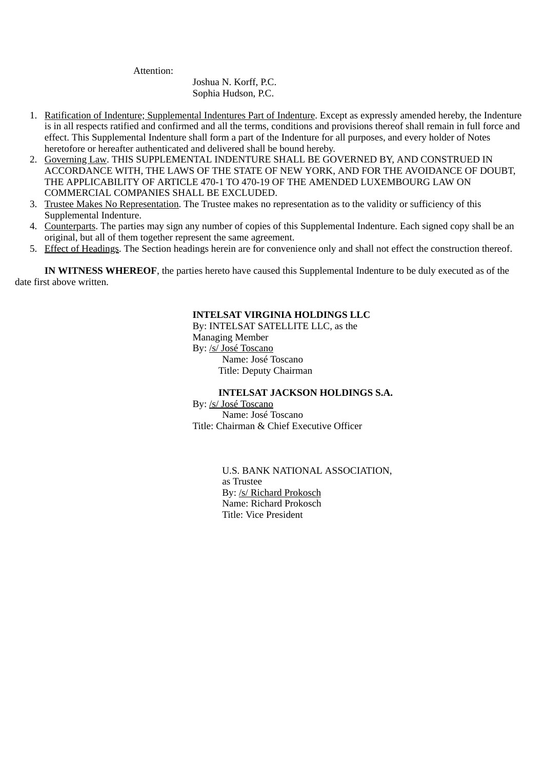Attention:

Joshua N. Korff, P.C. Sophia Hudson, P.C.

- 1. Ratification of Indenture; Supplemental Indentures Part of Indenture. Except as expressly amended hereby, the Indenture is in all respects ratified and confirmed and all the terms, conditions and provisions thereof shall remain in full force and effect. This Supplemental Indenture shall form a part of the Indenture for all purposes, and every holder of Notes heretofore or hereafter authenticated and delivered shall be bound hereby.
- 2. Governing Law. THIS SUPPLEMENTAL INDENTURE SHALL BE GOVERNED BY, AND CONSTRUED IN ACCORDANCE WITH, THE LAWS OF THE STATE OF NEW YORK, AND FOR THE AVOIDANCE OF DOUBT, THE APPLICABILITY OF ARTICLE 470-1 TO 470-19 OF THE AMENDED LUXEMBOURG LAW ON COMMERCIAL COMPANIES SHALL BE EXCLUDED.
- 3. Trustee Makes No Representation. The Trustee makes no representation as to the validity or sufficiency of this Supplemental Indenture.
- 4. Counterparts. The parties may sign any number of copies of this Supplemental Indenture. Each signed copy shall be an original, but all of them together represent the same agreement.
- 5. Effect of Headings. The Section headings herein are for convenience only and shall not effect the construction thereof.

**IN WITNESS WHEREOF**, the parties hereto have caused this Supplemental Indenture to be duly executed as of the date first above written.

# **INTELSAT VIRGINIA HOLDINGS LLC**

By: INTELSAT SATELLITE LLC, as the Managing Member By: /s/ José Toscano

Name: José Toscano Title: Deputy Chairman

# **INTELSAT JACKSON HOLDINGS S.A.**

By: /s/ José Toscano Name: José Toscano Title: Chairman & Chief Executive Officer

> U.S. BANK NATIONAL ASSOCIATION, as Trustee By: /s/ Richard Prokosch Name: Richard Prokosch Title: Vice President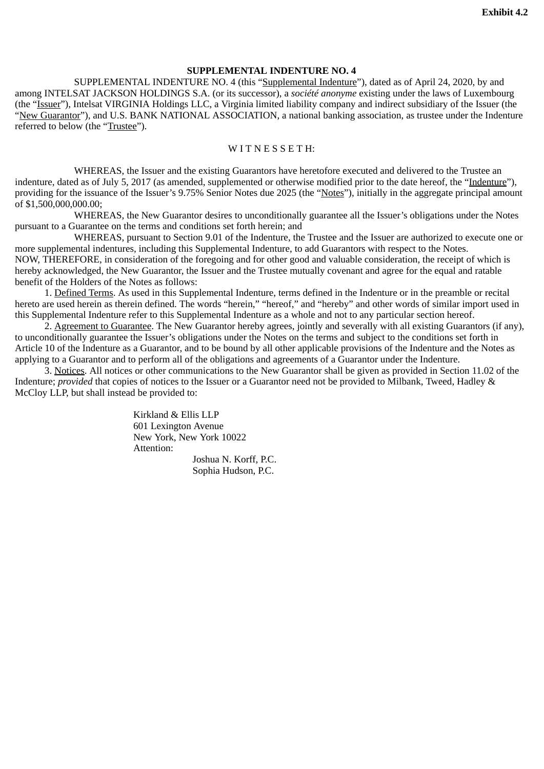# **SUPPLEMENTAL INDENTURE NO. 4**

<span id="page-50-0"></span>SUPPLEMENTAL INDENTURE NO. 4 (this "Supplemental Indenture"), dated as of April 24, 2020, by and among INTELSAT JACKSON HOLDINGS S.A. (or its successor), a *société anonyme* existing under the laws of Luxembourg (the "Issuer"), Intelsat VIRGINIA Holdings LLC, a Virginia limited liability company and indirect subsidiary of the Issuer (the "New Guarantor"), and U.S. BANK NATIONAL ASSOCIATION, a national banking association, as trustee under the Indenture referred to below (the "Trustee").

## WITNESSETH:

WHEREAS, the Issuer and the existing Guarantors have heretofore executed and delivered to the Trustee an indenture, dated as of July 5, 2017 (as amended, supplemented or otherwise modified prior to the date hereof, the "Indenture"), providing for the issuance of the Issuer's 9.75% Senior Notes due 2025 (the "Notes"), initially in the aggregate principal amount of \$1,500,000,000.00;

WHEREAS, the New Guarantor desires to unconditionally guarantee all the Issuer's obligations under the Notes pursuant to a Guarantee on the terms and conditions set forth herein; and

WHEREAS, pursuant to Section 9.01 of the Indenture, the Trustee and the Issuer are authorized to execute one or more supplemental indentures, including this Supplemental Indenture, to add Guarantors with respect to the Notes. NOW, THEREFORE, in consideration of the foregoing and for other good and valuable consideration, the receipt of which is hereby acknowledged, the New Guarantor, the Issuer and the Trustee mutually covenant and agree for the equal and ratable benefit of the Holders of the Notes as follows:

1. Defined Terms. As used in this Supplemental Indenture, terms defined in the Indenture or in the preamble or recital hereto are used herein as therein defined. The words "herein," "hereof," and "hereby" and other words of similar import used in this Supplemental Indenture refer to this Supplemental Indenture as a whole and not to any particular section hereof.

2. Agreement to Guarantee. The New Guarantor hereby agrees, jointly and severally with all existing Guarantors (if any), to unconditionally guarantee the Issuer's obligations under the Notes on the terms and subject to the conditions set forth in Article 10 of the Indenture as a Guarantor, and to be bound by all other applicable provisions of the Indenture and the Notes as applying to a Guarantor and to perform all of the obligations and agreements of a Guarantor under the Indenture.

3. Notices. All notices or other communications to the New Guarantor shall be given as provided in Section 11.02 of the Indenture; *provided* that copies of notices to the Issuer or a Guarantor need not be provided to Milbank, Tweed, Hadley & McCloy LLP, but shall instead be provided to:

> Kirkland & Ellis LLP 601 Lexington Avenue New York, New York 10022 Attention:

Joshua N. Korff, P.C. Sophia Hudson, P.C.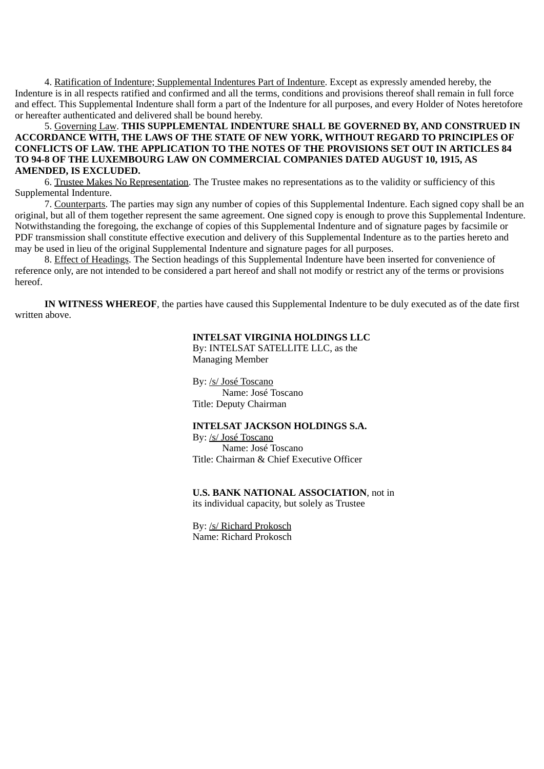4. Ratification of Indenture; Supplemental Indentures Part of Indenture. Except as expressly amended hereby, the Indenture is in all respects ratified and confirmed and all the terms, conditions and provisions thereof shall remain in full force and effect. This Supplemental Indenture shall form a part of the Indenture for all purposes, and every Holder of Notes heretofore or hereafter authenticated and delivered shall be bound hereby.

## 5. Governing Law. **THIS SUPPLEMENTAL INDENTURE SHALL BE GOVERNED BY, AND CONSTRUED IN ACCORDANCE WITH, THE LAWS OF THE STATE OF NEW YORK, WITHOUT REGARD TO PRINCIPLES OF CONFLICTS OF LAW. THE APPLICATION TO THE NOTES OF THE PROVISIONS SET OUT IN ARTICLES 84 TO 94-8 OF THE LUXEMBOURG LAW ON COMMERCIAL COMPANIES DATED AUGUST 10, 1915, AS AMENDED, IS EXCLUDED.**

6. Trustee Makes No Representation. The Trustee makes no representations as to the validity or sufficiency of this Supplemental Indenture.

7. Counterparts. The parties may sign any number of copies of this Supplemental Indenture. Each signed copy shall be an original, but all of them together represent the same agreement. One signed copy is enough to prove this Supplemental Indenture. Notwithstanding the foregoing, the exchange of copies of this Supplemental Indenture and of signature pages by facsimile or PDF transmission shall constitute effective execution and delivery of this Supplemental Indenture as to the parties hereto and may be used in lieu of the original Supplemental Indenture and signature pages for all purposes.

8. Effect of Headings. The Section headings of this Supplemental Indenture have been inserted for convenience of reference only, are not intended to be considered a part hereof and shall not modify or restrict any of the terms or provisions hereof.

**IN WITNESS WHEREOF**, the parties have caused this Supplemental Indenture to be duly executed as of the date first written above.

# **INTELSAT VIRGINIA HOLDINGS LLC**

By: INTELSAT SATELLITE LLC, as the Managing Member

By: /s/ José Toscano Name: José Toscano Title: Deputy Chairman

## **INTELSAT JACKSON HOLDINGS S.A.**

By: /s/ José Toscano Name: José Toscano Title: Chairman & Chief Executive Officer

**U.S. BANK NATIONAL ASSOCIATION**, not in its individual capacity, but solely as Trustee

By: /s/ Richard Prokosch Name: Richard Prokosch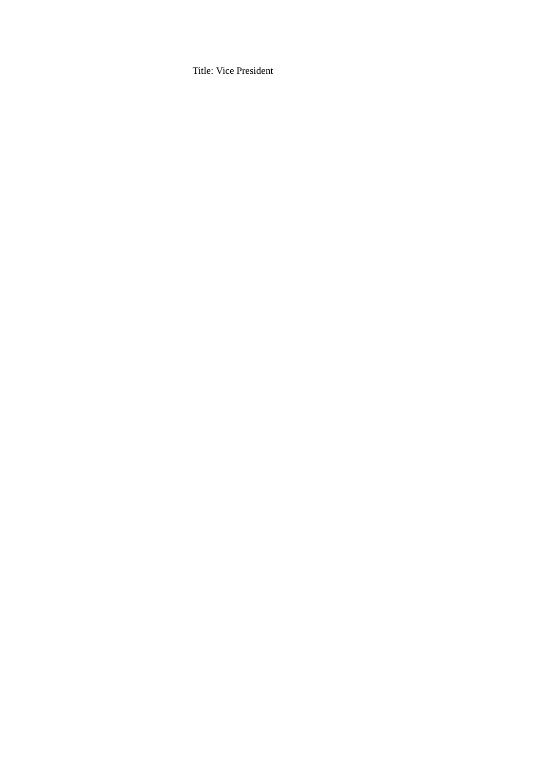Title: Vice President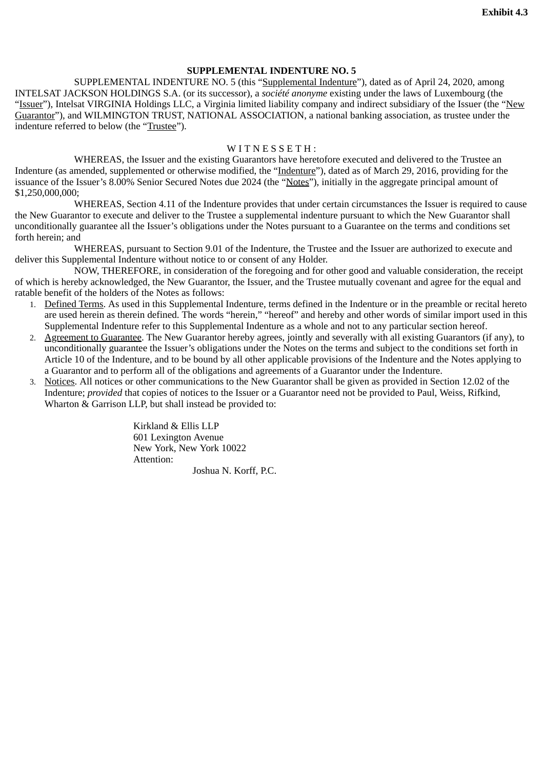# **SUPPLEMENTAL INDENTURE NO. 5**

<span id="page-53-0"></span>SUPPLEMENTAL INDENTURE NO. 5 (this "Supplemental Indenture"), dated as of April 24, 2020, among INTELSAT JACKSON HOLDINGS S.A. (or its successor), a *société anonyme* existing under the laws of Luxembourg (the "Issuer"), Intelsat VIRGINIA Holdings LLC, a Virginia limited liability company and indirect subsidiary of the Issuer (the "New Guarantor"), and WILMINGTON TRUST, NATIONAL ASSOCIATION, a national banking association, as trustee under the indenture referred to below (the "Trustee").

# $W$  I T N E S S E T H :

WHEREAS, the Issuer and the existing Guarantors have heretofore executed and delivered to the Trustee an Indenture (as amended, supplemented or otherwise modified, the "Indenture"), dated as of March 29, 2016, providing for the issuance of the Issuer's 8.00% Senior Secured Notes due 2024 (the "Notes"), initially in the aggregate principal amount of \$1,250,000,000;

WHEREAS, Section 4.11 of the Indenture provides that under certain circumstances the Issuer is required to cause the New Guarantor to execute and deliver to the Trustee a supplemental indenture pursuant to which the New Guarantor shall unconditionally guarantee all the Issuer's obligations under the Notes pursuant to a Guarantee on the terms and conditions set forth herein; and

WHEREAS, pursuant to Section 9.01 of the Indenture, the Trustee and the Issuer are authorized to execute and deliver this Supplemental Indenture without notice to or consent of any Holder.

NOW, THEREFORE, in consideration of the foregoing and for other good and valuable consideration, the receipt of which is hereby acknowledged, the New Guarantor, the Issuer, and the Trustee mutually covenant and agree for the equal and ratable benefit of the holders of the Notes as follows:

- 1. Defined Terms. As used in this Supplemental Indenture, terms defined in the Indenture or in the preamble or recital hereto are used herein as therein defined. The words "herein," "hereof" and hereby and other words of similar import used in this Supplemental Indenture refer to this Supplemental Indenture as a whole and not to any particular section hereof.
- 2. Agreement to Guarantee. The New Guarantor hereby agrees, jointly and severally with all existing Guarantors (if any), to unconditionally guarantee the Issuer's obligations under the Notes on the terms and subject to the conditions set forth in Article 10 of the Indenture, and to be bound by all other applicable provisions of the Indenture and the Notes applying to a Guarantor and to perform all of the obligations and agreements of a Guarantor under the Indenture.
- 3. Notices. All notices or other communications to the New Guarantor shall be given as provided in Section 12.02 of the Indenture; *provided* that copies of notices to the Issuer or a Guarantor need not be provided to Paul, Weiss, Rifkind, Wharton & Garrison LLP, but shall instead be provided to:

Kirkland & Ellis LLP 601 Lexington Avenue New York, New York 10022 Attention:

Joshua N. Korff, P.C.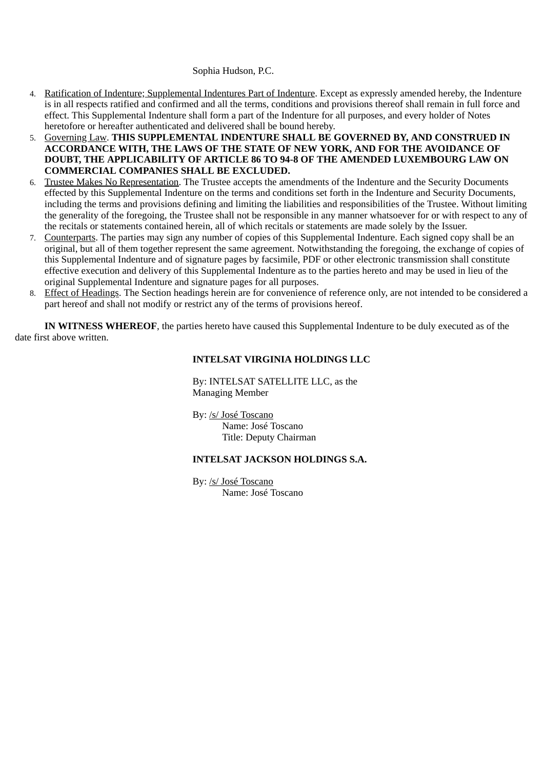## Sophia Hudson, P.C.

- 4. Ratification of Indenture; Supplemental Indentures Part of Indenture. Except as expressly amended hereby, the Indenture is in all respects ratified and confirmed and all the terms, conditions and provisions thereof shall remain in full force and effect. This Supplemental Indenture shall form a part of the Indenture for all purposes, and every holder of Notes heretofore or hereafter authenticated and delivered shall be bound hereby.
- 5. Governing Law. **THIS SUPPLEMENTAL INDENTURE SHALL BE GOVERNED BY, AND CONSTRUED IN ACCORDANCE WITH, THE LAWS OF THE STATE OF NEW YORK, AND FOR THE AVOIDANCE OF DOUBT, THE APPLICABILITY OF ARTICLE 86 TO 94-8 OF THE AMENDED LUXEMBOURG LAW ON COMMERCIAL COMPANIES SHALL BE EXCLUDED.**
- 6. Trustee Makes No Representation. The Trustee accepts the amendments of the Indenture and the Security Documents effected by this Supplemental Indenture on the terms and conditions set forth in the Indenture and Security Documents, including the terms and provisions defining and limiting the liabilities and responsibilities of the Trustee. Without limiting the generality of the foregoing, the Trustee shall not be responsible in any manner whatsoever for or with respect to any of the recitals or statements contained herein, all of which recitals or statements are made solely by the Issuer.
- 7. Counterparts. The parties may sign any number of copies of this Supplemental Indenture. Each signed copy shall be an original, but all of them together represent the same agreement. Notwithstanding the foregoing, the exchange of copies of this Supplemental Indenture and of signature pages by facsimile, PDF or other electronic transmission shall constitute effective execution and delivery of this Supplemental Indenture as to the parties hereto and may be used in lieu of the original Supplemental Indenture and signature pages for all purposes.
- 8. Effect of Headings. The Section headings herein are for convenience of reference only, are not intended to be considered a part hereof and shall not modify or restrict any of the terms of provisions hereof.

**IN WITNESS WHEREOF**, the parties hereto have caused this Supplemental Indenture to be duly executed as of the date first above written.

# **INTELSAT VIRGINIA HOLDINGS LLC**

By: INTELSAT SATELLITE LLC, as the Managing Member

By: /s/ José Toscano Name: José Toscano Title: Deputy Chairman

## **INTELSAT JACKSON HOLDINGS S.A.**

By: /s/ José Toscano Name: José Toscano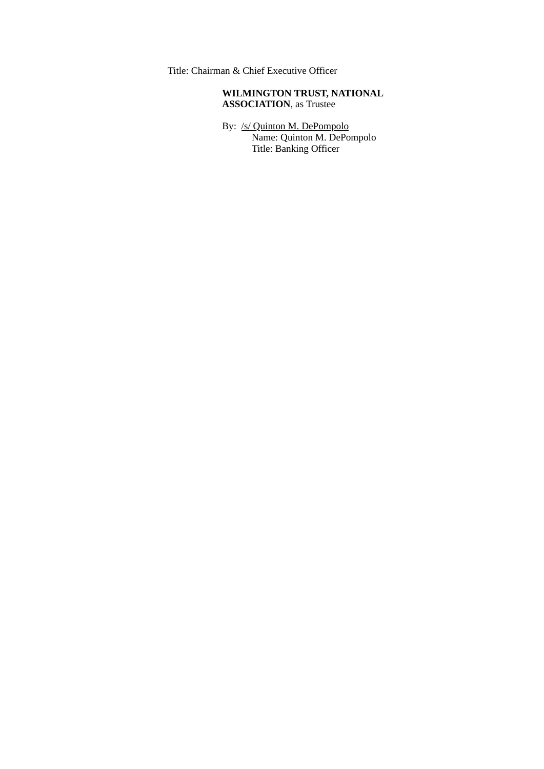Title: Chairman & Chief Executive Officer

# **WILMINGTON TRUST, NATIONAL ASSOCIATION**, as Trustee

By: /s/ Quinton M. DePompolo Name: Quinton M. DePompolo Title: Banking Officer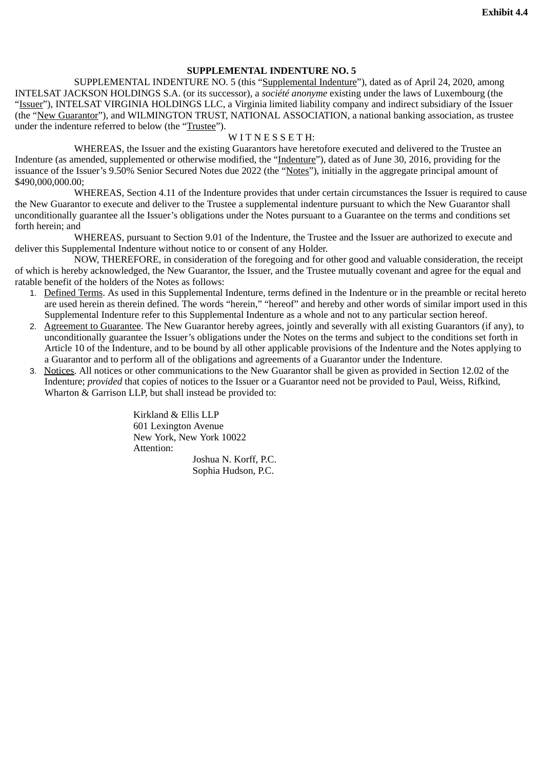# **SUPPLEMENTAL INDENTURE NO. 5**

<span id="page-56-0"></span>SUPPLEMENTAL INDENTURE NO. 5 (this "Supplemental Indenture"), dated as of April 24, 2020, among INTELSAT JACKSON HOLDINGS S.A. (or its successor), a *société anonyme* existing under the laws of Luxembourg (the "Issuer"), INTELSAT VIRGINIA HOLDINGS LLC, a Virginia limited liability company and indirect subsidiary of the Issuer (the "New Guarantor"), and WILMINGTON TRUST, NATIONAL ASSOCIATION, a national banking association, as trustee under the indenture referred to below (the "Trustee").

## WITNESSETH:

WHEREAS, the Issuer and the existing Guarantors have heretofore executed and delivered to the Trustee an Indenture (as amended, supplemented or otherwise modified, the "Indenture"), dated as of June 30, 2016, providing for the issuance of the Issuer's 9.50% Senior Secured Notes due 2022 (the "Notes"), initially in the aggregate principal amount of \$490,000,000.00:

WHEREAS, Section 4.11 of the Indenture provides that under certain circumstances the Issuer is required to cause the New Guarantor to execute and deliver to the Trustee a supplemental indenture pursuant to which the New Guarantor shall unconditionally guarantee all the Issuer's obligations under the Notes pursuant to a Guarantee on the terms and conditions set forth herein; and

WHEREAS, pursuant to Section 9.01 of the Indenture, the Trustee and the Issuer are authorized to execute and deliver this Supplemental Indenture without notice to or consent of any Holder.

NOW, THEREFORE, in consideration of the foregoing and for other good and valuable consideration, the receipt of which is hereby acknowledged, the New Guarantor, the Issuer, and the Trustee mutually covenant and agree for the equal and ratable benefit of the holders of the Notes as follows:

- 1. Defined Terms. As used in this Supplemental Indenture, terms defined in the Indenture or in the preamble or recital hereto are used herein as therein defined. The words "herein," "hereof" and hereby and other words of similar import used in this Supplemental Indenture refer to this Supplemental Indenture as a whole and not to any particular section hereof.
- 2. Agreement to Guarantee. The New Guarantor hereby agrees, jointly and severally with all existing Guarantors (if any), to unconditionally guarantee the Issuer's obligations under the Notes on the terms and subject to the conditions set forth in Article 10 of the Indenture, and to be bound by all other applicable provisions of the Indenture and the Notes applying to a Guarantor and to perform all of the obligations and agreements of a Guarantor under the Indenture.
- 3. Notices. All notices or other communications to the New Guarantor shall be given as provided in Section 12.02 of the Indenture; *provided* that copies of notices to the Issuer or a Guarantor need not be provided to Paul, Weiss, Rifkind, Wharton & Garrison LLP, but shall instead be provided to:

Kirkland & Ellis LLP 601 Lexington Avenue New York, New York 10022 Attention:

Joshua N. Korff, P.C. Sophia Hudson, P.C.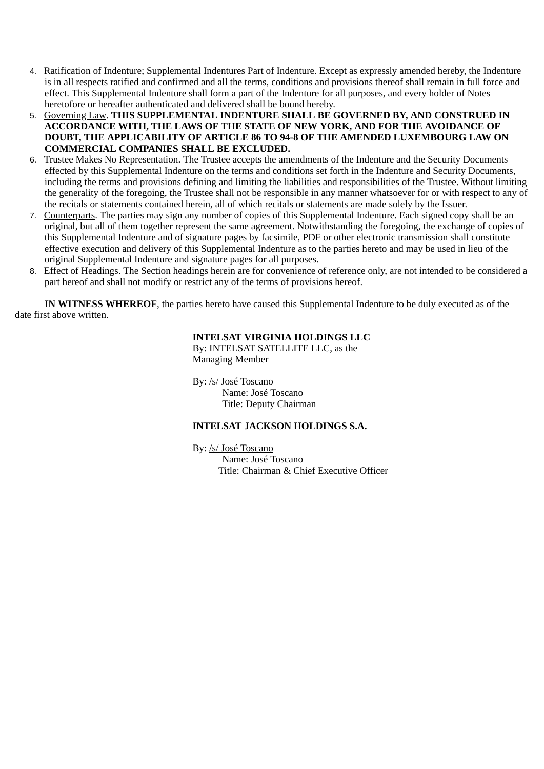- 4. Ratification of Indenture; Supplemental Indentures Part of Indenture. Except as expressly amended hereby, the Indenture is in all respects ratified and confirmed and all the terms, conditions and provisions thereof shall remain in full force and effect. This Supplemental Indenture shall form a part of the Indenture for all purposes, and every holder of Notes heretofore or hereafter authenticated and delivered shall be bound hereby.
- 5. Governing Law. **THIS SUPPLEMENTAL INDENTURE SHALL BE GOVERNED BY, AND CONSTRUED IN ACCORDANCE WITH, THE LAWS OF THE STATE OF NEW YORK, AND FOR THE AVOIDANCE OF DOUBT, THE APPLICABILITY OF ARTICLE 86 TO 94-8 OF THE AMENDED LUXEMBOURG LAW ON COMMERCIAL COMPANIES SHALL BE EXCLUDED.**
- 6. Trustee Makes No Representation. The Trustee accepts the amendments of the Indenture and the Security Documents effected by this Supplemental Indenture on the terms and conditions set forth in the Indenture and Security Documents, including the terms and provisions defining and limiting the liabilities and responsibilities of the Trustee. Without limiting the generality of the foregoing, the Trustee shall not be responsible in any manner whatsoever for or with respect to any of the recitals or statements contained herein, all of which recitals or statements are made solely by the Issuer.
- 7. Counterparts. The parties may sign any number of copies of this Supplemental Indenture. Each signed copy shall be an original, but all of them together represent the same agreement. Notwithstanding the foregoing, the exchange of copies of this Supplemental Indenture and of signature pages by facsimile, PDF or other electronic transmission shall constitute effective execution and delivery of this Supplemental Indenture as to the parties hereto and may be used in lieu of the original Supplemental Indenture and signature pages for all purposes.
- 8. Effect of Headings. The Section headings herein are for convenience of reference only, are not intended to be considered a part hereof and shall not modify or restrict any of the terms of provisions hereof.

**IN WITNESS WHEREOF**, the parties hereto have caused this Supplemental Indenture to be duly executed as of the date first above written.

# **INTELSAT VIRGINIA HOLDINGS LLC**

By: INTELSAT SATELLITE LLC, as the Managing Member

By: /s/ José Toscano Name: José Toscano Title: Deputy Chairman

## **INTELSAT JACKSON HOLDINGS S.A.**

By: /s/ José Toscano Name: José Toscano Title: Chairman & Chief Executive Officer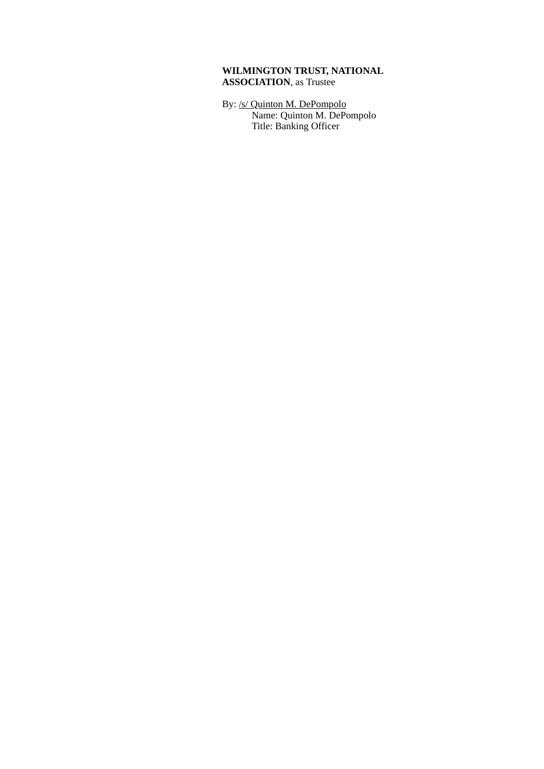# **WILMINGTON TRUST, NATIONAL ASSOCIATION**, as Trustee

By: /s/ Quinton M. DePompolo Name: Quinton M. DePompolo Title: Banking Officer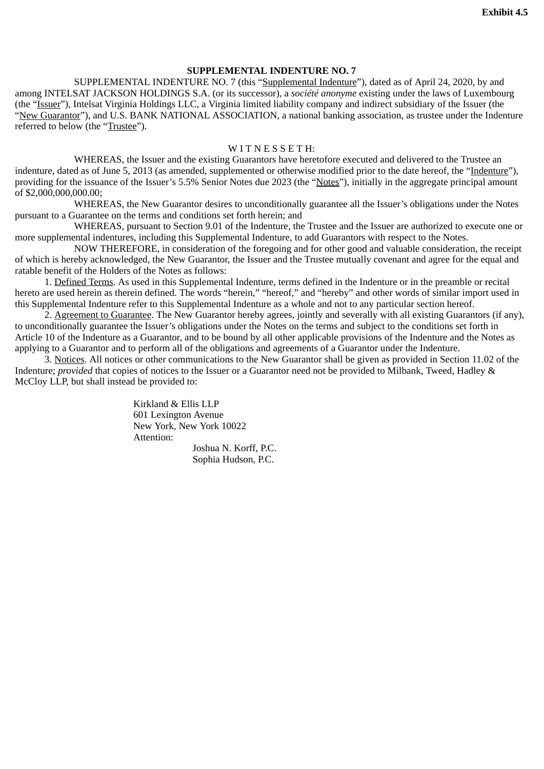# **SUPPLEMENTAL INDENTURE NO. 7**

<span id="page-59-0"></span>SUPPLEMENTAL INDENTURE NO. 7 (this "Supplemental Indenture"), dated as of April 24, 2020, by and among INTELSAT JACKSON HOLDINGS S.A. (or its successor), a *société anonyme* existing under the laws of Luxembourg (the "Issuer"), Intelsat Virginia Holdings LLC, a Virginia limited liability company and indirect subsidiary of the Issuer (the "New Guarantor"), and U.S. BANK NATIONAL ASSOCIATION, a national banking association, as trustee under the Indenture referred to below (the "Trustee").

## WITNESSETH:

WHEREAS, the Issuer and the existing Guarantors have heretofore executed and delivered to the Trustee an indenture, dated as of June 5, 2013 (as amended, supplemented or otherwise modified prior to the date hereof, the "Indenture"), providing for the issuance of the Issuer's 5.5% Senior Notes due 2023 (the "Notes"), initially in the aggregate principal amount of \$2,000,000,000.00;

WHEREAS, the New Guarantor desires to unconditionally guarantee all the Issuer's obligations under the Notes pursuant to a Guarantee on the terms and conditions set forth herein; and

WHEREAS, pursuant to Section 9.01 of the Indenture, the Trustee and the Issuer are authorized to execute one or more supplemental indentures, including this Supplemental Indenture, to add Guarantors with respect to the Notes.

NOW THEREFORE, in consideration of the foregoing and for other good and valuable consideration, the receipt of which is hereby acknowledged, the New Guarantor, the Issuer and the Trustee mutually covenant and agree for the equal and ratable benefit of the Holders of the Notes as follows:

1. Defined Terms. As used in this Supplemental Indenture, terms defined in the Indenture or in the preamble or recital hereto are used herein as therein defined. The words "herein," "hereof," and "hereby" and other words of similar import used in this Supplemental Indenture refer to this Supplemental Indenture as a whole and not to any particular section hereof.

2. Agreement to Guarantee. The New Guarantor hereby agrees, jointly and severally with all existing Guarantors (if any), to unconditionally guarantee the Issuer's obligations under the Notes on the terms and subject to the conditions set forth in Article 10 of the Indenture as a Guarantor, and to be bound by all other applicable provisions of the Indenture and the Notes as applying to a Guarantor and to perform all of the obligations and agreements of a Guarantor under the Indenture.

3. Notices. All notices or other communications to the New Guarantor shall be given as provided in Section 11.02 of the Indenture; *provided* that copies of notices to the Issuer or a Guarantor need not be provided to Milbank, Tweed, Hadley & McCloy LLP, but shall instead be provided to:

> Kirkland & Ellis LLP 601 Lexington Avenue New York, New York 10022 Attention:

Joshua N. Korff, P.C. Sophia Hudson, P.C.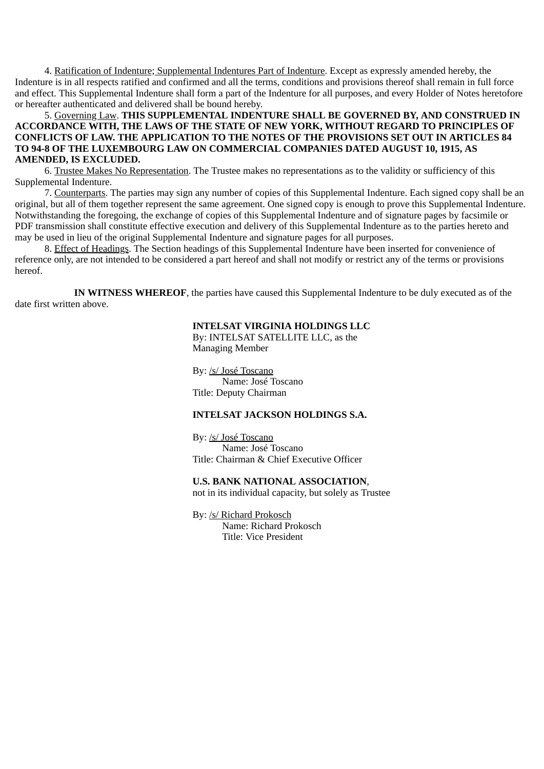4. Ratification of Indenture; Supplemental Indentures Part of Indenture. Except as expressly amended hereby, the Indenture is in all respects ratified and confirmed and all the terms, conditions and provisions thereof shall remain in full force and effect. This Supplemental Indenture shall form a part of the Indenture for all purposes, and every Holder of Notes heretofore or hereafter authenticated and delivered shall be bound hereby.

5. Governing Law. **THIS SUPPLEMENTAL INDENTURE SHALL BE GOVERNED BY, AND CONSTRUED IN ACCORDANCE WITH, THE LAWS OF THE STATE OF NEW YORK, WITHOUT REGARD TO PRINCIPLES OF CONFLICTS OF LAW. THE APPLICATION TO THE NOTES OF THE PROVISIONS SET OUT IN ARTICLES 84 TO 94-8 OF THE LUXEMBOURG LAW ON COMMERCIAL COMPANIES DATED AUGUST 10, 1915, AS AMENDED, IS EXCLUDED.**

6. Trustee Makes No Representation. The Trustee makes no representations as to the validity or sufficiency of this Supplemental Indenture.

7. Counterparts. The parties may sign any number of copies of this Supplemental Indenture. Each signed copy shall be an original, but all of them together represent the same agreement. One signed copy is enough to prove this Supplemental Indenture. Notwithstanding the foregoing, the exchange of copies of this Supplemental Indenture and of signature pages by facsimile or PDF transmission shall constitute effective execution and delivery of this Supplemental Indenture as to the parties hereto and may be used in lieu of the original Supplemental Indenture and signature pages for all purposes.

8. Effect of Headings. The Section headings of this Supplemental Indenture have been inserted for convenience of reference only, are not intended to be considered a part hereof and shall not modify or restrict any of the terms or provisions hereof.

**IN WITNESS WHEREOF**, the parties have caused this Supplemental Indenture to be duly executed as of the date first written above.

## **INTELSAT VIRGINIA HOLDINGS LLC**

By: INTELSAT SATELLITE LLC, as the Managing Member

By: /s/ José Toscano Name: José Toscano Title: Deputy Chairman

# **INTELSAT JACKSON HOLDINGS S.A.**

By: /s/ José Toscano Name: José Toscano Title: Chairman & Chief Executive Officer

## **U.S. BANK NATIONAL ASSOCIATION**,

not in its individual capacity, but solely as Trustee

By: /s/ Richard Prokosch Name: Richard Prokosch Title: Vice President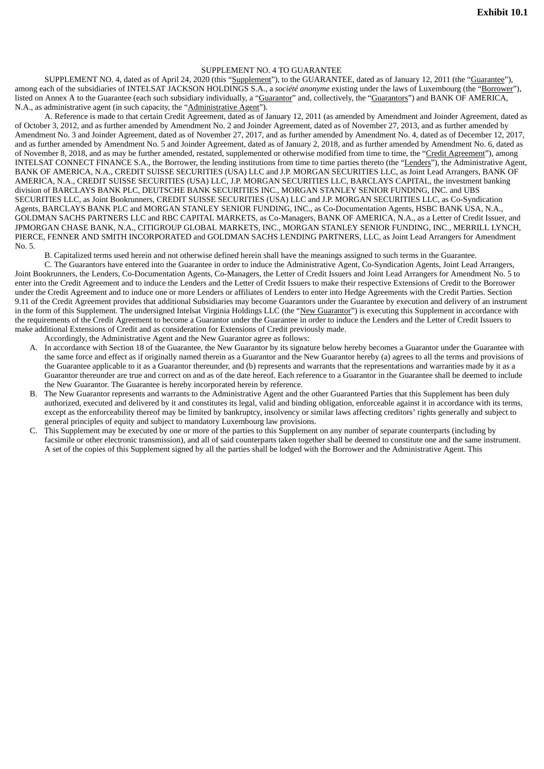### SUPPLEMENT NO. 4 TO GUARANTEE

<span id="page-61-0"></span>SUPPLEMENT NO. 4, dated as of April 24, 2020 (this "Supplement"), to the GUARANTEE, dated as of January 12, 2011 (the "Guarantee"), among each of the subsidiaries of INTELSAT JACKSON HOLDINGS S.A., a *société anonyme* existing under the laws of Luxembourg (the "Borrower"), listed on Annex A to the Guarantee (each such subsidiary individually, a "Guarantor" and, collectively, the "Guarantors") and BANK OF AMERICA, N.A., as administrative agent (in such capacity, the "Administrative Agent").

A. Reference is made to that certain Credit Agreement, dated as of January 12, 2011 (as amended by Amendment and Joinder Agreement, dated as of October 3, 2012, and as further amended by Amendment No. 2 and Joinder Agreement, dated as of November 27, 2013, and as further amended by Amendment No. 3 and Joinder Agreement, dated as of November 27, 2017, and as further amended by Amendment No. 4, dated as of December 12, 2017, and as further amended by Amendment No. 5 and Joinder Agreement, dated as of January 2, 2018, and as further amended by Amendment No. 6, dated as of November 8, 2018, and as may be further amended, restated, supplemented or otherwise modified from time to time, the "Credit Agreement"), among INTELSAT CONNECT FINANCE S.A., the Borrower, the lending institutions from time to time parties thereto (the "Lenders"), the Administrative Agent, BANK OF AMERICA, N.A., CREDIT SUISSE SECURITIES (USA) LLC and J.P. MORGAN SECURITIES LLC, as Joint Lead Arrangers, BANK OF AMERICA, N.A., CREDIT SUISSE SECURITIES (USA) LLC, J.P. MORGAN SECURITIES LLC, BARCLAYS CAPITAL, the investment banking division of BARCLAYS BANK PLC, DEUTSCHE BANK SECURITIES INC., MORGAN STANLEY SENIOR FUNDING, INC. and UBS SECURITIES LLC, as Joint Bookrunners, CREDIT SUISSE SECURITIES (USA) LLC and J.P. MORGAN SECURITIES LLC, as Co-Syndication Agents, BARCLAYS BANK PLC and MORGAN STANLEY SENIOR FUNDING, INC., as Co-Documentation Agents, HSBC BANK USA, N.A., GOLDMAN SACHS PARTNERS LLC and RBC CAPITAL MARKETS, as Co-Managers, BANK OF AMERICA, N.A., as a Letter of Credit Issuer, and JPMORGAN CHASE BANK, N.A., CITIGROUP GLOBAL MARKETS, INC., MORGAN STANLEY SENIOR FUNDING, INC., MERRILL LYNCH, PIERCE, FENNER AND SMITH INCORPORATED and GOLDMAN SACHS LENDING PARTNERS, LLC, as Joint Lead Arrangers for Amendment No. 5.

B. Capitalized terms used herein and not otherwise defined herein shall have the meanings assigned to such terms in the Guarantee.

C. The Guarantors have entered into the Guarantee in order to induce the Administrative Agent, Co-Syndication Agents, Joint Lead Arrangers, Joint Bookrunners, the Lenders, Co-Documentation Agents, Co-Managers, the Letter of Credit Issuers and Joint Lead Arrangers for Amendment No. 5 to enter into the Credit Agreement and to induce the Lenders and the Letter of Credit Issuers to make their respective Extensions of Credit to the Borrower under the Credit Agreement and to induce one or more Lenders or affiliates of Lenders to enter into Hedge Agreements with the Credit Parties. Section 9.11 of the Credit Agreement provides that additional Subsidiaries may become Guarantors under the Guarantee by execution and delivery of an instrument in the form of this Supplement. The undersigned Intelsat Virginia Holdings LLC (the "New Guarantor") is executing this Supplement in accordance with the requirements of the Credit Agreement to become a Guarantor under the Guarantee in order to induce the Lenders and the Letter of Credit Issuers to make additional Extensions of Credit and as consideration for Extensions of Credit previously made.

Accordingly, the Administrative Agent and the New Guarantor agree as follows:

- A. In accordance with Section 18 of the Guarantee, the New Guarantor by its signature below hereby becomes a Guarantor under the Guarantee with the same force and effect as if originally named therein as a Guarantor and the New Guarantor hereby (a) agrees to all the terms and provisions of the Guarantee applicable to it as a Guarantor thereunder, and (b) represents and warrants that the representations and warranties made by it as a Guarantor thereunder are true and correct on and as of the date hereof. Each reference to a Guarantor in the Guarantee shall be deemed to include the New Guarantor. The Guarantee is hereby incorporated herein by reference.
- B. The New Guarantor represents and warrants to the Administrative Agent and the other Guaranteed Parties that this Supplement has been duly authorized, executed and delivered by it and constitutes its legal, valid and binding obligation, enforceable against it in accordance with its terms, except as the enforceability thereof may be limited by bankruptcy, insolvency or similar laws affecting creditors' rights generally and subject to general principles of equity and subject to mandatory Luxembourg law provisions.
- C. This Supplement may be executed by one or more of the parties to this Supplement on any number of separate counterparts (including by facsimile or other electronic transmission), and all of said counterparts taken together shall be deemed to constitute one and the same instrument. A set of the copies of this Supplement signed by all the parties shall be lodged with the Borrower and the Administrative Agent. This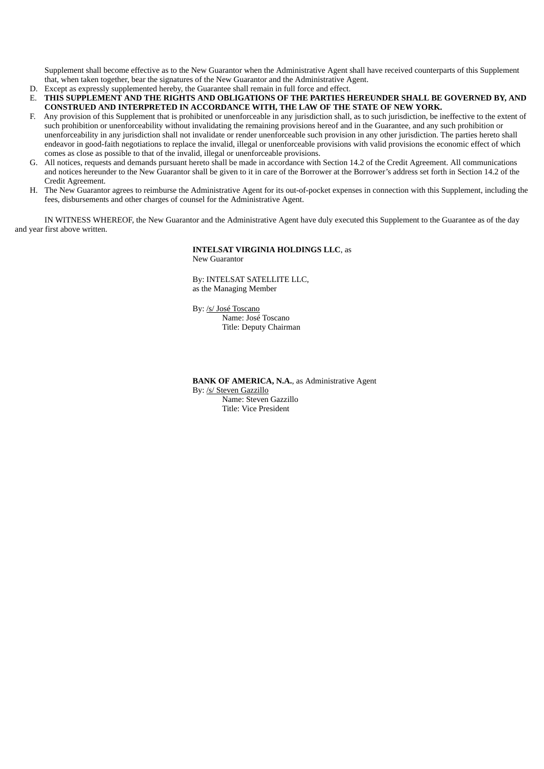Supplement shall become effective as to the New Guarantor when the Administrative Agent shall have received counterparts of this Supplement that, when taken together, bear the signatures of the New Guarantor and the Administrative Agent.

- D. Except as expressly supplemented hereby, the Guarantee shall remain in full force and effect.
- E. **THIS SUPPLEMENT AND THE RIGHTS AND OBLIGATIONS OF THE PARTIES HEREUNDER SHALL BE GOVERNED BY, AND CONSTRUED AND INTERPRETED IN ACCORDANCE WITH, THE LAW OF THE STATE OF NEW YORK.**
- F. Any provision of this Supplement that is prohibited or unenforceable in any jurisdiction shall, as to such jurisdiction, be ineffective to the extent of such prohibition or unenforceability without invalidating the remaining provisions hereof and in the Guarantee, and any such prohibition or unenforceability in any jurisdiction shall not invalidate or render unenforceable such provision in any other jurisdiction. The parties hereto shall endeavor in good-faith negotiations to replace the invalid, illegal or unenforceable provisions with valid provisions the economic effect of which comes as close as possible to that of the invalid, illegal or unenforceable provisions.
- G. All notices, requests and demands pursuant hereto shall be made in accordance with Section 14.2 of the Credit Agreement. All communications and notices hereunder to the New Guarantor shall be given to it in care of the Borrower at the Borrower's address set forth in Section 14.2 of the Credit Agreement.
- H. The New Guarantor agrees to reimburse the Administrative Agent for its out-of-pocket expenses in connection with this Supplement, including the fees, disbursements and other charges of counsel for the Administrative Agent.

IN WITNESS WHEREOF, the New Guarantor and the Administrative Agent have duly executed this Supplement to the Guarantee as of the day and year first above written.

#### **INTELSAT VIRGINIA HOLDINGS LLC**, as New Guarantor

By: INTELSAT SATELLITE LLC, as the Managing Member

By: /s/ José Toscano Name: José Toscano Title: Deputy Chairman

**BANK OF AMERICA, N.A.**, as Administrative Agent By: /s/ Steven Gazzillo Name: Steven Gazzillo Title: Vice President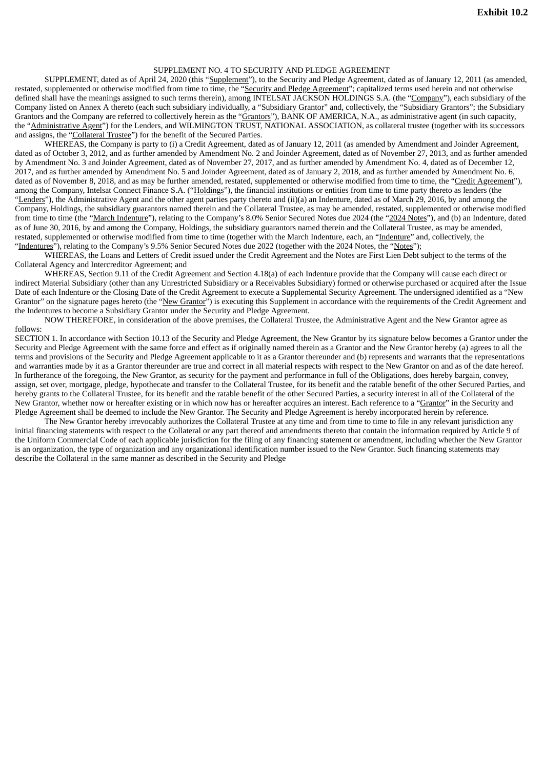## SUPPLEMENT NO. 4 TO SECURITY AND PLEDGE AGREEMENT

<span id="page-63-0"></span>SUPPLEMENT, dated as of April 24, 2020 (this "Supplement"), to the Security and Pledge Agreement, dated as of January 12, 2011 (as amended, restated, supplemented or otherwise modified from time to time, the "Security and Pledge Agreement"; capitalized terms used herein and not otherwise defined shall have the meanings assigned to such terms therein), among INTELSAT JACKSON HOLDINGS S.A. (the "Company"), each subsidiary of the Company listed on Annex A thereto (each such subsidiary individually, a "Subsidiary Grantor" and, collectively, the "Subsidiary Grantors"; the Subsidiary Grantors and the Company are referred to collectively herein as the "Grantors"), BANK OF AMERICA, N.A., as administrative agent (in such capacity, the "Administrative Agent") for the Lenders, and WILMINGTON TRUST, NATIONAL ASSOCIATION, as collateral trustee (together with its successors and assigns, the "Collateral Trustee") for the benefit of the Secured Parties.

WHEREAS, the Company is party to (i) a Credit Agreement, dated as of January 12, 2011 (as amended by Amendment and Joinder Agreement, dated as of October 3, 2012, and as further amended by Amendment No. 2 and Joinder Agreement, dated as of November 27, 2013, and as further amended by Amendment No. 3 and Joinder Agreement, dated as of November 27, 2017, and as further amended by Amendment No. 4, dated as of December 12, 2017, and as further amended by Amendment No. 5 and Joinder Agreement, dated as of January 2, 2018, and as further amended by Amendment No. 6, dated as of November 8, 2018, and as may be further amended, restated, supplemented or otherwise modified from time to time, the "Credit Agreement"), among the Company, Intelsat Connect Finance S.A. ("Holdings"), the financial institutions or entities from time to time party thereto as lenders (the "Lenders"), the Administrative Agent and the other agent parties party thereto and (ii)(a) an Indenture, dated as of March 29, 2016, by and among the Company, Holdings, the subsidiary guarantors named therein and the Collateral Trustee, as may be amended, restated, supplemented or otherwise modified from time to time (the "March Indenture"), relating to the Company's 8.0% Senior Secured Notes due 2024 (the "2024 Notes"), and (b) an Indenture, dated as of June 30, 2016, by and among the Company, Holdings, the subsidiary guarantors named therein and the Collateral Trustee, as may be amended, restated, supplemented or otherwise modified from time to time (together with the March Indenture, each, an "Indenture" and, collectively, the "Indentures"), relating to the Company's 9.5% Senior Secured Notes due 2022 (together with the 2024 Notes, the "Notes");

WHEREAS, the Loans and Letters of Credit issued under the Credit Agreement and the Notes are First Lien Debt subject to the terms of the Collateral Agency and Intercreditor Agreement; and

WHEREAS, Section 9.11 of the Credit Agreement and Section 4.18(a) of each Indenture provide that the Company will cause each direct or indirect Material Subsidiary (other than any Unrestricted Subsidiary or a Receivables Subsidiary) formed or otherwise purchased or acquired after the Issue Date of each Indenture or the Closing Date of the Credit Agreement to execute a Supplemental Security Agreement. The undersigned identified as a "New Grantor" on the signature pages hereto (the "New Grantor") is executing this Supplement in accordance with the requirements of the Credit Agreement and the Indentures to become a Subsidiary Grantor under the Security and Pledge Agreement.

NOW THEREFORE, in consideration of the above premises, the Collateral Trustee, the Administrative Agent and the New Grantor agree as follows:

SECTION 1. In accordance with Section 10.13 of the Security and Pledge Agreement, the New Grantor by its signature below becomes a Grantor under the Security and Pledge Agreement with the same force and effect as if originally named therein as a Grantor and the New Grantor hereby (a) agrees to all the terms and provisions of the Security and Pledge Agreement applicable to it as a Grantor thereunder and (b) represents and warrants that the representations and warranties made by it as a Grantor thereunder are true and correct in all material respects with respect to the New Grantor on and as of the date hereof. In furtherance of the foregoing, the New Grantor, as security for the payment and performance in full of the Obligations, does hereby bargain, convey, assign, set over, mortgage, pledge, hypothecate and transfer to the Collateral Trustee, for its benefit and the ratable benefit of the other Secured Parties, and hereby grants to the Collateral Trustee, for its benefit and the ratable benefit of the other Secured Parties, a security interest in all of the Collateral of the New Grantor, whether now or hereafter existing or in which now has or hereafter acquires an interest. Each reference to a "Grantor" in the Security and Pledge Agreement shall be deemed to include the New Grantor. The Security and Pledge Agreement is hereby incorporated herein by reference.

The New Grantor hereby irrevocably authorizes the Collateral Trustee at any time and from time to time to file in any relevant jurisdiction any initial financing statements with respect to the Collateral or any part thereof and amendments thereto that contain the information required by Article 9 of the Uniform Commercial Code of each applicable jurisdiction for the filing of any financing statement or amendment, including whether the New Grantor is an organization, the type of organization and any organizational identification number issued to the New Grantor. Such financing statements may describe the Collateral in the same manner as described in the Security and Pledge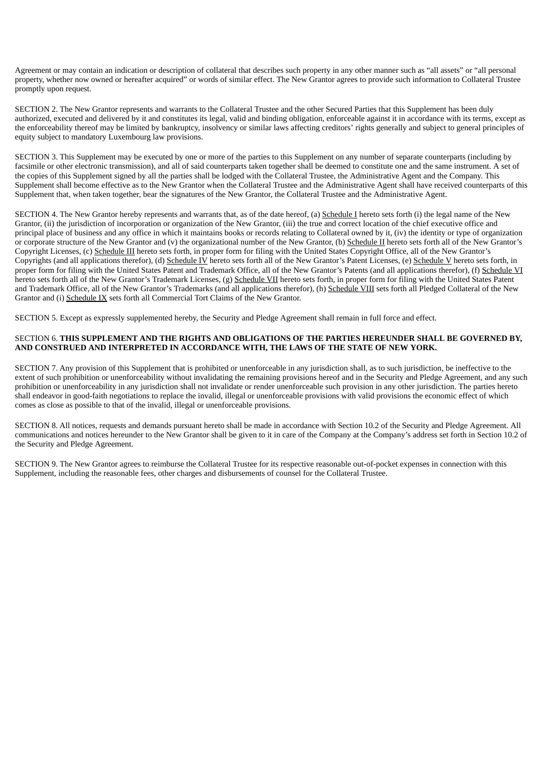Agreement or may contain an indication or description of collateral that describes such property in any other manner such as "all assets" or "all personal property, whether now owned or hereafter acquired" or words of similar effect. The New Grantor agrees to provide such information to Collateral Trustee promptly upon request.

SECTION 2. The New Grantor represents and warrants to the Collateral Trustee and the other Secured Parties that this Supplement has been duly authorized, executed and delivered by it and constitutes its legal, valid and binding obligation, enforceable against it in accordance with its terms, except as the enforceability thereof may be limited by bankruptcy, insolvency or similar laws affecting creditors' rights generally and subject to general principles of equity subject to mandatory Luxembourg law provisions.

SECTION 3. This Supplement may be executed by one or more of the parties to this Supplement on any number of separate counterparts (including by facsimile or other electronic transmission), and all of said counterparts taken together shall be deemed to constitute one and the same instrument. A set of the copies of this Supplement signed by all the parties shall be lodged with the Collateral Trustee, the Administrative Agent and the Company. This Supplement shall become effective as to the New Grantor when the Collateral Trustee and the Administrative Agent shall have received counterparts of this Supplement that, when taken together, bear the signatures of the New Grantor, the Collateral Trustee and the Administrative Agent.

SECTION 4. The New Grantor hereby represents and warrants that, as of the date hereof, (a) Schedule I hereto sets forth (i) the legal name of the New Grantor, (ii) the jurisdiction of incorporation or organization of the New Grantor, (iii) the true and correct location of the chief executive office and principal place of business and any office in which it maintains books or records relating to Collateral owned by it, (iv) the identity or type of organization or corporate structure of the New Grantor and (v) the organizational number of the New Grantor, (b) Schedule II hereto sets forth all of the New Grantor's Copyright Licenses, (c) Schedule III hereto sets forth, in proper form for filing with the United States Copyright Office, all of the New Grantor's Copyrights (and all applications therefor), (d) Schedule IV hereto sets forth all of the New Grantor's Patent Licenses, (e) Schedule V hereto sets forth, in proper form for filing with the United States Patent and Trademark Office, all of the New Grantor's Patents (and all applications therefor), (f) Schedule VI hereto sets forth all of the New Grantor's Trademark Licenses, (g) Schedule VII hereto sets forth, in proper form for filing with the United States Patent and Trademark Office, all of the New Grantor's Trademarks (and all applications therefor), (h) Schedule VIII sets forth all Pledged Collateral of the New Grantor and (i) Schedule IX sets forth all Commercial Tort Claims of the New Grantor.

SECTION 5. Except as expressly supplemented hereby, the Security and Pledge Agreement shall remain in full force and effect.

### SECTION 6. **THIS SUPPLEMENT AND THE RIGHTS AND OBLIGATIONS OF THE PARTIES HEREUNDER SHALL BE GOVERNED BY, AND CONSTRUED AND INTERPRETED IN ACCORDANCE WITH, THE LAWS OF THE STATE OF NEW YORK.**

SECTION 7. Any provision of this Supplement that is prohibited or unenforceable in any jurisdiction shall, as to such jurisdiction, be ineffective to the extent of such prohibition or unenforceability without invalidating the remaining provisions hereof and in the Security and Pledge Agreement, and any such prohibition or unenforceability in any jurisdiction shall not invalidate or render unenforceable such provision in any other jurisdiction. The parties hereto shall endeavor in good-faith negotiations to replace the invalid, illegal or unenforceable provisions with valid provisions the economic effect of which comes as close as possible to that of the invalid, illegal or unenforceable provisions.

SECTION 8. All notices, requests and demands pursuant hereto shall be made in accordance with Section 10.2 of the Security and Pledge Agreement. All communications and notices hereunder to the New Grantor shall be given to it in care of the Company at the Company's address set forth in Section 10.2 of the Security and Pledge Agreement.

SECTION 9. The New Grantor agrees to reimburse the Collateral Trustee for its respective reasonable out-of-pocket expenses in connection with this Supplement, including the reasonable fees, other charges and disbursements of counsel for the Collateral Trustee.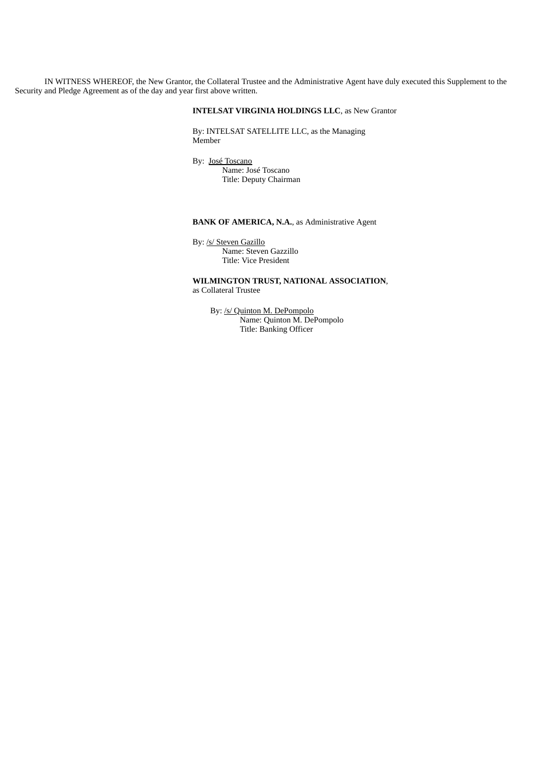IN WITNESS WHEREOF, the New Grantor, the Collateral Trustee and the Administrative Agent have duly executed this Supplement to the Security and Pledge Agreement as of the day and year first above written.

## **INTELSAT VIRGINIA HOLDINGS LLC**, as New Grantor

By: INTELSAT SATELLITE LLC, as the Managing Member

By: José Toscano Name: José Toscano Title: Deputy Chairman

## **BANK OF AMERICA, N.A.**, as Administrative Agent

By: /s/ Steven Gazillo Name: Steven Gazzillo Title: Vice President

**WILMINGTON TRUST, NATIONAL ASSOCIATION**, as Collateral Trustee

By: /s/ Quinton M. DePompolo Name: Quinton M. DePompolo Title: Banking Officer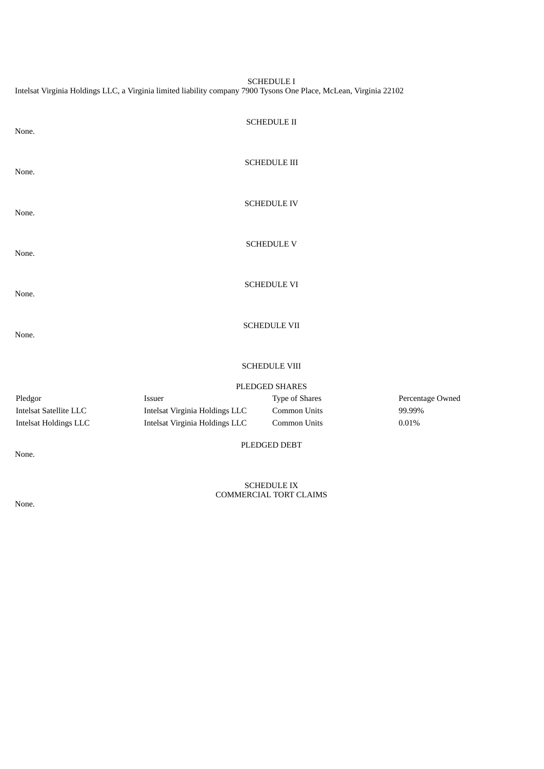SCHEDULE I Intelsat Virginia Holdings LLC, a Virginia limited liability company 7900 Tysons One Place, McLean, Virginia 22102

| None.                         |                                | <b>SCHEDULE II</b>  |                  |  |  |  |
|-------------------------------|--------------------------------|---------------------|------------------|--|--|--|
| None.                         |                                | <b>SCHEDULE III</b> |                  |  |  |  |
| None.                         |                                | <b>SCHEDULE IV</b>  |                  |  |  |  |
| None.                         |                                | <b>SCHEDULE V</b>   |                  |  |  |  |
| None.                         |                                | <b>SCHEDULE VI</b>  |                  |  |  |  |
| None.                         |                                | <b>SCHEDULE VII</b> |                  |  |  |  |
|                               | <b>SCHEDULE VIII</b>           |                     |                  |  |  |  |
|                               |                                | PLEDGED SHARES      |                  |  |  |  |
| Pledgor                       | Issuer                         | Type of Shares      | Percentage Owned |  |  |  |
| <b>Intelsat Satellite LLC</b> | Intelsat Virginia Holdings LLC | Common Units        | 99.99%           |  |  |  |
| <b>Intelsat Holdings LLC</b>  | Intelsat Virginia Holdings LLC | Common Units        | 0.01%            |  |  |  |
| None.                         |                                | PLEDGED DEBT        |                  |  |  |  |

SCHEDULE IX COMMERCIAL TORT CLAIMS

None.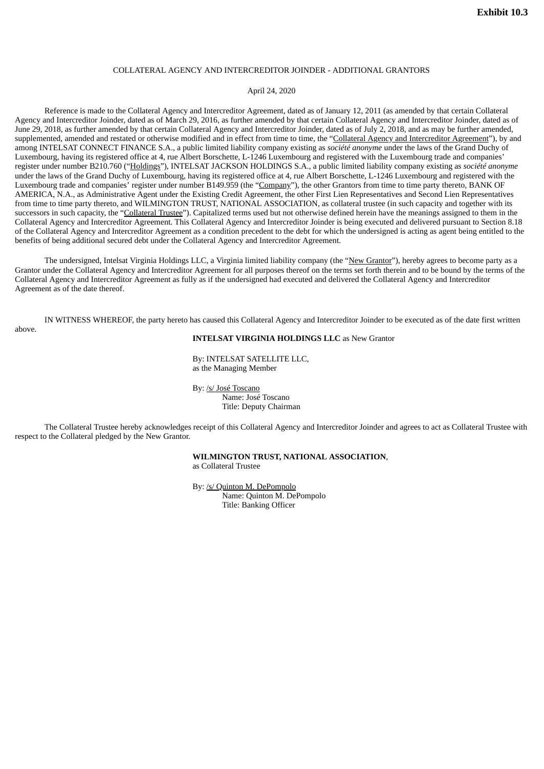### COLLATERAL AGENCY AND INTERCREDITOR JOINDER - ADDITIONAL GRANTORS

### April 24, 2020

<span id="page-67-0"></span>Reference is made to the Collateral Agency and Intercreditor Agreement, dated as of January 12, 2011 (as amended by that certain Collateral Agency and Intercreditor Joinder, dated as of March 29, 2016, as further amended by that certain Collateral Agency and Intercreditor Joinder, dated as of June 29, 2018, as further amended by that certain Collateral Agency and Intercreditor Joinder, dated as of July 2, 2018, and as may be further amended, supplemented, amended and restated or otherwise modified and in effect from time to time, the "Collateral Agency and Intercreditor Agreement"), by and among INTELSAT CONNECT FINANCE S.A., a public limited liability company existing as *société anonyme* under the laws of the Grand Duchy of Luxembourg, having its registered office at 4, rue Albert Borschette, L-1246 Luxembourg and registered with the Luxembourg trade and companies' register under number B210.760 ("Holdings"), INTELSAT JACKSON HOLDINGS S.A., a public limited liability company existing as *société anonyme* under the laws of the Grand Duchy of Luxembourg, having its registered office at 4, rue Albert Borschette, L-1246 Luxembourg and registered with the Luxembourg trade and companies' register under number B149.959 (the "Company"), the other Grantors from time to time party thereto, BANK OF AMERICA, N.A., as Administrative Agent under the Existing Credit Agreement, the other First Lien Representatives and Second Lien Representatives from time to time party thereto, and WILMINGTON TRUST, NATIONAL ASSOCIATION, as collateral trustee (in such capacity and together with its successors in such capacity, the "Collateral Trustee"). Capitalized terms used but not otherwise defined herein have the meanings assigned to them in the Collateral Agency and Intercreditor Agreement. This Collateral Agency and Intercreditor Joinder is being executed and delivered pursuant to Section 8.18 of the Collateral Agency and Intercreditor Agreement as a condition precedent to the debt for which the undersigned is acting as agent being entitled to the benefits of being additional secured debt under the Collateral Agency and Intercreditor Agreement.

The undersigned, Intelsat Virginia Holdings LLC, a Virginia limited liability company (the "New Grantor"), hereby agrees to become party as a Grantor under the Collateral Agency and Intercreditor Agreement for all purposes thereof on the terms set forth therein and to be bound by the terms of the Collateral Agency and Intercreditor Agreement as fully as if the undersigned had executed and delivered the Collateral Agency and Intercreditor Agreement as of the date thereof.

IN WITNESS WHEREOF, the party hereto has caused this Collateral Agency and Intercreditor Joinder to be executed as of the date first written above.

### **INTELSAT VIRGINIA HOLDINGS LLC** as New Grantor

By: INTELSAT SATELLITE LLC, as the Managing Member

By: /s/ José Toscano Name: José Toscano Title: Deputy Chairman

The Collateral Trustee hereby acknowledges receipt of this Collateral Agency and Intercreditor Joinder and agrees to act as Collateral Trustee with respect to the Collateral pledged by the New Grantor.

**WILMINGTON TRUST, NATIONAL ASSOCIATION**,

as Collateral Trustee

By: /s/ Quinton M. DePompolo Name: Quinton M. DePompolo Title: Banking Officer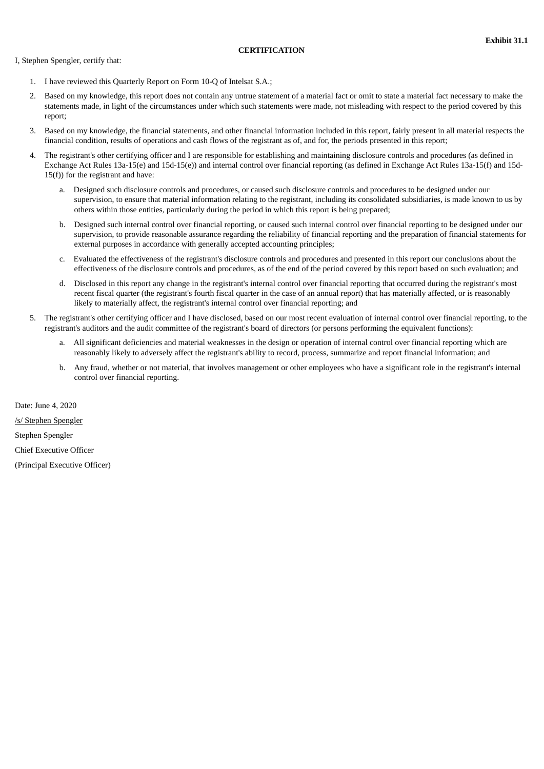### **CERTIFICATION**

<span id="page-68-0"></span>I, Stephen Spengler, certify that:

- 1. I have reviewed this Quarterly Report on Form 10-Q of Intelsat S.A.;
- 2. Based on my knowledge, this report does not contain any untrue statement of a material fact or omit to state a material fact necessary to make the statements made, in light of the circumstances under which such statements were made, not misleading with respect to the period covered by this report;
- 3. Based on my knowledge, the financial statements, and other financial information included in this report, fairly present in all material respects the financial condition, results of operations and cash flows of the registrant as of, and for, the periods presented in this report;
- 4. The registrant's other certifying officer and I are responsible for establishing and maintaining disclosure controls and procedures (as defined in Exchange Act Rules 13a-15(e) and 15d-15(e)) and internal control over financial reporting (as defined in Exchange Act Rules 13a-15(f) and 15d-15(f)) for the registrant and have:
	- a. Designed such disclosure controls and procedures, or caused such disclosure controls and procedures to be designed under our supervision, to ensure that material information relating to the registrant, including its consolidated subsidiaries, is made known to us by others within those entities, particularly during the period in which this report is being prepared;
	- b. Designed such internal control over financial reporting, or caused such internal control over financial reporting to be designed under our supervision, to provide reasonable assurance regarding the reliability of financial reporting and the preparation of financial statements for external purposes in accordance with generally accepted accounting principles;
	- c. Evaluated the effectiveness of the registrant's disclosure controls and procedures and presented in this report our conclusions about the effectiveness of the disclosure controls and procedures, as of the end of the period covered by this report based on such evaluation; and
	- d. Disclosed in this report any change in the registrant's internal control over financial reporting that occurred during the registrant's most recent fiscal quarter (the registrant's fourth fiscal quarter in the case of an annual report) that has materially affected, or is reasonably likely to materially affect, the registrant's internal control over financial reporting; and
- 5. The registrant's other certifying officer and I have disclosed, based on our most recent evaluation of internal control over financial reporting, to the registrant's auditors and the audit committee of the registrant's board of directors (or persons performing the equivalent functions):
	- a. All significant deficiencies and material weaknesses in the design or operation of internal control over financial reporting which are reasonably likely to adversely affect the registrant's ability to record, process, summarize and report financial information; and
	- b. Any fraud, whether or not material, that involves management or other employees who have a significant role in the registrant's internal control over financial reporting.

Date: June 4, 2020 /s/ Stephen Spengler Stephen Spengler Chief Executive Officer (Principal Executive Officer)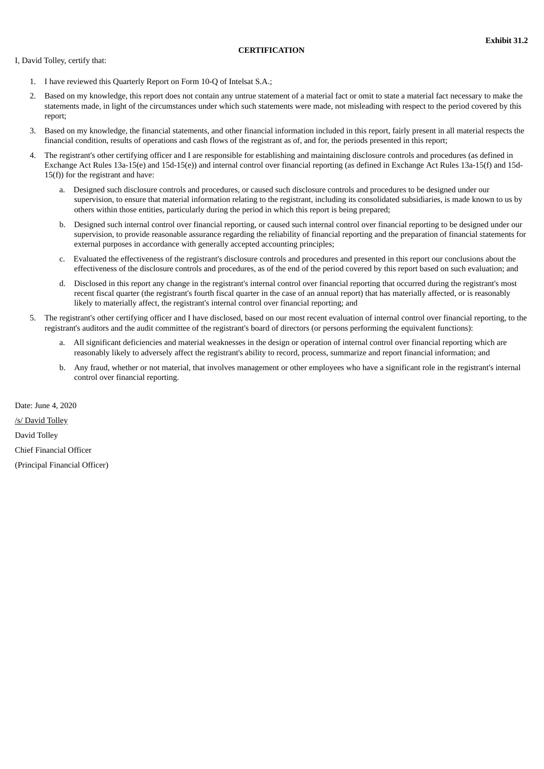### **CERTIFICATION**

<span id="page-69-0"></span>I, David Tolley, certify that:

- 1. I have reviewed this Quarterly Report on Form 10-Q of Intelsat S.A.;
- 2. Based on my knowledge, this report does not contain any untrue statement of a material fact or omit to state a material fact necessary to make the statements made, in light of the circumstances under which such statements were made, not misleading with respect to the period covered by this report;
- 3. Based on my knowledge, the financial statements, and other financial information included in this report, fairly present in all material respects the financial condition, results of operations and cash flows of the registrant as of, and for, the periods presented in this report;
- 4. The registrant's other certifying officer and I are responsible for establishing and maintaining disclosure controls and procedures (as defined in Exchange Act Rules 13a-15(e) and 15d-15(e)) and internal control over financial reporting (as defined in Exchange Act Rules 13a-15(f) and 15d-15(f)) for the registrant and have:
	- a. Designed such disclosure controls and procedures, or caused such disclosure controls and procedures to be designed under our supervision, to ensure that material information relating to the registrant, including its consolidated subsidiaries, is made known to us by others within those entities, particularly during the period in which this report is being prepared;
	- b. Designed such internal control over financial reporting, or caused such internal control over financial reporting to be designed under our supervision, to provide reasonable assurance regarding the reliability of financial reporting and the preparation of financial statements for external purposes in accordance with generally accepted accounting principles;
	- c. Evaluated the effectiveness of the registrant's disclosure controls and procedures and presented in this report our conclusions about the effectiveness of the disclosure controls and procedures, as of the end of the period covered by this report based on such evaluation; and
	- d. Disclosed in this report any change in the registrant's internal control over financial reporting that occurred during the registrant's most recent fiscal quarter (the registrant's fourth fiscal quarter in the case of an annual report) that has materially affected, or is reasonably likely to materially affect, the registrant's internal control over financial reporting; and
- 5. The registrant's other certifying officer and I have disclosed, based on our most recent evaluation of internal control over financial reporting, to the registrant's auditors and the audit committee of the registrant's board of directors (or persons performing the equivalent functions):
	- a. All significant deficiencies and material weaknesses in the design or operation of internal control over financial reporting which are reasonably likely to adversely affect the registrant's ability to record, process, summarize and report financial information; and
	- b. Any fraud, whether or not material, that involves management or other employees who have a significant role in the registrant's internal control over financial reporting.

Date: June 4, 2020 /s/ David Tolley David Tolley Chief Financial Officer (Principal Financial Officer)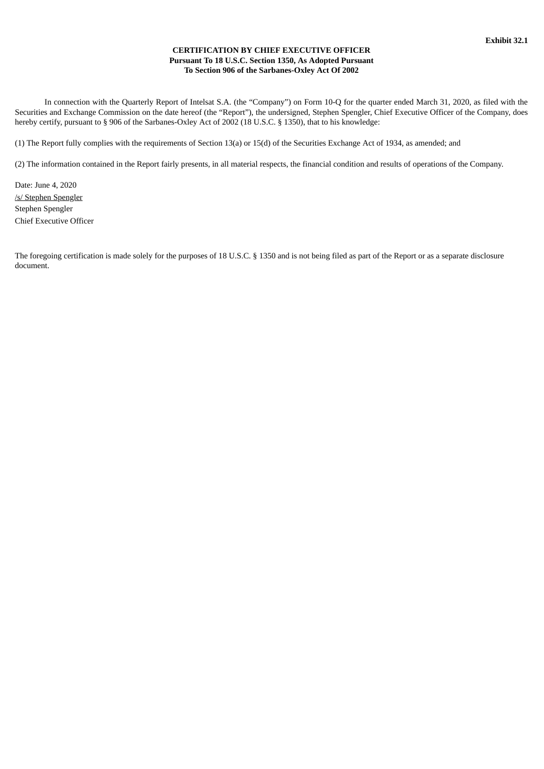### **CERTIFICATION BY CHIEF EXECUTIVE OFFICER Pursuant To 18 U.S.C. Section 1350, As Adopted Pursuant To Section 906 of the Sarbanes-Oxley Act Of 2002**

<span id="page-70-0"></span>In connection with the Quarterly Report of Intelsat S.A. (the "Company") on Form 10-Q for the quarter ended March 31, 2020, as filed with the Securities and Exchange Commission on the date hereof (the "Report"), the undersigned, Stephen Spengler, Chief Executive Officer of the Company, does hereby certify, pursuant to § 906 of the Sarbanes-Oxley Act of 2002 (18 U.S.C. § 1350), that to his knowledge:

(1) The Report fully complies with the requirements of Section 13(a) or 15(d) of the Securities Exchange Act of 1934, as amended; and

(2) The information contained in the Report fairly presents, in all material respects, the financial condition and results of operations of the Company.

Date: June 4, 2020 /s/ Stephen Spengler Stephen Spengler Chief Executive Officer

The foregoing certification is made solely for the purposes of 18 U.S.C. § 1350 and is not being filed as part of the Report or as a separate disclosure document.